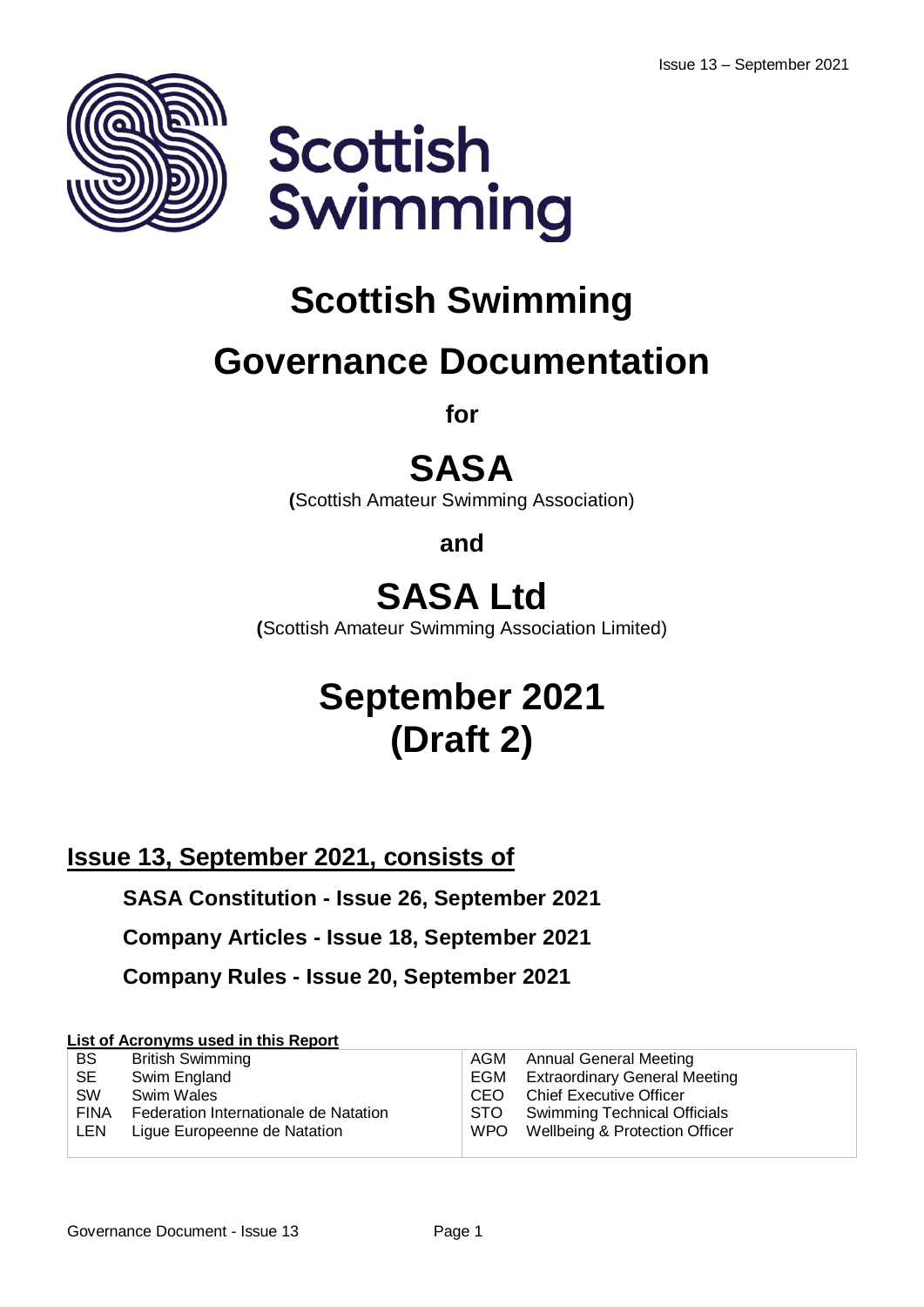



# **Scottish Swimming**

# **Governance Documentation**

**for**

# **SASA**

**(**Scottish Amateur Swimming Association)

**and**

## **SASA Ltd**

**(**Scottish Amateur Swimming Association Limited)

# **September 2021 (Draft 2)**

**Issue 13, September 2021, consists of**

**SASA Constitution - Issue 26, September 2021**

**Company Articles - Issue 18, September 2021**

**Company Rules - Issue 20, September 2021**

### **List of Acronyms used in this Report**

| <b>BS</b>   | <b>British Swimming</b>               |      | AGM Annual General Meeting               |
|-------------|---------------------------------------|------|------------------------------------------|
| SE.         | Swim England                          |      | <b>EGM</b> Extraordinary General Meeting |
| <b>SW</b>   | Swim Wales                            | CEO. | <b>Chief Executive Officer</b>           |
| <b>FINA</b> | Federation Internationale de Natation |      | STO Swimming Technical Officials         |
| <b>LEN</b>  | Ligue Europeenne de Natation          |      | WPO Wellbeing & Protection Officer       |
|             |                                       |      |                                          |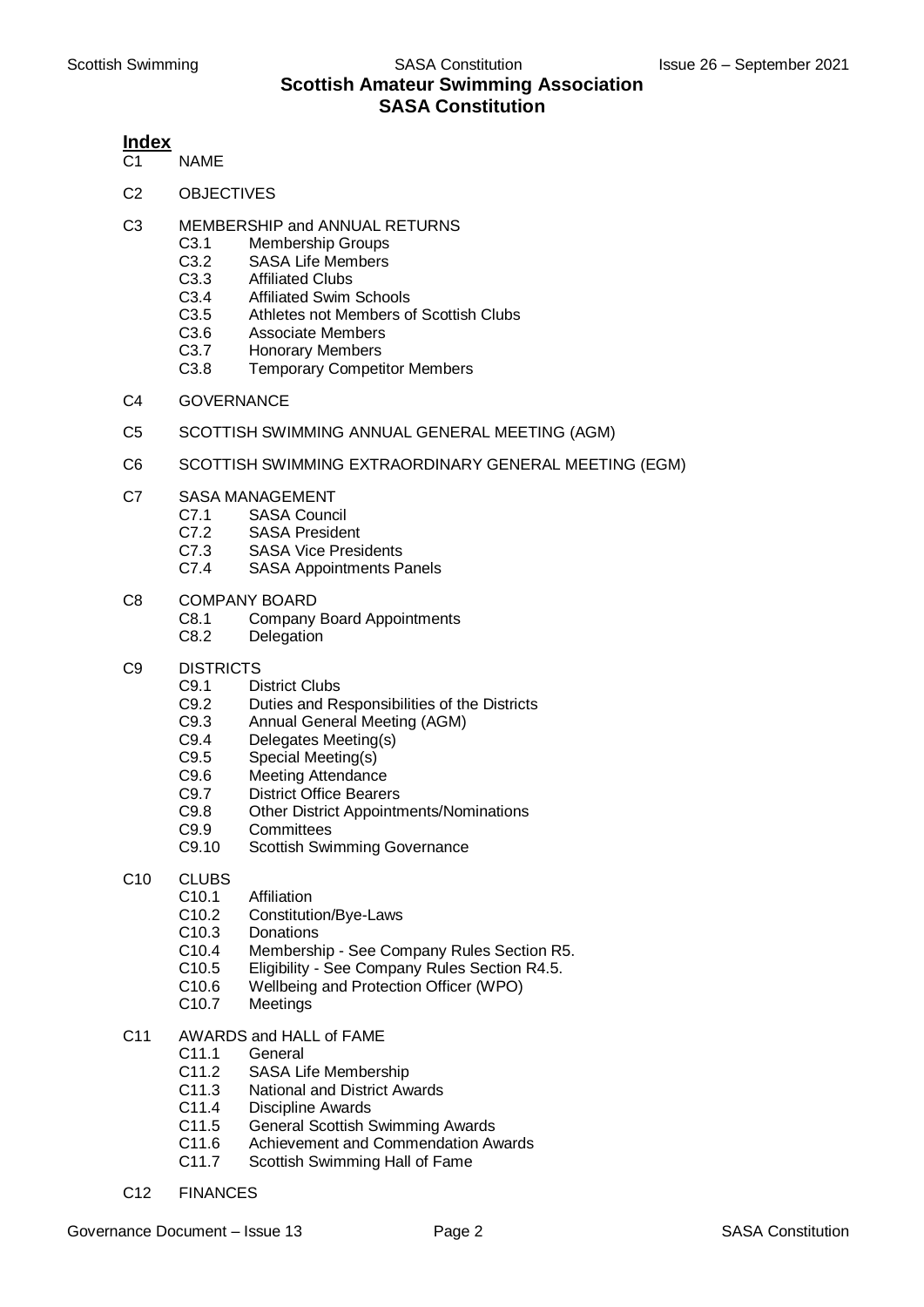#### **Index**

- C<sub>1</sub> NAME
- C2 OBJECTIVES
- C3 MEMBERSHIP and ANNUAL RETURNS
	- C3.1 Membership Groups
	- C3.2 SASA Life Members
	- C3.3 Affiliated Clubs
	- C3.4 Affiliated Swim Schools
	- C3.5 Athletes not Members of Scottish Clubs
	- C3.6 Associate Members
	- C3.7 Honorary Members
	- C3.8 Temporary Competitor Members
- C4 GOVERNANCE
- C5 SCOTTISH SWIMMING ANNUAL GENERAL MEETING (AGM)
- C6 SCOTTISH SWIMMING EXTRAORDINARY GENERAL MEETING (EGM)
- C7 SASA MANAGEMENT
	- C7.1 SASA Council
	- C7.2 SASA President
	- C7.3 SASA Vice Presidents
	- C7.4 SASA Appointments Panels
- C8 COMPANY BOARD
	- C8.1 Company Board Appointments
	- C8.2 Delegation
- C9 DISTRICTS
	- C9.1 District Clubs
	- C9.2 Duties and Responsibilities of the Districts<br>C9.3 Annual General Meeting (AGM)
	- C9.3 Annual General Meeting (AGM)<br>C9.4 Delegates Meeting(s)
	- Delegates Meeting(s)
	- C9.5 Special Meeting(s)
	- C9.6 Meeting Attendance
	- C9.7 District Office Bearers<br>C9.8 Other District Appointr
	- **Other District Appointments/Nominations**
	- C9.9 Committees
	- C9.10 Scottish Swimming Governance
- C10 CLUBS
	- C10.1 Affiliation
	- C10.2 Constitution/Bye-Laws
	- C10.3 Donations
	- C10.4 Membership See Company Rules Section R5.
	- C10.5 Eligibility See Company Rules Section R4.5.
	- C10.6 Wellbeing and Protection Officer (WPO)
	- C10.7 Meetings
- C11 AWARDS and HALL of FAME
	- C11.1 General
	- C11.2 SASA Life Membership
	- C11.3 National and District Awards
	- C11.4 Discipline Awards
	- C11.5 General Scottish Swimming Awards
	- C11.6 Achievement and Commendation Awards
	- C11.7 Scottish Swimming Hall of Fame
- C12 FINANCES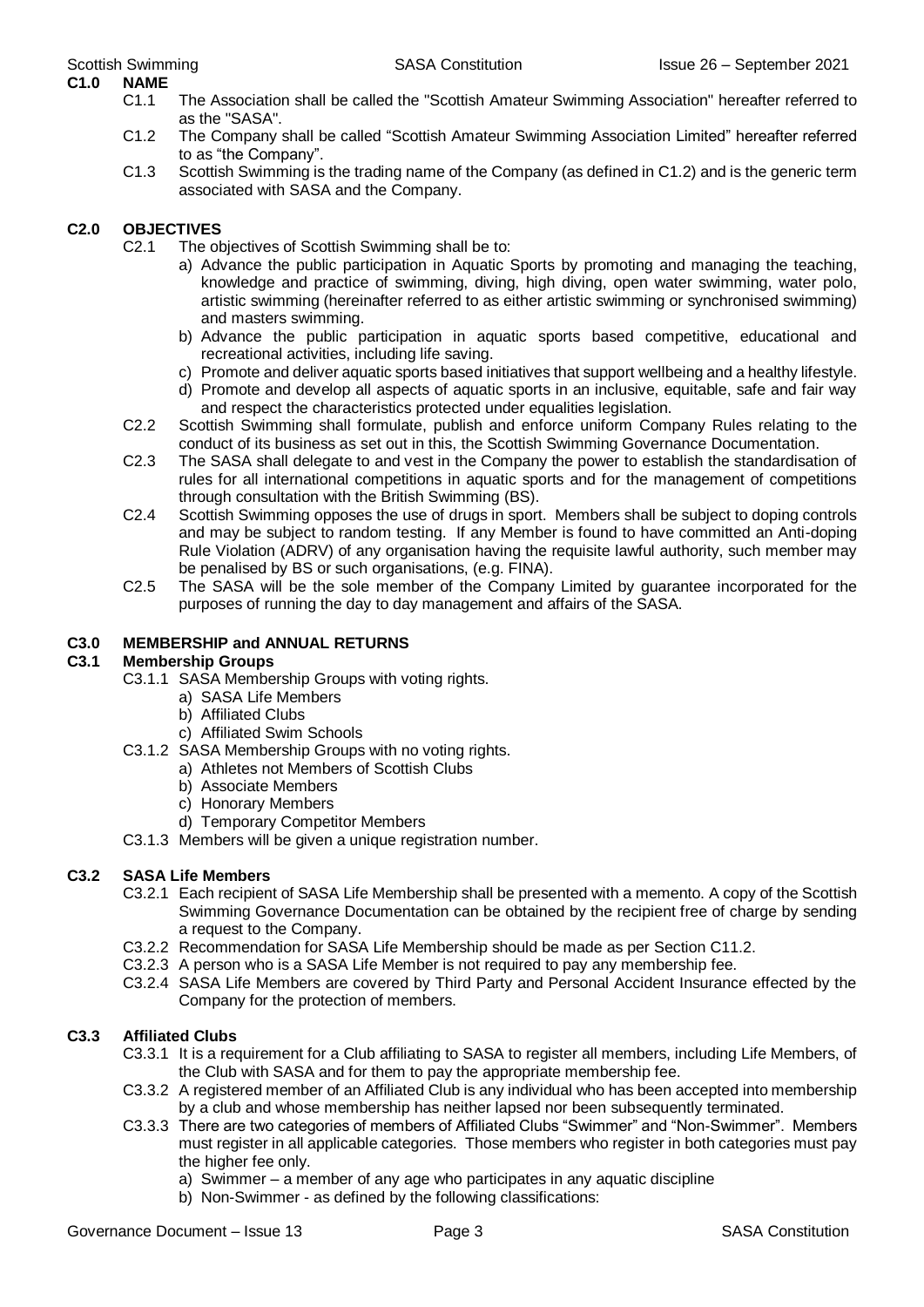## **C1.0 NAME**

- C1.1 The Association shall be called the "Scottish Amateur Swimming Association" hereafter referred to as the "SASA".
- C1.2 The Company shall be called "Scottish Amateur Swimming Association Limited" hereafter referred to as "the Company".
- C1.3 Scottish Swimming is the trading name of the Company (as defined in C1.2) and is the generic term associated with SASA and the Company.

#### **C2.0 OBJECTIVES**

- C2.1 The objectives of Scottish Swimming shall be to:
	- a) Advance the public participation in Aquatic Sports by promoting and managing the teaching, knowledge and practice of swimming, diving, high diving, open water swimming, water polo, artistic swimming (hereinafter referred to as either artistic swimming or synchronised swimming) and masters swimming.
	- b) Advance the public participation in aquatic sports based competitive, educational and recreational activities, including life saving.
	- c) Promote and deliver aquatic sports based initiatives that support wellbeing and a healthy lifestyle.
	- d) Promote and develop all aspects of aquatic sports in an inclusive, equitable, safe and fair way and respect the characteristics protected under equalities legislation.
- C2.2 Scottish Swimming shall formulate, publish and enforce uniform Company Rules relating to the conduct of its business as set out in this, the Scottish Swimming Governance Documentation.
- C2.3 The SASA shall delegate to and vest in the Company the power to establish the standardisation of rules for all international competitions in aquatic sports and for the management of competitions through consultation with the British Swimming (BS).
- C2.4 Scottish Swimming opposes the use of drugs in sport. Members shall be subject to doping controls and may be subject to random testing. If any Member is found to have committed an Anti-doping Rule Violation (ADRV) of any organisation having the requisite lawful authority, such member may be penalised by BS or such organisations, (e.g. FINA).
- C2.5 The SASA will be the sole member of the Company Limited by guarantee incorporated for the purposes of running the day to day management and affairs of the SASA.

#### **C3.0 MEMBERSHIP and ANNUAL RETURNS**

#### **C3.1 Membership Groups**

- C3.1.1 SASA Membership Groups with voting rights.
	- a) SASA Life Members
		- b) Affiliated Clubs
	- c) Affiliated Swim Schools
- C3.1.2 SASA Membership Groups with no voting rights.
	- a) Athletes not Members of Scottish Clubs
	- b) Associate Members
	- c) Honorary Members
	- d) Temporary Competitor Members
- C3.1.3 Members will be given a unique registration number.

#### **C3.2 SASA Life Members**

- C3.2.1 Each recipient of SASA Life Membership shall be presented with a memento. A copy of the Scottish Swimming Governance Documentation can be obtained by the recipient free of charge by sending a request to the Company.
- C3.2.2 Recommendation for SASA Life Membership should be made as per Section C11.2.
- C3.2.3 A person who is a SASA Life Member is not required to pay any membership fee.
- C3.2.4 SASA Life Members are covered by Third Party and Personal Accident Insurance effected by the Company for the protection of members.

#### **C3.3 Affiliated Clubs**

- C3.3.1 It is a requirement for a Club affiliating to SASA to register all members, including Life Members, of the Club with SASA and for them to pay the appropriate membership fee.
- C3.3.2 A registered member of an Affiliated Club is any individual who has been accepted into membership by a club and whose membership has neither lapsed nor been subsequently terminated.
- C3.3.3 There are two categories of members of Affiliated Clubs "Swimmer" and "Non-Swimmer". Members must register in all applicable categories. Those members who register in both categories must pay the higher fee only.
	- a) Swimmer a member of any age who participates in any aquatic discipline
	- b) Non-Swimmer as defined by the following classifications: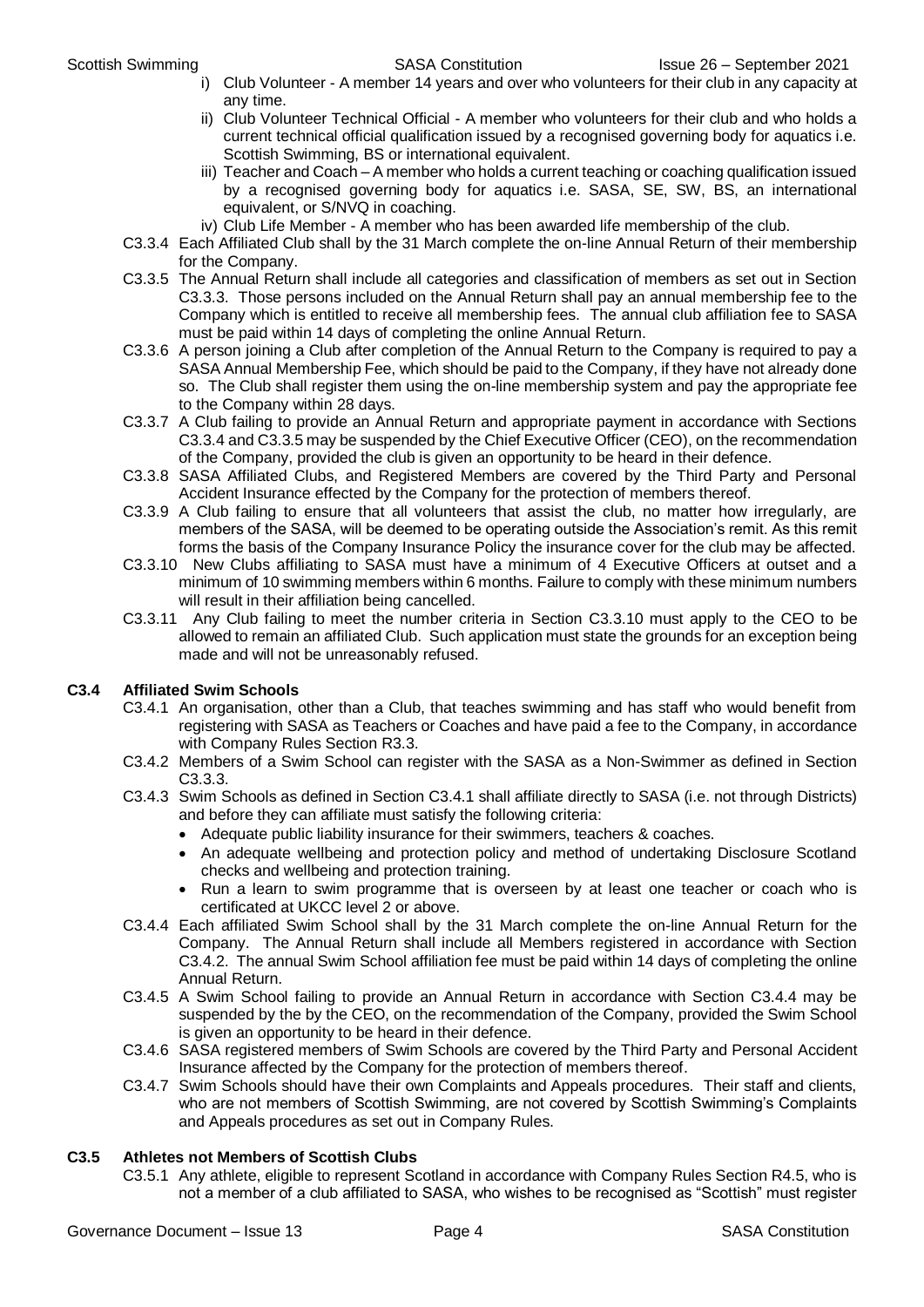- i) Club Volunteer A member 14 years and over who volunteers for their club in any capacity at any time.
- ii) Club Volunteer Technical Official A member who volunteers for their club and who holds a current technical official qualification issued by a recognised governing body for aquatics i.e. Scottish Swimming, BS or international equivalent.
- iii) Teacher and Coach A member who holds a current teaching or coaching qualification issued by a recognised governing body for aquatics i.e. SASA, SE, SW, BS, an international equivalent, or S/NVQ in coaching.
- iv) Club Life Member A member who has been awarded life membership of the club.
- C3.3.4 Each Affiliated Club shall by the 31 March complete the on-line Annual Return of their membership for the Company.
- C3.3.5 The Annual Return shall include all categories and classification of members as set out in Section C3.3.3. Those persons included on the Annual Return shall pay an annual membership fee to the Company which is entitled to receive all membership fees. The annual club affiliation fee to SASA must be paid within 14 days of completing the online Annual Return.
- C3.3.6 A person joining a Club after completion of the Annual Return to the Company is required to pay a SASA Annual Membership Fee, which should be paid to the Company, if they have not already done so. The Club shall register them using the on-line membership system and pay the appropriate fee to the Company within 28 days.
- C3.3.7 A Club failing to provide an Annual Return and appropriate payment in accordance with Sections C3.3.4 and C3.3.5 may be suspended by the Chief Executive Officer (CEO), on the recommendation of the Company, provided the club is given an opportunity to be heard in their defence.
- C3.3.8 SASA Affiliated Clubs, and Registered Members are covered by the Third Party and Personal Accident Insurance effected by the Company for the protection of members thereof.
- C3.3.9 A Club failing to ensure that all volunteers that assist the club, no matter how irregularly, are members of the SASA, will be deemed to be operating outside the Association's remit. As this remit forms the basis of the Company Insurance Policy the insurance cover for the club may be affected.
- C3.3.10 New Clubs affiliating to SASA must have a minimum of 4 Executive Officers at outset and a minimum of 10 swimming members within 6 months. Failure to comply with these minimum numbers will result in their affiliation being cancelled.
- C3.3.11 Any Club failing to meet the number criteria in Section C3.3.10 must apply to the CEO to be allowed to remain an affiliated Club. Such application must state the grounds for an exception being made and will not be unreasonably refused.

#### **C3.4 Affiliated Swim Schools**

- C3.4.1 An organisation, other than a Club, that teaches swimming and has staff who would benefit from registering with SASA as Teachers or Coaches and have paid a fee to the Company, in accordance with Company Rules Section R3.3.
- C3.4.2 Members of a Swim School can register with the SASA as a Non-Swimmer as defined in Section C3.3.3.
- C3.4.3 Swim Schools as defined in Section C3.4.1 shall affiliate directly to SASA (i.e. not through Districts) and before they can affiliate must satisfy the following criteria:
	- Adequate public liability insurance for their swimmers, teachers & coaches.
	- An adequate wellbeing and protection policy and method of undertaking Disclosure Scotland checks and wellbeing and protection training.
	- Run a learn to swim programme that is overseen by at least one teacher or coach who is certificated at UKCC level 2 or above.
- C3.4.4 Each affiliated Swim School shall by the 31 March complete the on-line Annual Return for the Company. The Annual Return shall include all Members registered in accordance with Section C3.4.2. The annual Swim School affiliation fee must be paid within 14 days of completing the online Annual Return.
- C3.4.5 A Swim School failing to provide an Annual Return in accordance with Section C3.4.4 may be suspended by the by the CEO, on the recommendation of the Company, provided the Swim School is given an opportunity to be heard in their defence.
- C3.4.6 SASA registered members of Swim Schools are covered by the Third Party and Personal Accident Insurance affected by the Company for the protection of members thereof.
- C3.4.7 Swim Schools should have their own Complaints and Appeals procedures. Their staff and clients, who are not members of Scottish Swimming, are not covered by Scottish Swimming's Complaints and Appeals procedures as set out in Company Rules.

#### **C3.5 Athletes not Members of Scottish Clubs**

C3.5.1 Any athlete, eligible to represent Scotland in accordance with Company Rules Section R4.5, who is not a member of a club affiliated to SASA, who wishes to be recognised as "Scottish" must register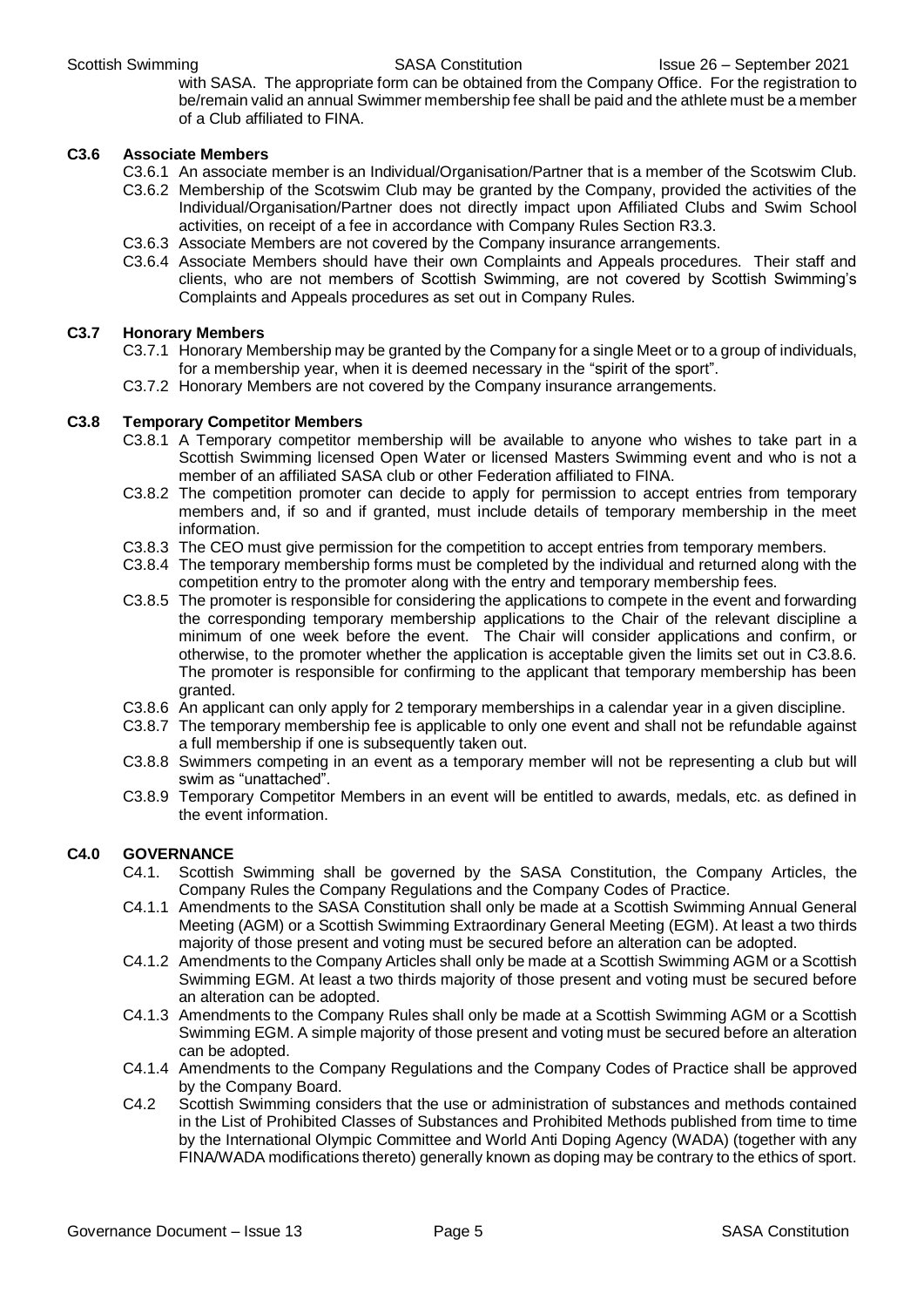with SASA. The appropriate form can be obtained from the Company Office. For the registration to be/remain valid an annual Swimmer membership fee shall be paid and the athlete must be a member of a Club affiliated to FINA.

#### **C3.6 Associate Members**

- C3.6.1 An associate member is an Individual/Organisation/Partner that is a member of the Scotswim Club.
- C3.6.2 Membership of the Scotswim Club may be granted by the Company, provided the activities of the Individual/Organisation/Partner does not directly impact upon Affiliated Clubs and Swim School activities, on receipt of a fee in accordance with Company Rules Section R3.3.
- C3.6.3 Associate Members are not covered by the Company insurance arrangements.
- C3.6.4 Associate Members should have their own Complaints and Appeals procedures. Their staff and clients, who are not members of Scottish Swimming, are not covered by Scottish Swimming's Complaints and Appeals procedures as set out in Company Rules.

#### **C3.7 Honorary Members**

- C3.7.1 Honorary Membership may be granted by the Company for a single Meet or to a group of individuals, for a membership year, when it is deemed necessary in the "spirit of the sport".
- C3.7.2 Honorary Members are not covered by the Company insurance arrangements.

#### **C3.8 Temporary Competitor Members**

- C3.8.1 A Temporary competitor membership will be available to anyone who wishes to take part in a Scottish Swimming licensed Open Water or licensed Masters Swimming event and who is not a member of an affiliated SASA club or other Federation affiliated to FINA.
- C3.8.2 The competition promoter can decide to apply for permission to accept entries from temporary members and, if so and if granted, must include details of temporary membership in the meet information.
- C3.8.3 The CEO must give permission for the competition to accept entries from temporary members.
- C3.8.4 The temporary membership forms must be completed by the individual and returned along with the competition entry to the promoter along with the entry and temporary membership fees.
- C3.8.5 The promoter is responsible for considering the applications to compete in the event and forwarding the corresponding temporary membership applications to the Chair of the relevant discipline a minimum of one week before the event. The Chair will consider applications and confirm, or otherwise, to the promoter whether the application is acceptable given the limits set out in C3.8.6. The promoter is responsible for confirming to the applicant that temporary membership has been granted.
- C3.8.6 An applicant can only apply for 2 temporary memberships in a calendar year in a given discipline.
- C3.8.7 The temporary membership fee is applicable to only one event and shall not be refundable against a full membership if one is subsequently taken out.
- C3.8.8 Swimmers competing in an event as a temporary member will not be representing a club but will swim as "unattached".
- C3.8.9 Temporary Competitor Members in an event will be entitled to awards, medals, etc. as defined in the event information.

#### **C4.0 GOVERNANCE**

- C4.1. Scottish Swimming shall be governed by the SASA Constitution, the Company Articles, the Company Rules the Company Regulations and the Company Codes of Practice.
- C4.1.1 Amendments to the SASA Constitution shall only be made at a Scottish Swimming Annual General Meeting (AGM) or a Scottish Swimming Extraordinary General Meeting (EGM). At least a two thirds majority of those present and voting must be secured before an alteration can be adopted.
- C4.1.2 Amendments to the Company Articles shall only be made at a Scottish Swimming AGM or a Scottish Swimming EGM. At least a two thirds majority of those present and voting must be secured before an alteration can be adopted.
- C4.1.3 Amendments to the Company Rules shall only be made at a Scottish Swimming AGM or a Scottish Swimming EGM. A simple majority of those present and voting must be secured before an alteration can be adopted.
- C4.1.4 Amendments to the Company Regulations and the Company Codes of Practice shall be approved by the Company Board.
- C4.2 Scottish Swimming considers that the use or administration of substances and methods contained in the List of Prohibited Classes of Substances and Prohibited Methods published from time to time by the International Olympic Committee and World Anti Doping Agency (WADA) (together with any FINA/WADA modifications thereto) generally known as doping may be contrary to the ethics of sport.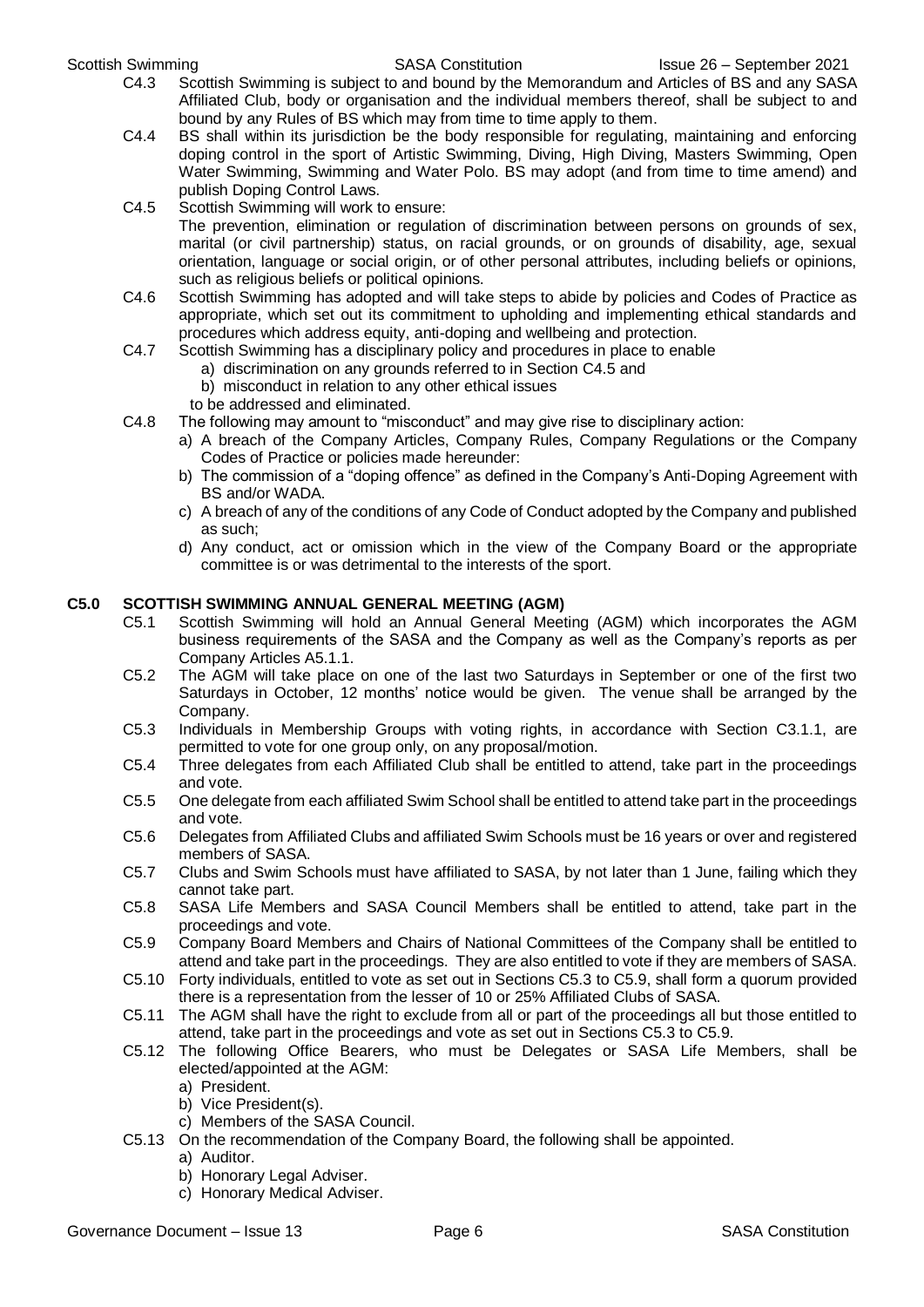- C4.3 Scottish Swimming is subject to and bound by the Memorandum and Articles of BS and any SASA Affiliated Club, body or organisation and the individual members thereof, shall be subject to and bound by any Rules of BS which may from time to time apply to them.
- C4.4 BS shall within its jurisdiction be the body responsible for regulating, maintaining and enforcing doping control in the sport of Artistic Swimming, Diving, High Diving, Masters Swimming, Open Water Swimming, Swimming and Water Polo. BS may adopt (and from time to time amend) and publish Doping Control Laws.
- C4.5 Scottish Swimming will work to ensure:

The prevention, elimination or regulation of discrimination between persons on grounds of sex, marital (or civil partnership) status, on racial grounds, or on grounds of disability, age, sexual orientation, language or social origin, or of other personal attributes, including beliefs or opinions, such as religious beliefs or political opinions.

- C4.6 Scottish Swimming has adopted and will take steps to abide by policies and Codes of Practice as appropriate, which set out its commitment to upholding and implementing ethical standards and procedures which address equity, anti-doping and wellbeing and protection.
- C4.7 Scottish Swimming has a disciplinary policy and procedures in place to enable
	- a) discrimination on any grounds referred to in Section C4.5 and
	- b) misconduct in relation to any other ethical issues
	- to be addressed and eliminated.
- C4.8 The following may amount to "misconduct" and may give rise to disciplinary action:
	- a) A breach of the Company Articles, Company Rules, Company Regulations or the Company Codes of Practice or policies made hereunder:
	- b) The commission of a "doping offence" as defined in the Company's Anti-Doping Agreement with BS and/or WADA.
	- c) A breach of any of the conditions of any Code of Conduct adopted by the Company and published as such;
	- d) Any conduct, act or omission which in the view of the Company Board or the appropriate committee is or was detrimental to the interests of the sport.

#### **C5.0 SCOTTISH SWIMMING ANNUAL GENERAL MEETING (AGM)**

- C5.1 Scottish Swimming will hold an Annual General Meeting (AGM) which incorporates the AGM business requirements of the SASA and the Company as well as the Company's reports as per Company Articles A5.1.1.
- C5.2 The AGM will take place on one of the last two Saturdays in September or one of the first two Saturdays in October, 12 months' notice would be given. The venue shall be arranged by the Company.
- C5.3 Individuals in Membership Groups with voting rights, in accordance with Section C3.1.1, are permitted to vote for one group only, on any proposal/motion.
- C5.4 Three delegates from each Affiliated Club shall be entitled to attend, take part in the proceedings and vote.
- C5.5 One delegate from each affiliated Swim School shall be entitled to attend take part in the proceedings and vote.
- C5.6 Delegates from Affiliated Clubs and affiliated Swim Schools must be 16 years or over and registered members of SASA.
- C5.7 Clubs and Swim Schools must have affiliated to SASA, by not later than 1 June, failing which they cannot take part.
- C5.8 SASA Life Members and SASA Council Members shall be entitled to attend, take part in the proceedings and vote.
- C5.9 Company Board Members and Chairs of National Committees of the Company shall be entitled to attend and take part in the proceedings. They are also entitled to vote if they are members of SASA.
- C5.10 Forty individuals, entitled to vote as set out in Sections C5.3 to C5.9, shall form a quorum provided there is a representation from the lesser of 10 or 25% Affiliated Clubs of SASA.
- C5.11 The AGM shall have the right to exclude from all or part of the proceedings all but those entitled to attend, take part in the proceedings and vote as set out in Sections C5.3 to C5.9.
- C5.12 The following Office Bearers, who must be Delegates or SASA Life Members, shall be elected/appointed at the AGM:
	- a) President.
	- b) Vice President(s).
	- c) Members of the SASA Council.
- C5.13 On the recommendation of the Company Board, the following shall be appointed.
	- a) Auditor.
	- b) Honorary Legal Adviser.
	- c) Honorary Medical Adviser.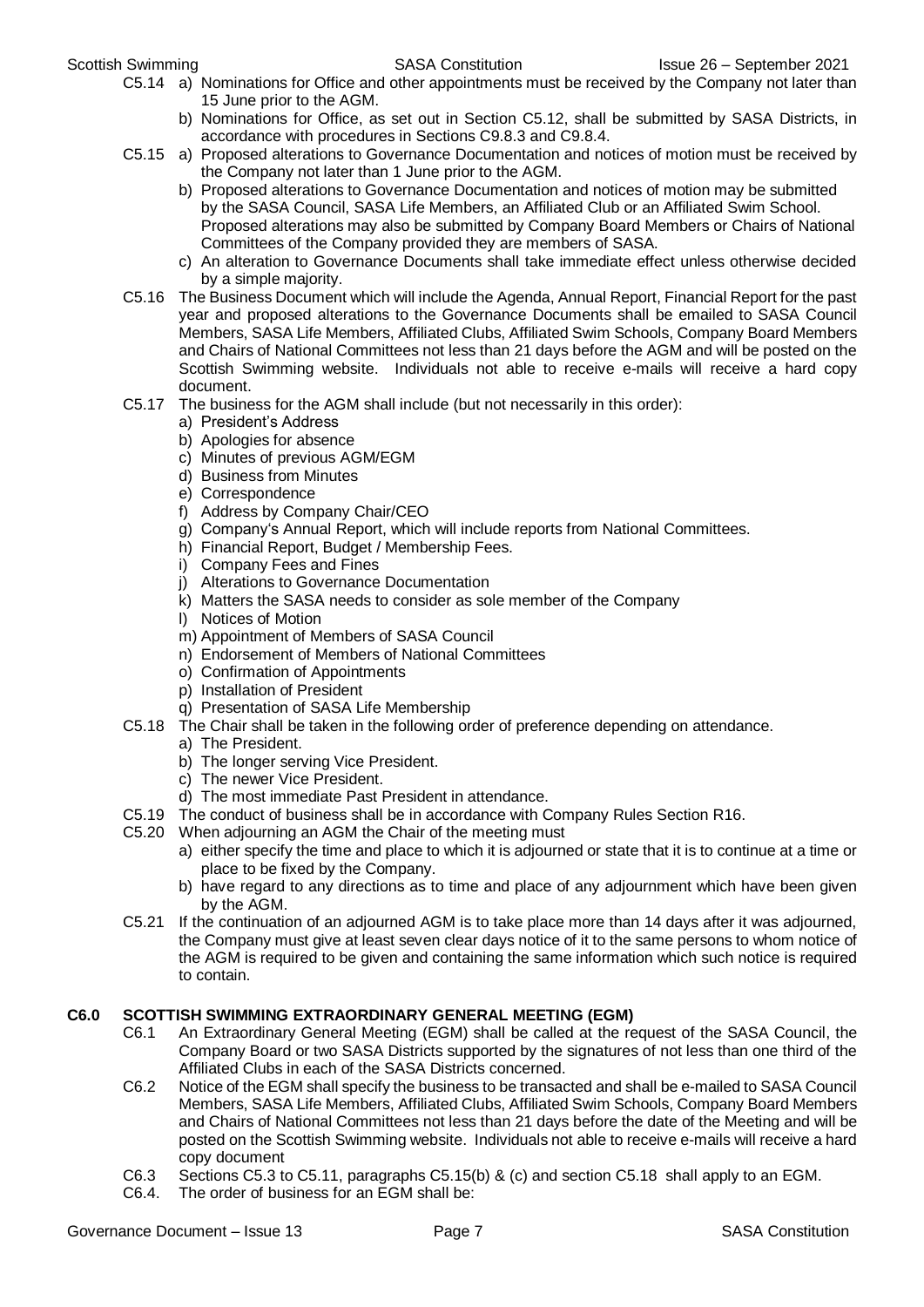- C5.14 a) Nominations for Office and other appointments must be received by the Company not later than 15 June prior to the AGM.
	- b) Nominations for Office, as set out in Section C5.12, shall be submitted by SASA Districts, in accordance with procedures in Sections C9.8.3 and C9.8.4.
- C5.15 a) Proposed alterations to Governance Documentation and notices of motion must be received by the Company not later than 1 June prior to the AGM.
	- b) Proposed alterations to Governance Documentation and notices of motion may be submitted by the SASA Council, SASA Life Members, an Affiliated Club or an Affiliated Swim School. Proposed alterations may also be submitted by Company Board Members or Chairs of National Committees of the Company provided they are members of SASA.
	- c) An alteration to Governance Documents shall take immediate effect unless otherwise decided by a simple majority.
- C5.16 The Business Document which will include the Agenda, Annual Report, Financial Report for the past year and proposed alterations to the Governance Documents shall be emailed to SASA Council Members, SASA Life Members, Affiliated Clubs, Affiliated Swim Schools, Company Board Members and Chairs of National Committees not less than 21 days before the AGM and will be posted on the Scottish Swimming website. Individuals not able to receive e-mails will receive a hard copy document.
- C5.17 The business for the AGM shall include (but not necessarily in this order):
	- a) President's Address
	- b) Apologies for absence
	- c) Minutes of previous AGM/EGM
	- d) Business from Minutes
	- e) Correspondence
	- f) Address by Company Chair/CEO
	- g) Company's Annual Report, which will include reports from National Committees.
	- h) Financial Report, Budget / Membership Fees.
	- i) Company Fees and Fines
	- j) Alterations to Governance Documentation
	- k) Matters the SASA needs to consider as sole member of the Company
	- l) Notices of Motion
	- m) Appointment of Members of SASA Council
	- n) Endorsement of Members of National Committees
	- o) Confirmation of Appointments
	- p) Installation of President
	- q) Presentation of SASA Life Membership
- C5.18 The Chair shall be taken in the following order of preference depending on attendance.
	- a) The President.
	- b) The longer serving Vice President.
	- c) The newer Vice President.
	- d) The most immediate Past President in attendance.
- C5.19 The conduct of business shall be in accordance with Company Rules Section R16.
- C5.20 When adjourning an AGM the Chair of the meeting must
	- a) either specify the time and place to which it is adjourned or state that it is to continue at a time or place to be fixed by the Company.
	- b) have regard to any directions as to time and place of any adjournment which have been given by the AGM.
- C5.21 If the continuation of an adjourned AGM is to take place more than 14 days after it was adjourned, the Company must give at least seven clear days notice of it to the same persons to whom notice of the AGM is required to be given and containing the same information which such notice is required to contain.

#### **C6.0 SCOTTISH SWIMMING EXTRAORDINARY GENERAL MEETING (EGM)**

- C6.1 An Extraordinary General Meeting (EGM) shall be called at the request of the SASA Council, the Company Board or two SASA Districts supported by the signatures of not less than one third of the Affiliated Clubs in each of the SASA Districts concerned.
- C6.2 Notice of the EGM shall specify the business to be transacted and shall be e-mailed to SASA Council Members, SASA Life Members, Affiliated Clubs, Affiliated Swim Schools, Company Board Members and Chairs of National Committees not less than 21 days before the date of the Meeting and will be posted on the Scottish Swimming website. Individuals not able to receive e-mails will receive a hard copy document
- C6.3 Sections C5.3 to C5.11, paragraphs C5.15(b) & (c) and section C5.18 shall apply to an EGM.
- C6.4. The order of business for an EGM shall be: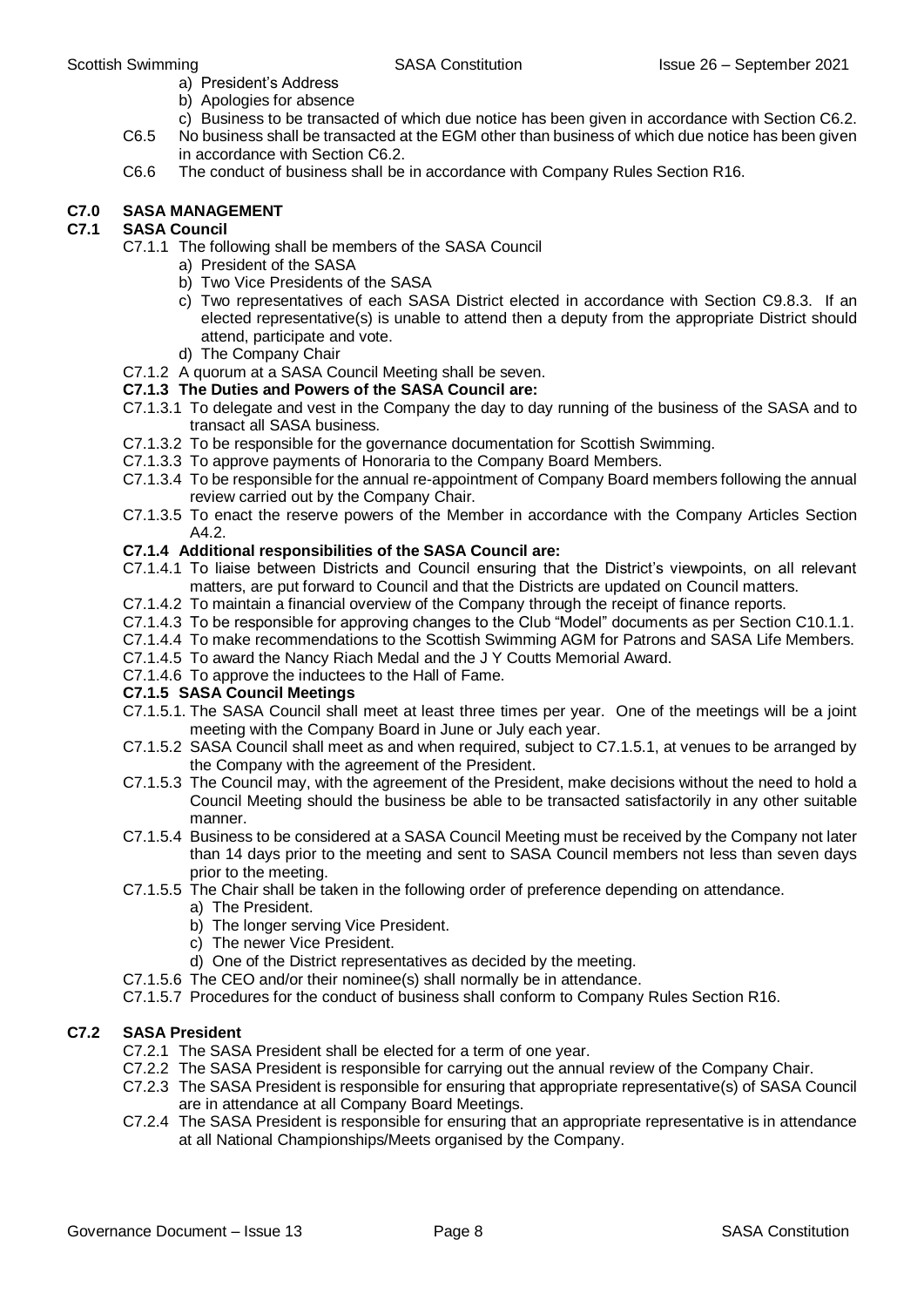- a) President's Address
- b) Apologies for absence
- c) Business to be transacted of which due notice has been given in accordance with Section C6.2.
- C6.5 No business shall be transacted at the EGM other than business of which due notice has been given in accordance with Section C6.2.
- C6.6 The conduct of business shall be in accordance with Company Rules Section R16.

#### **C7.0 SASA MANAGEMENT**

#### **C7.1 SASA Council**

- C7.1.1 The following shall be members of the SASA Council
	- a) President of the SASA
		- b) Two Vice Presidents of the SASA
		- c) Two representatives of each SASA District elected in accordance with Section C9.8.3. If an elected representative(s) is unable to attend then a deputy from the appropriate District should attend, participate and vote.
		- d) The Company Chair
- C7.1.2 A quorum at a SASA Council Meeting shall be seven.

#### **C7.1.3 The Duties and Powers of the SASA Council are:**

- C7.1.3.1 To delegate and vest in the Company the day to day running of the business of the SASA and to transact all SASA business.
- C7.1.3.2 To be responsible for the governance documentation for Scottish Swimming.
- C7.1.3.3 To approve payments of Honoraria to the Company Board Members.
- C7.1.3.4 To be responsible for the annual re-appointment of Company Board members following the annual review carried out by the Company Chair.
- C7.1.3.5 To enact the reserve powers of the Member in accordance with the Company Articles Section A4.2.

#### **C7.1.4 Additional responsibilities of the SASA Council are:**

- C7.1.4.1 To liaise between Districts and Council ensuring that the District's viewpoints, on all relevant matters, are put forward to Council and that the Districts are updated on Council matters.
- C7.1.4.2 To maintain a financial overview of the Company through the receipt of finance reports.
- C7.1.4.3 To be responsible for approving changes to the Club "Model" documents as per Section C10.1.1.
- C7.1.4.4 To make recommendations to the Scottish Swimming AGM for Patrons and SASA Life Members.
- C7.1.4.5 To award the Nancy Riach Medal and the J Y Coutts Memorial Award.
- C7.1.4.6 To approve the inductees to the Hall of Fame.

#### **C7.1.5 SASA Council Meetings**

- C7.1.5.1. The SASA Council shall meet at least three times per year. One of the meetings will be a joint meeting with the Company Board in June or July each year.
- C7.1.5.2 SASA Council shall meet as and when required, subject to C7.1.5.1, at venues to be arranged by the Company with the agreement of the President.
- C7.1.5.3 The Council may, with the agreement of the President, make decisions without the need to hold a Council Meeting should the business be able to be transacted satisfactorily in any other suitable manner.
- C7.1.5.4 Business to be considered at a SASA Council Meeting must be received by the Company not later than 14 days prior to the meeting and sent to SASA Council members not less than seven days prior to the meeting.
- C7.1.5.5 The Chair shall be taken in the following order of preference depending on attendance.
	- a) The President.
	- b) The longer serving Vice President.
	- c) The newer Vice President.
	- d) One of the District representatives as decided by the meeting.
- C7.1.5.6 The CEO and/or their nominee(s) shall normally be in attendance.
- C7.1.5.7 Procedures for the conduct of business shall conform to Company Rules Section R16.

#### **C7.2 SASA President**

- C7.2.1 The SASA President shall be elected for a term of one year.
- C7.2.2 The SASA President is responsible for carrying out the annual review of the Company Chair.
- C7.2.3 The SASA President is responsible for ensuring that appropriate representative(s) of SASA Council are in attendance at all Company Board Meetings.
- C7.2.4 The SASA President is responsible for ensuring that an appropriate representative is in attendance at all National Championships/Meets organised by the Company.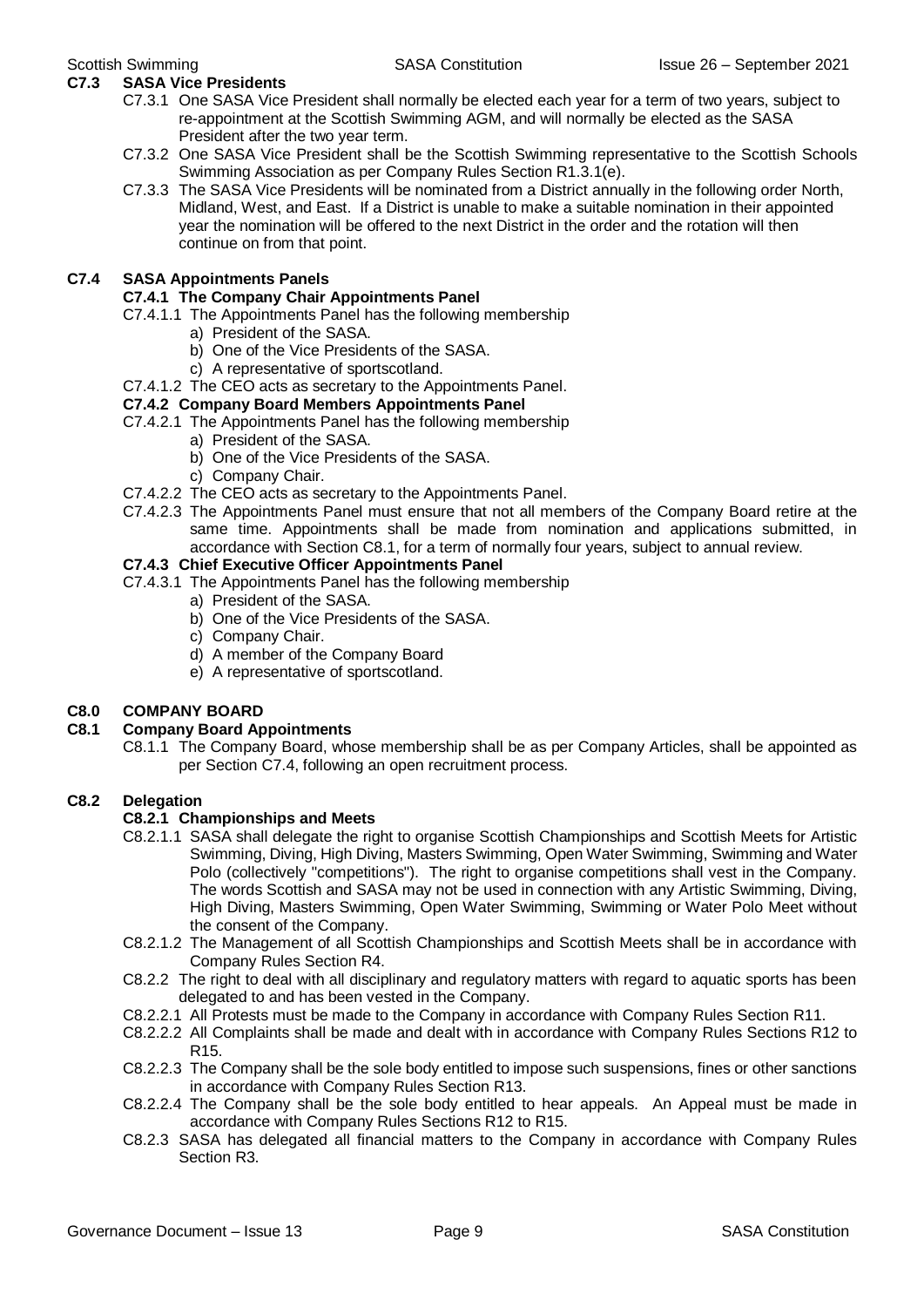#### **C7.3 SASA Vice Presidents**

- C7.3.1 One SASA Vice President shall normally be elected each year for a term of two years, subject to re-appointment at the Scottish Swimming AGM, and will normally be elected as the SASA President after the two year term.
- C7.3.2 One SASA Vice President shall be the Scottish Swimming representative to the Scottish Schools Swimming Association as per Company Rules Section R1.3.1(e).
- C7.3.3 The SASA Vice Presidents will be nominated from a District annually in the following order North, Midland, West, and East. If a District is unable to make a suitable nomination in their appointed year the nomination will be offered to the next District in the order and the rotation will then continue on from that point.

#### **C7.4 SASA Appointments Panels**

#### **C7.4.1 The Company Chair Appointments Panel**

- C7.4.1.1 The Appointments Panel has the following membership
	- a) President of the SASA.
	- b) One of the Vice Presidents of the SASA.
	- c) A representative of sportscotland.
- C7.4.1.2 The CEO acts as secretary to the Appointments Panel.

#### **C7.4.2 Company Board Members Appointments Panel**

- C7.4.2.1 The Appointments Panel has the following membership
	- a) President of the SASA.
	- b) One of the Vice Presidents of the SASA.
	- c) Company Chair.
- C7.4.2.2 The CEO acts as secretary to the Appointments Panel.
- C7.4.2.3 The Appointments Panel must ensure that not all members of the Company Board retire at the same time. Appointments shall be made from nomination and applications submitted, in accordance with Section C8.1, for a term of normally four years, subject to annual review.

#### **C7.4.3 Chief Executive Officer Appointments Panel**

- C7.4.3.1 The Appointments Panel has the following membership
	- a) President of the SASA.
	- b) One of the Vice Presidents of the SASA.
	- c) Company Chair.
	- d) A member of the Company Board
	- e) A representative of sportscotland.

#### **C8.0 COMPANY BOARD**

#### **C8.1 Company Board Appointments**

C8.1.1 The Company Board, whose membership shall be as per Company Articles, shall be appointed as per Section C7.4, following an open recruitment process.

#### **C8.2 Delegation**

#### **C8.2.1 Championships and Meets**

- C8.2.1.1 SASA shall delegate the right to organise Scottish Championships and Scottish Meets for Artistic Swimming, Diving, High Diving, Masters Swimming, Open Water Swimming, Swimming and Water Polo (collectively "competitions"). The right to organise competitions shall vest in the Company. The words Scottish and SASA may not be used in connection with any Artistic Swimming, Diving, High Diving, Masters Swimming, Open Water Swimming, Swimming or Water Polo Meet without the consent of the Company.
- C8.2.1.2 The Management of all Scottish Championships and Scottish Meets shall be in accordance with Company Rules Section R4.
- C8.2.2 The right to deal with all disciplinary and regulatory matters with regard to aquatic sports has been delegated to and has been vested in the Company.
- C8.2.2.1 All Protests must be made to the Company in accordance with Company Rules Section R11.
- C8.2.2.2 All Complaints shall be made and dealt with in accordance with Company Rules Sections R12 to R15.
- C8.2.2.3 The Company shall be the sole body entitled to impose such suspensions, fines or other sanctions in accordance with Company Rules Section R13.
- C8.2.2.4 The Company shall be the sole body entitled to hear appeals. An Appeal must be made in accordance with Company Rules Sections R12 to R15.
- C8.2.3 SASA has delegated all financial matters to the Company in accordance with Company Rules Section R3.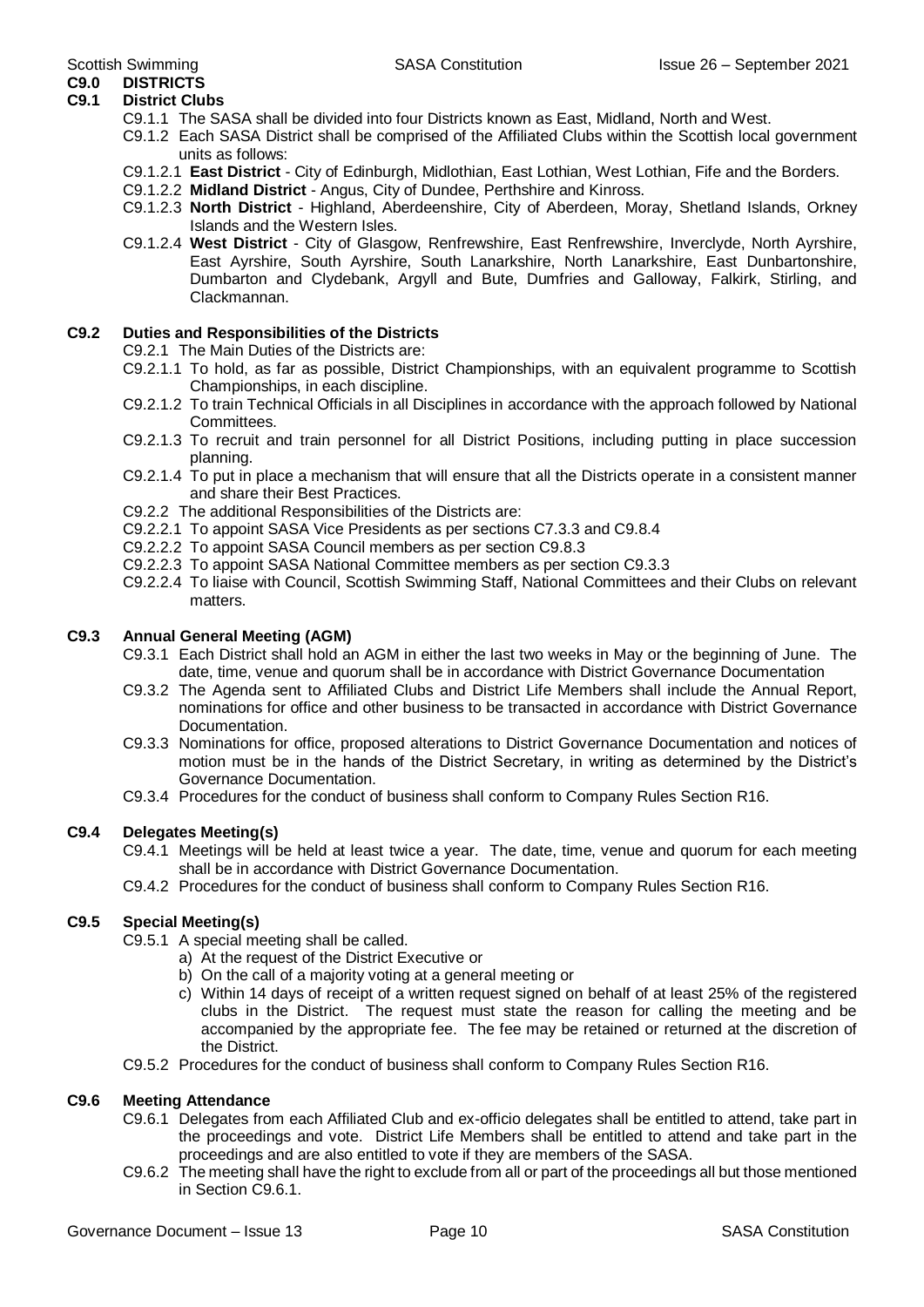#### **C9.0 DISTRICTS C9.1 District Clubs**

- C9.1.1 The SASA shall be divided into four Districts known as East, Midland, North and West.
- C9.1.2 Each SASA District shall be comprised of the Affiliated Clubs within the Scottish local government units as follows:
- C9.1.2.1 **East District** City of Edinburgh, Midlothian, East Lothian, West Lothian, Fife and the Borders.
- C9.1.2.2 **Midland District** Angus, City of Dundee, Perthshire and Kinross.
- C9.1.2.3 **North District** Highland, Aberdeenshire, City of Aberdeen, Moray, Shetland Islands, Orkney Islands and the Western Isles.
- C9.1.2.4 **West District** City of Glasgow, Renfrewshire, East Renfrewshire, Inverclyde, North Ayrshire, East Ayrshire, South Ayrshire, South Lanarkshire, North Lanarkshire, East Dunbartonshire, Dumbarton and Clydebank, Argyll and Bute, Dumfries and Galloway, Falkirk, Stirling, and Clackmannan.

#### **C9.2 Duties and Responsibilities of the Districts**

- C9.2.1 The Main Duties of the Districts are:
- C9.2.1.1 To hold, as far as possible, District Championships, with an equivalent programme to Scottish Championships, in each discipline.
- C9.2.1.2 To train Technical Officials in all Disciplines in accordance with the approach followed by National Committees.
- C9.2.1.3 To recruit and train personnel for all District Positions, including putting in place succession planning.
- C9.2.1.4 To put in place a mechanism that will ensure that all the Districts operate in a consistent manner and share their Best Practices.
- C9.2.2 The additional Responsibilities of the Districts are:
- C9.2.2.1 To appoint SASA Vice Presidents as per sections C7.3.3 and C9.8.4
- C9.2.2.2 To appoint SASA Council members as per section C9.8.3
- C9.2.2.3 To appoint SASA National Committee members as per section C9.3.3
- C9.2.2.4 To liaise with Council, Scottish Swimming Staff, National Committees and their Clubs on relevant matters.

#### **C9.3 Annual General Meeting (AGM)**

- C9.3.1 Each District shall hold an AGM in either the last two weeks in May or the beginning of June. The date, time, venue and quorum shall be in accordance with District Governance Documentation
- C9.3.2 The Agenda sent to Affiliated Clubs and District Life Members shall include the Annual Report, nominations for office and other business to be transacted in accordance with District Governance Documentation.
- C9.3.3 Nominations for office, proposed alterations to District Governance Documentation and notices of motion must be in the hands of the District Secretary, in writing as determined by the District's Governance Documentation.
- C9.3.4 Procedures for the conduct of business shall conform to Company Rules Section R16.

#### **C9.4 Delegates Meeting(s)**

- C9.4.1 Meetings will be held at least twice a year. The date, time, venue and quorum for each meeting shall be in accordance with District Governance Documentation.
- C9.4.2 Procedures for the conduct of business shall conform to Company Rules Section R16.

#### **C9.5 Special Meeting(s)**

- C9.5.1 A special meeting shall be called.
	- a) At the request of the District Executive or
	- b) On the call of a majority voting at a general meeting or
	- c) Within 14 days of receipt of a written request signed on behalf of at least 25% of the registered clubs in the District. The request must state the reason for calling the meeting and be accompanied by the appropriate fee. The fee may be retained or returned at the discretion of the District.
- C9.5.2 Procedures for the conduct of business shall conform to Company Rules Section R16.

#### **C9.6 Meeting Attendance**

- C9.6.1 Delegates from each Affiliated Club and ex-officio delegates shall be entitled to attend, take part in the proceedings and vote. District Life Members shall be entitled to attend and take part in the proceedings and are also entitled to vote if they are members of the SASA.
- C9.6.2 The meeting shall have the right to exclude from all or part of the proceedings all but those mentioned in Section C9.6.1.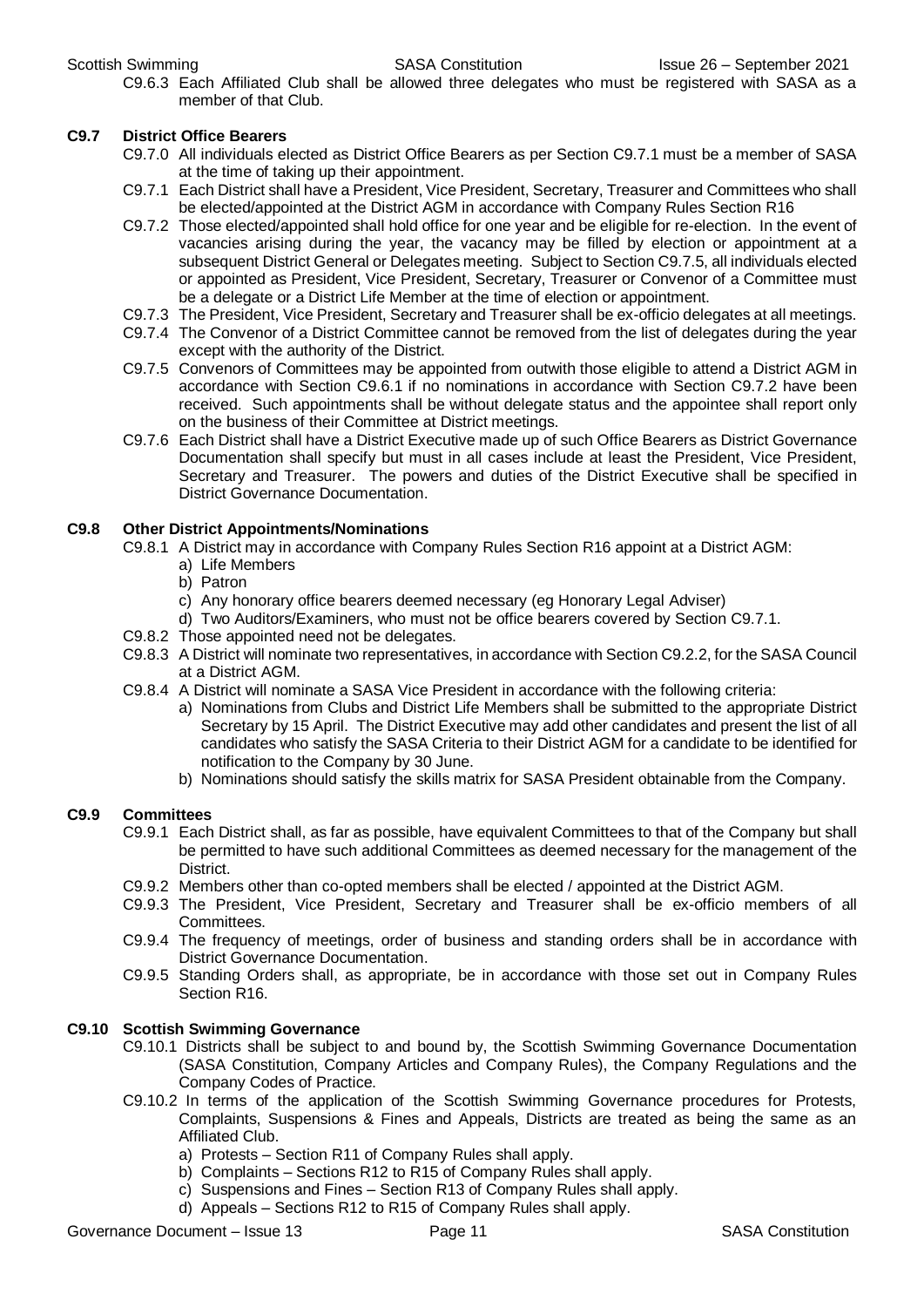C9.6.3 Each Affiliated Club shall be allowed three delegates who must be registered with SASA as a member of that Club.

#### **C9.7 District Office Bearers**

- C9.7.0 All individuals elected as District Office Bearers as per Section C9.7.1 must be a member of SASA at the time of taking up their appointment.
- C9.7.1 Each District shall have a President, Vice President, Secretary, Treasurer and Committees who shall be elected/appointed at the District AGM in accordance with Company Rules Section R16
- C9.7.2 Those elected/appointed shall hold office for one year and be eligible for re-election. In the event of vacancies arising during the year, the vacancy may be filled by election or appointment at a subsequent District General or Delegates meeting. Subject to Section C9.7.5, all individuals elected or appointed as President, Vice President, Secretary, Treasurer or Convenor of a Committee must be a delegate or a District Life Member at the time of election or appointment.
- C9.7.3 The President, Vice President, Secretary and Treasurer shall be ex-officio delegates at all meetings.
- C9.7.4 The Convenor of a District Committee cannot be removed from the list of delegates during the year except with the authority of the District.
- C9.7.5 Convenors of Committees may be appointed from outwith those eligible to attend a District AGM in accordance with Section C9.6.1 if no nominations in accordance with Section C9.7.2 have been received. Such appointments shall be without delegate status and the appointee shall report only on the business of their Committee at District meetings.
- C9.7.6 Each District shall have a District Executive made up of such Office Bearers as District Governance Documentation shall specify but must in all cases include at least the President, Vice President, Secretary and Treasurer. The powers and duties of the District Executive shall be specified in District Governance Documentation.

#### **C9.8 Other District Appointments/Nominations**

- C9.8.1 A District may in accordance with Company Rules Section R16 appoint at a District AGM:
	- a) Life Members
	- b) Patron
	- c) Any honorary office bearers deemed necessary (eg Honorary Legal Adviser)
	- d) Two Auditors/Examiners, who must not be office bearers covered by Section C9.7.1.
- C9.8.2 Those appointed need not be delegates.
- C9.8.3 A District will nominate two representatives, in accordance with Section C9.2.2, for the SASA Council at a District AGM.
- C9.8.4 A District will nominate a SASA Vice President in accordance with the following criteria:
	- a) Nominations from Clubs and District Life Members shall be submitted to the appropriate District Secretary by 15 April. The District Executive may add other candidates and present the list of all candidates who satisfy the SASA Criteria to their District AGM for a candidate to be identified for notification to the Company by 30 June.
	- b) Nominations should satisfy the skills matrix for SASA President obtainable from the Company.

#### **C9.9 Committees**

- C9.9.1 Each District shall, as far as possible, have equivalent Committees to that of the Company but shall be permitted to have such additional Committees as deemed necessary for the management of the **District**
- C9.9.2 Members other than co-opted members shall be elected / appointed at the District AGM.
- C9.9.3 The President, Vice President, Secretary and Treasurer shall be ex-officio members of all Committees.
- C9.9.4 The frequency of meetings, order of business and standing orders shall be in accordance with District Governance Documentation.
- C9.9.5 Standing Orders shall, as appropriate, be in accordance with those set out in Company Rules Section R16.

#### **C9.10 Scottish Swimming Governance**

- C9.10.1 Districts shall be subject to and bound by, the Scottish Swimming Governance Documentation (SASA Constitution, Company Articles and Company Rules), the Company Regulations and the Company Codes of Practice.
- C9.10.2 In terms of the application of the Scottish Swimming Governance procedures for Protests, Complaints, Suspensions & Fines and Appeals, Districts are treated as being the same as an Affiliated Club.
	- a) Protests Section R11 of Company Rules shall apply.
	- b) Complaints Sections R12 to R15 of Company Rules shall apply.
	- c) Suspensions and Fines Section R13 of Company Rules shall apply.
	- d) Appeals Sections R12 to R15 of Company Rules shall apply.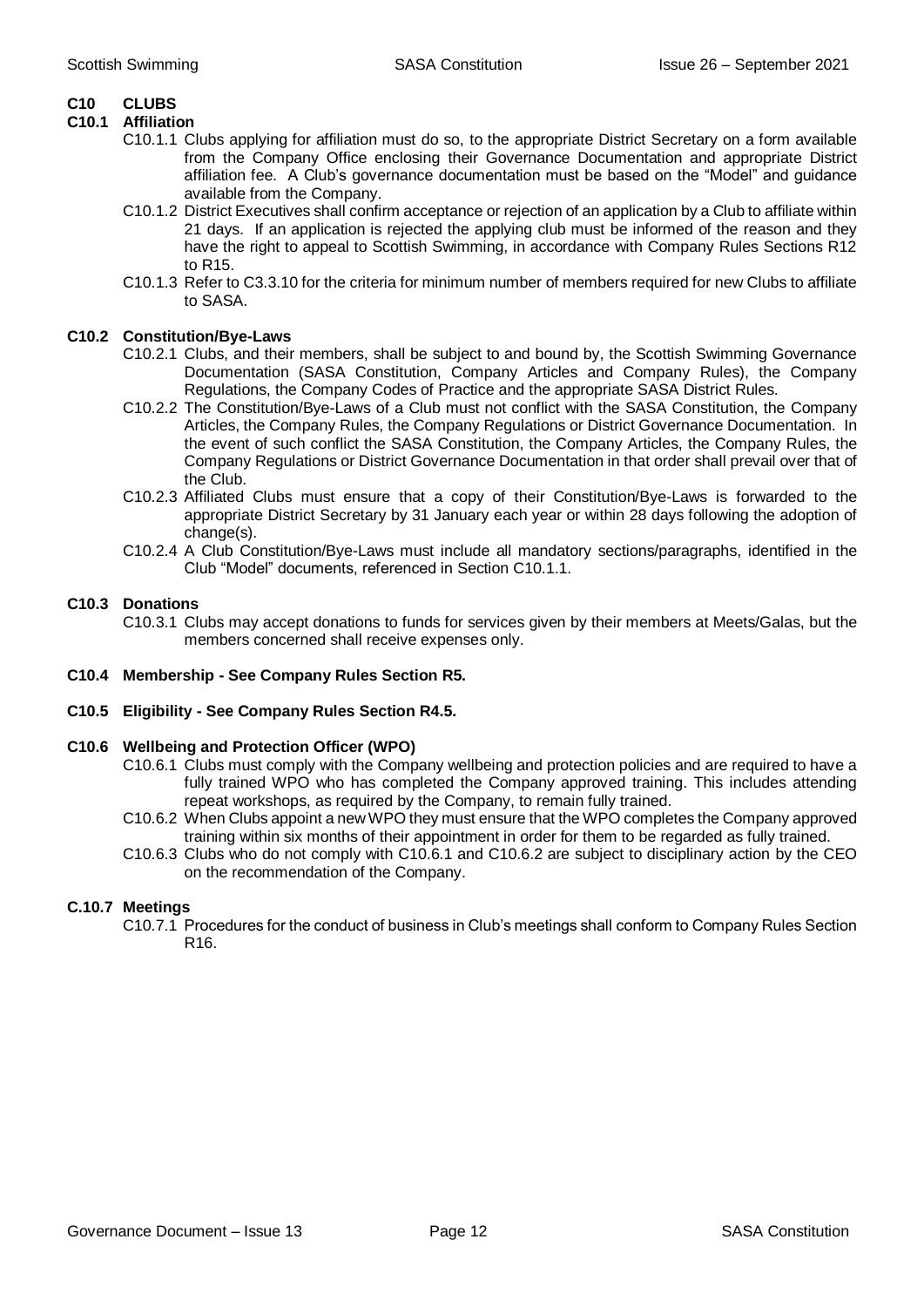#### **C10 CLUBS**

#### **C10.1 Affiliation**

- C10.1.1 Clubs applying for affiliation must do so, to the appropriate District Secretary on a form available from the Company Office enclosing their Governance Documentation and appropriate District affiliation fee. A Club's governance documentation must be based on the "Model" and guidance available from the Company.
- C10.1.2 District Executives shall confirm acceptance or rejection of an application by a Club to affiliate within 21 days. If an application is rejected the applying club must be informed of the reason and they have the right to appeal to Scottish Swimming, in accordance with Company Rules Sections R12 to R15.
- C10.1.3 Refer to C3.3.10 for the criteria for minimum number of members required for new Clubs to affiliate to SASA.

#### **C10.2 Constitution/Bye-Laws**

- C10.2.1 Clubs, and their members, shall be subject to and bound by, the Scottish Swimming Governance Documentation (SASA Constitution, Company Articles and Company Rules), the Company Regulations, the Company Codes of Practice and the appropriate SASA District Rules.
- C10.2.2 The Constitution/Bye-Laws of a Club must not conflict with the SASA Constitution, the Company Articles, the Company Rules, the Company Regulations or District Governance Documentation. In the event of such conflict the SASA Constitution, the Company Articles, the Company Rules, the Company Regulations or District Governance Documentation in that order shall prevail over that of the Club.
- C10.2.3 Affiliated Clubs must ensure that a copy of their Constitution/Bye-Laws is forwarded to the appropriate District Secretary by 31 January each year or within 28 days following the adoption of change(s).
- C10.2.4 A Club Constitution/Bye-Laws must include all mandatory sections/paragraphs, identified in the Club "Model" documents, referenced in Section C10.1.1.

#### **C10.3 Donations**

- C10.3.1 Clubs may accept donations to funds for services given by their members at Meets/Galas, but the members concerned shall receive expenses only.
- **C10.4 Membership - See Company Rules Section R5.**
- **C10.5 Eligibility - See Company Rules Section R4.5.**

#### **C10.6 Wellbeing and Protection Officer (WPO)**

- C10.6.1 Clubs must comply with the Company wellbeing and protection policies and are required to have a fully trained WPO who has completed the Company approved training. This includes attending repeat workshops, as required by the Company, to remain fully trained.
- C10.6.2 When Clubs appoint a new WPO they must ensure that the WPO completes the Company approved training within six months of their appointment in order for them to be regarded as fully trained.
- C10.6.3 Clubs who do not comply with C10.6.1 and C10.6.2 are subject to disciplinary action by the CEO on the recommendation of the Company.

#### **C.10.7 Meetings**

C10.7.1 Procedures for the conduct of business in Club's meetings shall conform to Company Rules Section R16.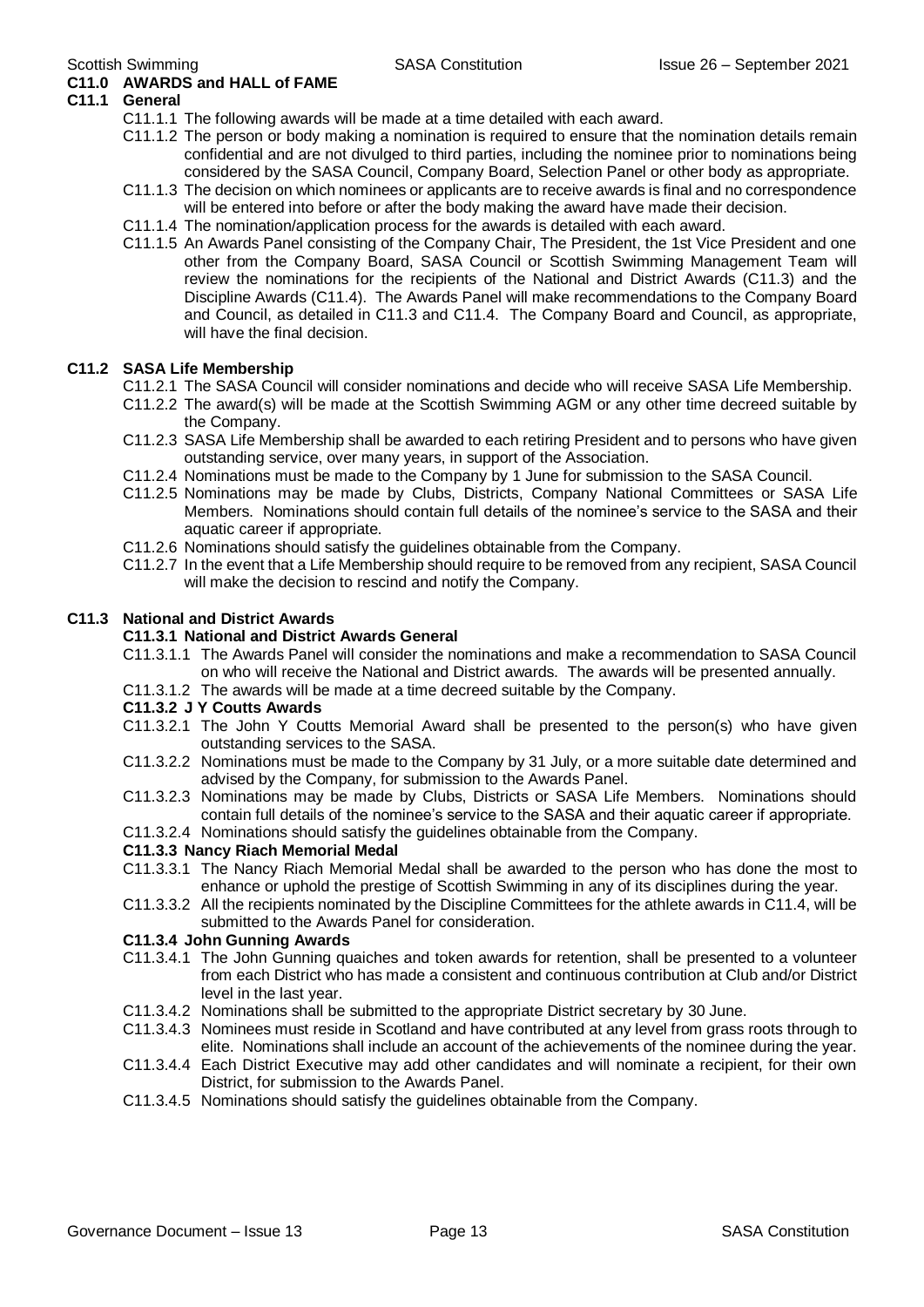### **C11.0 AWARDS and HALL of FAME**

#### **C11.1 General**

- C11.1.1 The following awards will be made at a time detailed with each award.
- C11.1.2 The person or body making a nomination is required to ensure that the nomination details remain confidential and are not divulged to third parties, including the nominee prior to nominations being considered by the SASA Council, Company Board, Selection Panel or other body as appropriate.
- C11.1.3 The decision on which nominees or applicants are to receive awards is final and no correspondence will be entered into before or after the body making the award have made their decision.
- C11.1.4 The nomination/application process for the awards is detailed with each award.
- C11.1.5 An Awards Panel consisting of the Company Chair, The President, the 1st Vice President and one other from the Company Board, SASA Council or Scottish Swimming Management Team will review the nominations for the recipients of the National and District Awards (C11.3) and the Discipline Awards (C11.4). The Awards Panel will make recommendations to the Company Board and Council, as detailed in C11.3 and C11.4. The Company Board and Council, as appropriate, will have the final decision.

#### **C11.2 SASA Life Membership**

- C11.2.1 The SASA Council will consider nominations and decide who will receive SASA Life Membership.
- C11.2.2 The award(s) will be made at the Scottish Swimming AGM or any other time decreed suitable by the Company.
- C11.2.3 SASA Life Membership shall be awarded to each retiring President and to persons who have given outstanding service, over many years, in support of the Association.
- C11.2.4 Nominations must be made to the Company by 1 June for submission to the SASA Council.
- C11.2.5 Nominations may be made by Clubs, Districts, Company National Committees or SASA Life Members. Nominations should contain full details of the nominee's service to the SASA and their aquatic career if appropriate.
- C11.2.6 Nominations should satisfy the guidelines obtainable from the Company.
- C11.2.7 In the event that a Life Membership should require to be removed from any recipient, SASA Council will make the decision to rescind and notify the Company.

#### **C11.3 National and District Awards**

#### **C11.3.1 National and District Awards General**

- C11.3.1.1 The Awards Panel will consider the nominations and make a recommendation to SASA Council on who will receive the National and District awards. The awards will be presented annually.
- C11.3.1.2 The awards will be made at a time decreed suitable by the Company.

#### **C11.3.2 J Y Coutts Awards**

- C11.3.2.1 The John Y Coutts Memorial Award shall be presented to the person(s) who have given outstanding services to the SASA.
- C11.3.2.2 Nominations must be made to the Company by 31 July, or a more suitable date determined and advised by the Company, for submission to the Awards Panel.
- C11.3.2.3 Nominations may be made by Clubs, Districts or SASA Life Members. Nominations should contain full details of the nominee's service to the SASA and their aquatic career if appropriate.
- C11.3.2.4 Nominations should satisfy the guidelines obtainable from the Company.

#### **C11.3.3 Nancy Riach Memorial Medal**

- C11.3.3.1 The Nancy Riach Memorial Medal shall be awarded to the person who has done the most to enhance or uphold the prestige of Scottish Swimming in any of its disciplines during the year.
- C11.3.3.2 All the recipients nominated by the Discipline Committees for the athlete awards in C11.4, will be submitted to the Awards Panel for consideration.

#### **C11.3.4 John Gunning Awards**

- C11.3.4.1 The John Gunning quaiches and token awards for retention, shall be presented to a volunteer from each District who has made a consistent and continuous contribution at Club and/or District level in the last year.
- C11.3.4.2 Nominations shall be submitted to the appropriate District secretary by 30 June.
- C11.3.4.3 Nominees must reside in Scotland and have contributed at any level from grass roots through to elite. Nominations shall include an account of the achievements of the nominee during the year.
- C11.3.4.4 Each District Executive may add other candidates and will nominate a recipient, for their own District, for submission to the Awards Panel.
- C11.3.4.5 Nominations should satisfy the guidelines obtainable from the Company.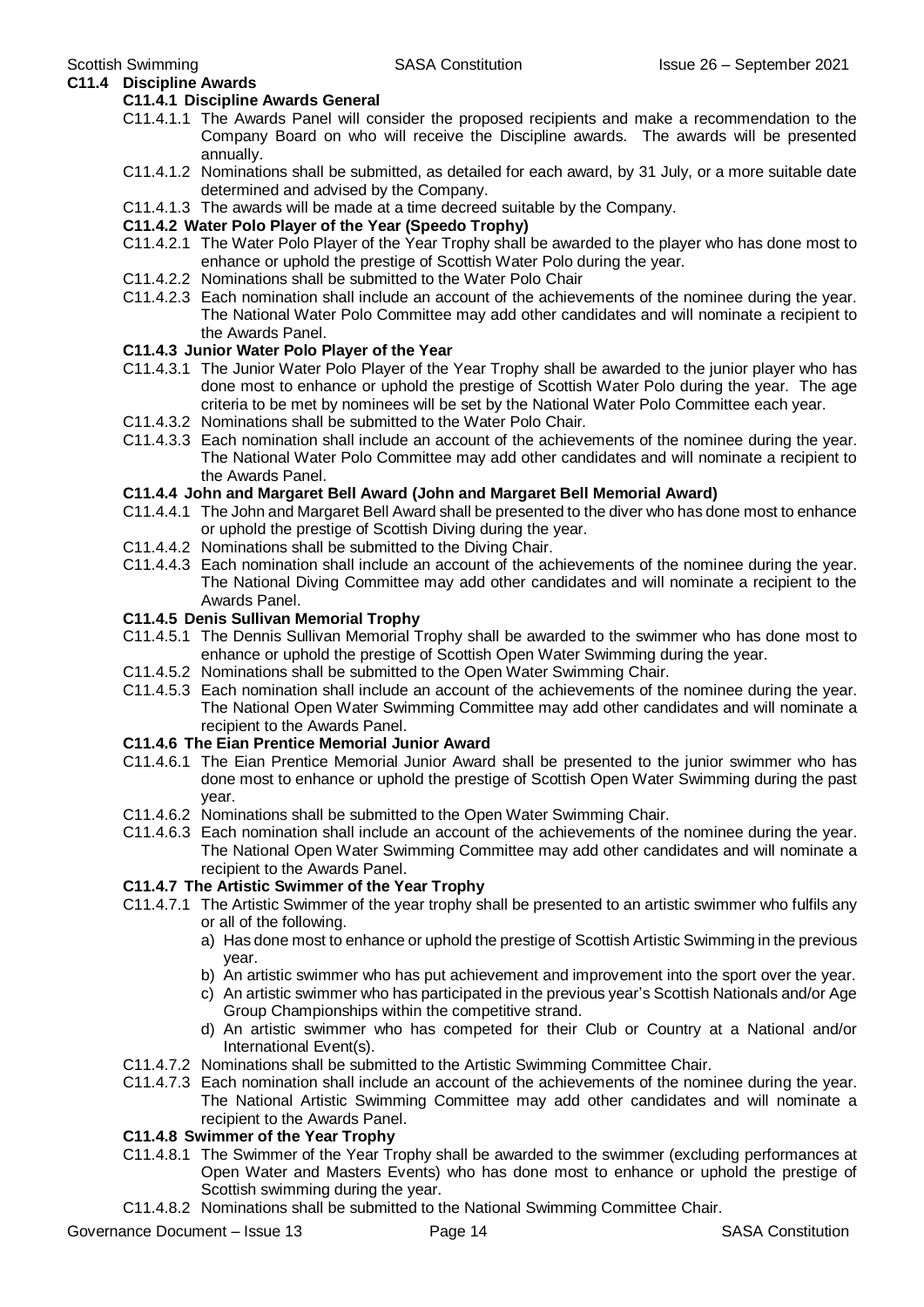**C11.4 Discipline Awards**

#### **C11.4.1 Discipline Awards General**

- C11.4.1.1 The Awards Panel will consider the proposed recipients and make a recommendation to the Company Board on who will receive the Discipline awards. The awards will be presented annually.
- C11.4.1.2 Nominations shall be submitted, as detailed for each award, by 31 July, or a more suitable date determined and advised by the Company.
- C11.4.1.3 The awards will be made at a time decreed suitable by the Company.

#### **C11.4.2 Water Polo Player of the Year (Speedo Trophy)**

- C11.4.2.1 The Water Polo Player of the Year Trophy shall be awarded to the player who has done most to enhance or uphold the prestige of Scottish Water Polo during the year.
- C11.4.2.2 Nominations shall be submitted to the Water Polo Chair
- C11.4.2.3 Each nomination shall include an account of the achievements of the nominee during the year. The National Water Polo Committee may add other candidates and will nominate a recipient to the Awards Panel.

#### **C11.4.3 Junior Water Polo Player of the Year**

- C11.4.3.1 The Junior Water Polo Player of the Year Trophy shall be awarded to the junior player who has done most to enhance or uphold the prestige of Scottish Water Polo during the year. The age criteria to be met by nominees will be set by the National Water Polo Committee each year.
- C11.4.3.2 Nominations shall be submitted to the Water Polo Chair.
- C11.4.3.3 Each nomination shall include an account of the achievements of the nominee during the year. The National Water Polo Committee may add other candidates and will nominate a recipient to the Awards Panel.

#### **C11.4.4 John and Margaret Bell Award (John and Margaret Bell Memorial Award)**

- C11.4.4.1 The John and Margaret Bell Award shall be presented to the diver who has done most to enhance or uphold the prestige of Scottish Diving during the year.
- C11.4.4.2 Nominations shall be submitted to the Diving Chair.
- C11.4.4.3 Each nomination shall include an account of the achievements of the nominee during the year. The National Diving Committee may add other candidates and will nominate a recipient to the Awards Panel.

#### **C11.4.5 Denis Sullivan Memorial Trophy**

- C11.4.5.1 The Dennis Sullivan Memorial Trophy shall be awarded to the swimmer who has done most to enhance or uphold the prestige of Scottish Open Water Swimming during the year.
- C11.4.5.2 Nominations shall be submitted to the Open Water Swimming Chair.
- C11.4.5.3 Each nomination shall include an account of the achievements of the nominee during the year. The National Open Water Swimming Committee may add other candidates and will nominate a recipient to the Awards Panel.

#### **C11.4.6 The Eian Prentice Memorial Junior Award**

- C11.4.6.1 The Eian Prentice Memorial Junior Award shall be presented to the junior swimmer who has done most to enhance or uphold the prestige of Scottish Open Water Swimming during the past year.
- C11.4.6.2 Nominations shall be submitted to the Open Water Swimming Chair.
- C11.4.6.3 Each nomination shall include an account of the achievements of the nominee during the year. The National Open Water Swimming Committee may add other candidates and will nominate a recipient to the Awards Panel.

#### **C11.4.7 The Artistic Swimmer of the Year Trophy**

- C11.4.7.1 The Artistic Swimmer of the year trophy shall be presented to an artistic swimmer who fulfils any or all of the following.
	- a) Has done most to enhance or uphold the prestige of Scottish Artistic Swimming in the previous year.
	- b) An artistic swimmer who has put achievement and improvement into the sport over the year.
	- c) An artistic swimmer who has participated in the previous year's Scottish Nationals and/or Age Group Championships within the competitive strand.
	- d) An artistic swimmer who has competed for their Club or Country at a National and/or International Event(s).
- C11.4.7.2 Nominations shall be submitted to the Artistic Swimming Committee Chair.
- C11.4.7.3 Each nomination shall include an account of the achievements of the nominee during the year. The National Artistic Swimming Committee may add other candidates and will nominate a recipient to the Awards Panel.

#### **C11.4.8 Swimmer of the Year Trophy**

- C11.4.8.1 The Swimmer of the Year Trophy shall be awarded to the swimmer (excluding performances at Open Water and Masters Events) who has done most to enhance or uphold the prestige of Scottish swimming during the year.
- C11.4.8.2 Nominations shall be submitted to the National Swimming Committee Chair.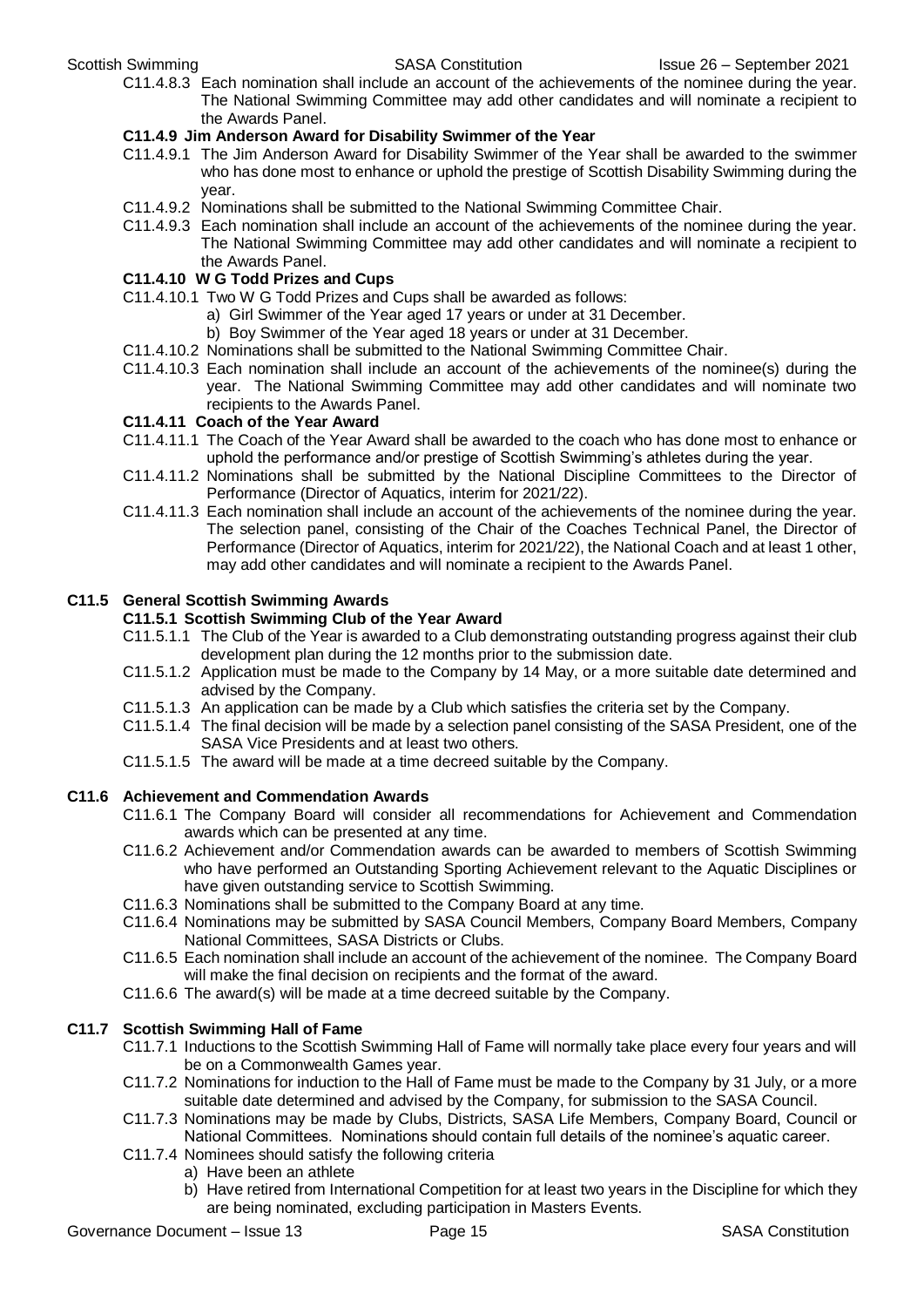C11.4.8.3 Each nomination shall include an account of the achievements of the nominee during the year. The National Swimming Committee may add other candidates and will nominate a recipient to the Awards Panel.

#### **C11.4.9 Jim Anderson Award for Disability Swimmer of the Year**

- C11.4.9.1 The Jim Anderson Award for Disability Swimmer of the Year shall be awarded to the swimmer who has done most to enhance or uphold the prestige of Scottish Disability Swimming during the year.
- C11.4.9.2 Nominations shall be submitted to the National Swimming Committee Chair.
- C11.4.9.3 Each nomination shall include an account of the achievements of the nominee during the year. The National Swimming Committee may add other candidates and will nominate a recipient to the Awards Panel.

#### **C11.4.10 W G Todd Prizes and Cups**

- C11.4.10.1 Two W G Todd Prizes and Cups shall be awarded as follows:
	- a) Girl Swimmer of the Year aged 17 years or under at 31 December.
		- b) Boy Swimmer of the Year aged 18 years or under at 31 December.
- C11.4.10.2 Nominations shall be submitted to the National Swimming Committee Chair.
- C11.4.10.3 Each nomination shall include an account of the achievements of the nominee(s) during the year. The National Swimming Committee may add other candidates and will nominate two recipients to the Awards Panel.

#### **C11.4.11 Coach of the Year Award**

- C11.4.11.1 The Coach of the Year Award shall be awarded to the coach who has done most to enhance or uphold the performance and/or prestige of Scottish Swimming's athletes during the year.
- C11.4.11.2 Nominations shall be submitted by the National Discipline Committees to the Director of Performance (Director of Aquatics, interim for 2021/22).
- C11.4.11.3 Each nomination shall include an account of the achievements of the nominee during the year. The selection panel, consisting of the Chair of the Coaches Technical Panel, the Director of Performance (Director of Aquatics, interim for 2021/22), the National Coach and at least 1 other, may add other candidates and will nominate a recipient to the Awards Panel.

#### **C11.5 General Scottish Swimming Awards**

#### **C11.5.1 Scottish Swimming Club of the Year Award**

- C11.5.1.1 The Club of the Year is awarded to a Club demonstrating outstanding progress against their club development plan during the 12 months prior to the submission date.
- C11.5.1.2 Application must be made to the Company by 14 May, or a more suitable date determined and advised by the Company.
- C11.5.1.3 An application can be made by a Club which satisfies the criteria set by the Company.
- C11.5.1.4 The final decision will be made by a selection panel consisting of the SASA President, one of the SASA Vice Presidents and at least two others.
- C11.5.1.5 The award will be made at a time decreed suitable by the Company.

#### **C11.6 Achievement and Commendation Awards**

- C11.6.1 The Company Board will consider all recommendations for Achievement and Commendation awards which can be presented at any time.
- C11.6.2 Achievement and/or Commendation awards can be awarded to members of Scottish Swimming who have performed an Outstanding Sporting Achievement relevant to the Aquatic Disciplines or have given outstanding service to Scottish Swimming.
- C11.6.3 Nominations shall be submitted to the Company Board at any time.
- C11.6.4 Nominations may be submitted by SASA Council Members, Company Board Members, Company National Committees, SASA Districts or Clubs.
- C11.6.5 Each nomination shall include an account of the achievement of the nominee. The Company Board will make the final decision on recipients and the format of the award.
- C11.6.6 The award(s) will be made at a time decreed suitable by the Company.

### **C11.7 Scottish Swimming Hall of Fame**

- C11.7.1 Inductions to the Scottish Swimming Hall of Fame will normally take place every four years and will be on a Commonwealth Games year.
- C11.7.2 Nominations for induction to the Hall of Fame must be made to the Company by 31 July, or a more suitable date determined and advised by the Company, for submission to the SASA Council.
- C11.7.3 Nominations may be made by Clubs, Districts, SASA Life Members, Company Board, Council or National Committees. Nominations should contain full details of the nominee's aquatic career.
- C11.7.4 Nominees should satisfy the following criteria
	- a) Have been an athlete
	- b) Have retired from International Competition for at least two years in the Discipline for which they are being nominated, excluding participation in Masters Events.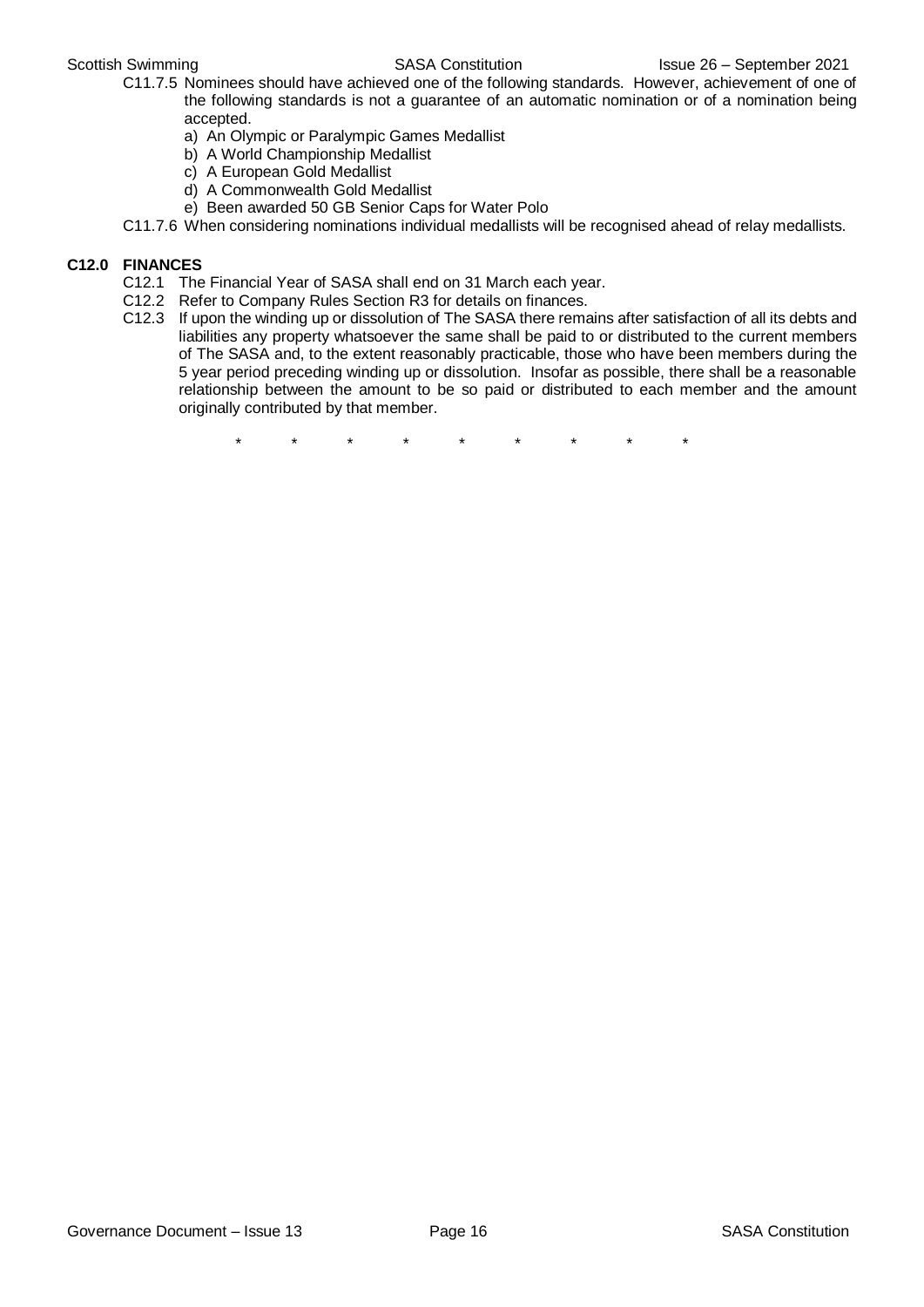- C11.7.5 Nominees should have achieved one of the following standards. However, achievement of one of the following standards is not a guarantee of an automatic nomination or of a nomination being accepted.
	- a) An Olympic or Paralympic Games Medallist
	- b) A World Championship Medallist
	- c) A European Gold Medallist
	- d) A Commonwealth Gold Medallist
	- e) Been awarded 50 GB Senior Caps for Water Polo
- C11.7.6 When considering nominations individual medallists will be recognised ahead of relay medallists.

#### **C12.0 FINANCES**

- C12.1 The Financial Year of SASA shall end on 31 March each year.
- C12.2 Refer to Company Rules Section R3 for details on finances.
- C12.3 If upon the winding up or dissolution of The SASA there remains after satisfaction of all its debts and liabilities any property whatsoever the same shall be paid to or distributed to the current members of The SASA and, to the extent reasonably practicable, those who have been members during the 5 year period preceding winding up or dissolution. Insofar as possible, there shall be a reasonable relationship between the amount to be so paid or distributed to each member and the amount originally contributed by that member.

\* \* \* \* \* \* \* \* \*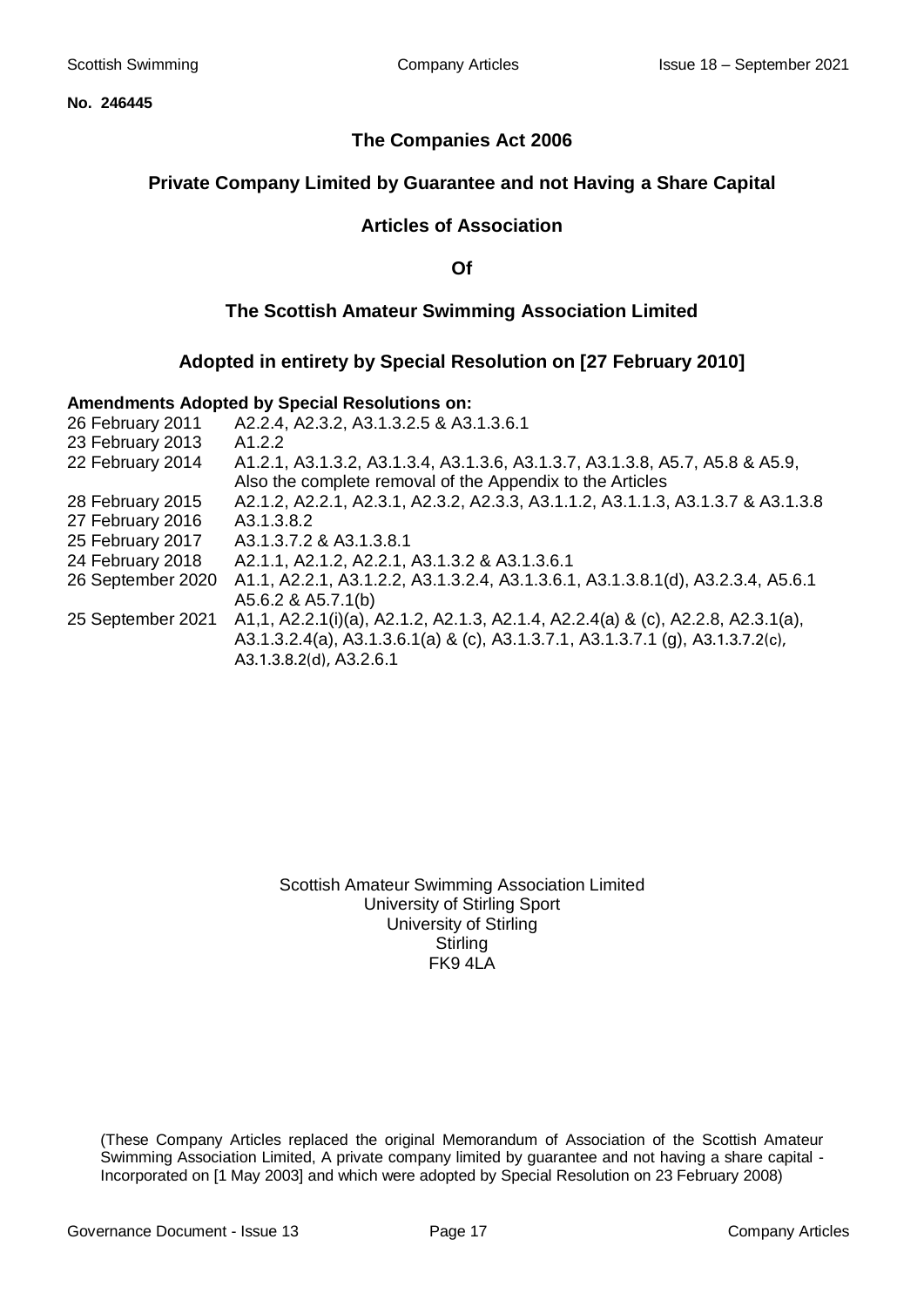**No. 246445**

### **The Companies Act 2006**

### **Private Company Limited by Guarantee and not Having a Share Capital**

### **Articles of Association**

**Of**

### **The Scottish Amateur Swimming Association Limited**

#### **Adopted in entirety by Special Resolution on [27 February 2010]**

#### **Amendments Adopted by Special Resolutions on:**

| 26 February 2011  | A2.2.4, A2.3.2, A3.1.3.2.5 & A3.1.3.6.1                                         |
|-------------------|---------------------------------------------------------------------------------|
| 23 February 2013  | A <sub>1.2.2</sub>                                                              |
| 22 February 2014  | A1.2.1, A3.1.3.2, A3.1.3.4, A3.1.3.6, A3.1.3.7, A3.1.3.8, A5.7, A5.8 & A5.9,    |
|                   | Also the complete removal of the Appendix to the Articles                       |
| 28 February 2015  | A2.1.2, A2.2.1, A2.3.1, A2.3.2, A2.3.3, A3.1.1.2, A3.1.1.3, A3.1.3.7 & A3.1.3.8 |
| 27 February 2016  | A3.1.3.8.2                                                                      |
| 25 February 2017  | A3.1.3.7.2 & A3.1.3.8.1                                                         |
| 24 February 2018  | A2.1.1, A2.1.2, A2.2.1, A3.1.3.2 & A3.1.3.6.1                                   |
| 26 September 2020 | A1.1, A2.2.1, A3.1.2.2, A3.1.3.2.4, A3.1.3.6.1, A3.1.3.8.1(d), A3.2.3.4, A5.6.1 |
|                   | A5.6.2 & A5.7.1(b)                                                              |
| 25 September 2021 | A1,1, A2.2.1(i)(a), A2.1.2, A2.1.3, A2.1.4, A2.2.4(a) & (c), A2.2.8, A2.3.1(a), |
|                   | A3.1.3.2.4(a), A3.1.3.6.1(a) & (c), A3.1.3.7.1, A3.1.3.7.1 (g), A3.1.3.7.2(c),  |
|                   | A3.1.3.8.2(d), A3.2.6.1                                                         |

Scottish Amateur Swimming Association Limited University of Stirling Sport University of Stirling **Stirling** FK9 4LA

(These Company Articles replaced the original Memorandum of Association of the Scottish Amateur Swimming Association Limited, A private company limited by guarantee and not having a share capital - Incorporated on [1 May 2003] and which were adopted by Special Resolution on 23 February 2008)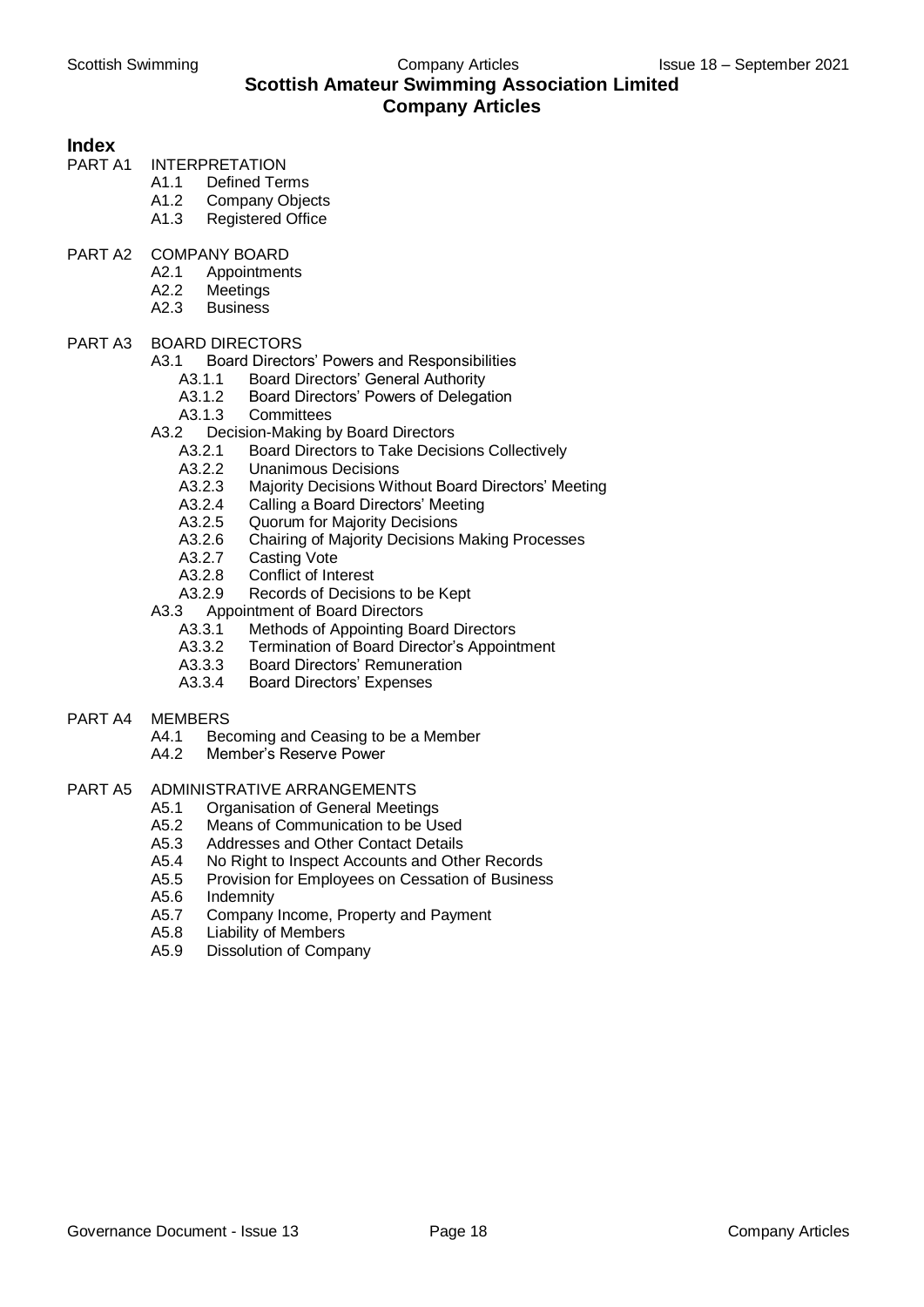### Scottish Swimming **Company Articles** Issue 18 – September 2021 **Scottish Amateur Swimming Association Limited Company Articles**

## **Index**

- **INTERPRETATION** 
	- A1.1 Defined Terms
	- A1.2 Company Objects
	- A1.3 Registered Office
- PART A2 COMPANY BOARD
	- A2.1 Appointments
	- A2.2 Meetings
	- A2.3 Business

#### PART A3 BOARD DIRECTORS

- A3.1 Board Directors' Powers and Responsibilities
	- A3.1.1 Board Directors' General Authority
	- A3.1.2 Board Directors' Powers of Delegation
	- A3.1.3 Committees
- A3.2 Decision-Making by Board Directors<br>A3.2.1 Board Directors to Take Decisi
	- A3.2.1 Board Directors to Take Decisions Collectively<br>A3.2.2 Unanimous Decisions
	- **Unanimous Decisions**
	- A3.2.3 Majority Decisions Without Board Directors' Meeting<br>A3.2.4 Calling a Board Directors' Meeting
	-
	- A3.2.4 Calling a Board Directors' Meeting<br>A3.2.5 Quorum for Majority Decisions
	- A3.2.5 Quorum for Majority Decisions<br>A3.2.6 Chairing of Majority Decisions Chairing of Majority Decisions Making Processes
	- A3.2.7 Casting Vote
	- A3.2.8 Conflict of Interest
	- A3.2.9 Records of Decisions to be Kept
- A3.3 Appointment of Board Directors
	- A3.3.1 Methods of Appointing Board Directors
	- A3.3.2 Termination of Board Director's Appointment
	- A3.3.3 Board Directors' Remuneration
	- A3.3.4 Board Directors' Expenses

#### PART A4 MEMBERS

- A4.1 Becoming and Ceasing to be a Member
- A4.2 Member's Reserve Power

#### PART A5 ADMINISTRATIVE ARRANGEMENTS

- A5.1 Organisation of General Meetings<br>A5.2 Means of Communication to be Us
- A5.2 Means of Communication to be Used<br>A5.3 Addresses and Other Contact Details
- Addresses and Other Contact Details
- A5.4 No Right to Inspect Accounts and Other Records
- A5.5 Provision for Employees on Cessation of Business
- A5.6 Indemnity
- A5.7 Company Income, Property and Payment
- A5.8 Liability of Members
- A5.9 Dissolution of Company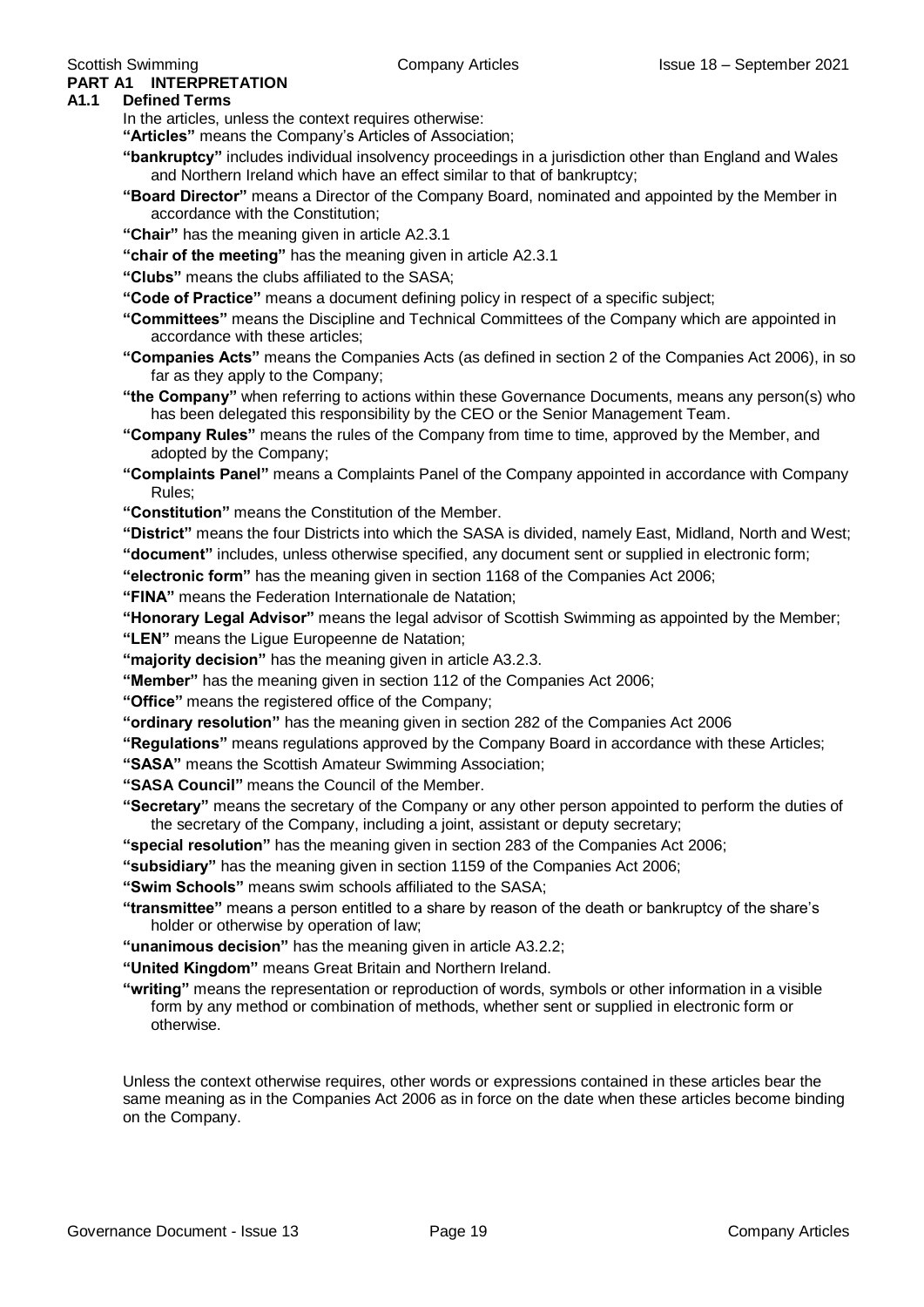#### **PART A1 INTERPRETATION A1.1 Defined Terms**

In the articles, unless the context requires otherwise:

**"Articles"** means the Company's Articles of Association;

- **"bankruptcy"** includes individual insolvency proceedings in a jurisdiction other than England and Wales and Northern Ireland which have an effect similar to that of bankruptcy;
- **"Board Director"** means a Director of the Company Board, nominated and appointed by the Member in accordance with the Constitution;
- **"Chair"** has the meaning given in article A2.3.1
- **"chair of the meeting"** has the meaning given in article A2.3.1
- **"Clubs"** means the clubs affiliated to the SASA;
- **"Code of Practice"** means a document defining policy in respect of a specific subject;
- **"Committees"** means the Discipline and Technical Committees of the Company which are appointed in accordance with these articles;
- **"Companies Acts"** means the Companies Acts (as defined in section 2 of the Companies Act 2006), in so far as they apply to the Company;
- **"the Company"** when referring to actions within these Governance Documents, means any person(s) who has been delegated this responsibility by the CEO or the Senior Management Team.
- **"Company Rules"** means the rules of the Company from time to time, approved by the Member, and adopted by the Company;
- **"Complaints Panel"** means a Complaints Panel of the Company appointed in accordance with Company Rules;
- **"Constitution"** means the Constitution of the Member.
- **"District"** means the four Districts into which the SASA is divided, namely East, Midland, North and West;
- **"document"** includes, unless otherwise specified, any document sent or supplied in electronic form;

**"electronic form"** has the meaning given in section 1168 of the Companies Act 2006;

**"FINA"** means the Federation Internationale de Natation;

**"Honorary Legal Advisor"** means the legal advisor of Scottish Swimming as appointed by the Member;

- **"LEN"** means the Ligue Europeenne de Natation;
- **"majority decision"** has the meaning given in article A3.2.3.
- **"Member"** has the meaning given in section 112 of the Companies Act 2006;

**"Office"** means the registered office of the Company;

**"ordinary resolution"** has the meaning given in section 282 of the Companies Act 2006

**"Regulations"** means regulations approved by the Company Board in accordance with these Articles;

**"SASA"** means the Scottish Amateur Swimming Association;

**"SASA Council"** means the Council of the Member.

- **"Secretary"** means the secretary of the Company or any other person appointed to perform the duties of the secretary of the Company, including a joint, assistant or deputy secretary;
- **"special resolution"** has the meaning given in section 283 of the Companies Act 2006;

**"subsidiary"** has the meaning given in section 1159 of the Companies Act 2006;

**"Swim Schools"** means swim schools affiliated to the SASA;

**"transmittee"** means a person entitled to a share by reason of the death or bankruptcy of the share's holder or otherwise by operation of law;

**"unanimous decision"** has the meaning given in article A3.2.2;

**"United Kingdom"** means Great Britain and Northern Ireland.

**"writing"** means the representation or reproduction of words, symbols or other information in a visible form by any method or combination of methods, whether sent or supplied in electronic form or otherwise.

Unless the context otherwise requires, other words or expressions contained in these articles bear the same meaning as in the Companies Act 2006 as in force on the date when these articles become binding on the Company.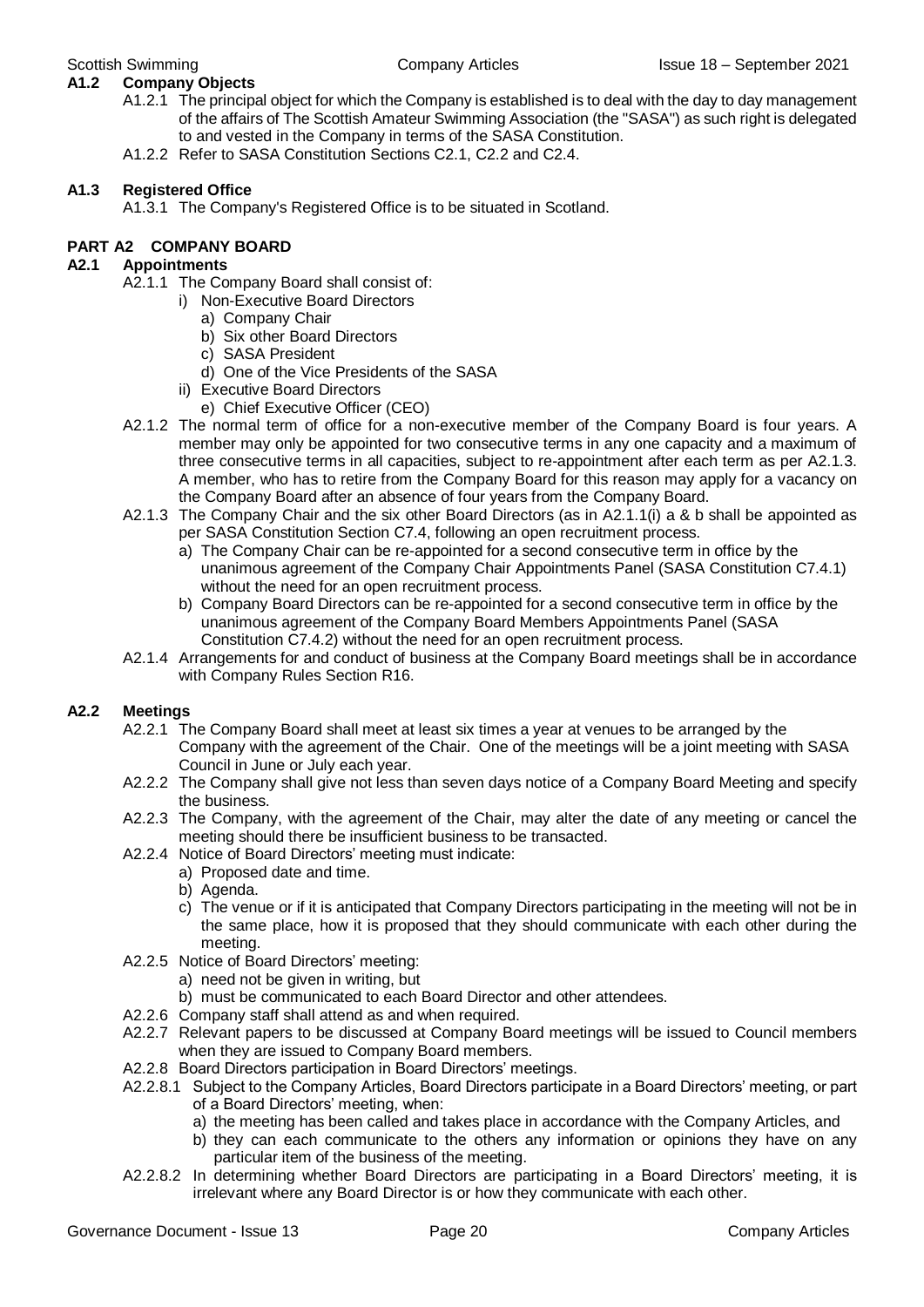#### **A1.2 Company Objects**

- A1.2.1 The principal object for which the Company is established is to deal with the day to day management of the affairs of The Scottish Amateur Swimming Association (the "SASA") as such right is delegated to and vested in the Company in terms of the SASA Constitution.
- A1.2.2 Refer to SASA Constitution Sections C2.1, C2.2 and C2.4.

#### **A1.3 Registered Office**

A1.3.1 The Company's Registered Office is to be situated in Scotland.

#### **PART A2 COMPANY BOARD**

#### **A2.1 Appointments**

- A2.1.1 The Company Board shall consist of:
	- i) Non-Executive Board Directors
		- a) Company Chair
		- b) Six other Board Directors
		- c) SASA President
		- d) One of the Vice Presidents of the SASA
	- ii) Executive Board Directors
		- e) Chief Executive Officer (CEO)
- A2.1.2 The normal term of office for a non-executive member of the Company Board is four years. A member may only be appointed for two consecutive terms in any one capacity and a maximum of three consecutive terms in all capacities, subject to re-appointment after each term as per A2.1.3. A member, who has to retire from the Company Board for this reason may apply for a vacancy on the Company Board after an absence of four years from the Company Board.
- A2.1.3 The Company Chair and the six other Board Directors (as in A2.1.1(i) a & b shall be appointed as per SASA Constitution Section C7.4, following an open recruitment process.
	- a) The Company Chair can be re-appointed for a second consecutive term in office by the unanimous agreement of the Company Chair Appointments Panel (SASA Constitution C7.4.1) without the need for an open recruitment process.
	- b) Company Board Directors can be re-appointed for a second consecutive term in office by the unanimous agreement of the Company Board Members Appointments Panel (SASA Constitution C7.4.2) without the need for an open recruitment process.
- A2.1.4 Arrangements for and conduct of business at the Company Board meetings shall be in accordance with Company Rules Section R16.

#### **A2.2 Meetings**

- A2.2.1 The Company Board shall meet at least six times a year at venues to be arranged by the Company with the agreement of the Chair. One of the meetings will be a joint meeting with SASA Council in June or July each year.
- A2.2.2 The Company shall give not less than seven days notice of a Company Board Meeting and specify the business.
- A2.2.3 The Company, with the agreement of the Chair, may alter the date of any meeting or cancel the meeting should there be insufficient business to be transacted.
- A2.2.4 Notice of Board Directors' meeting must indicate:
	- a) Proposed date and time.
	- b) Agenda.
	- c) The venue or if it is anticipated that Company Directors participating in the meeting will not be in the same place, how it is proposed that they should communicate with each other during the meeting.
- A2.2.5 Notice of Board Directors' meeting:
	- a) need not be given in writing, but
	- b) must be communicated to each Board Director and other attendees.
- A2.2.6 Company staff shall attend as and when required.
- A2.2.7 Relevant papers to be discussed at Company Board meetings will be issued to Council members when they are issued to Company Board members.
- A2.2.8 Board Directors participation in Board Directors' meetings.
- A2.2.8.1 Subject to the Company Articles, Board Directors participate in a Board Directors' meeting, or part of a Board Directors' meeting, when:
	- a) the meeting has been called and takes place in accordance with the Company Articles, and
	- b) they can each communicate to the others any information or opinions they have on any particular item of the business of the meeting.
- A2.2.8.2 In determining whether Board Directors are participating in a Board Directors' meeting, it is irrelevant where any Board Director is or how they communicate with each other.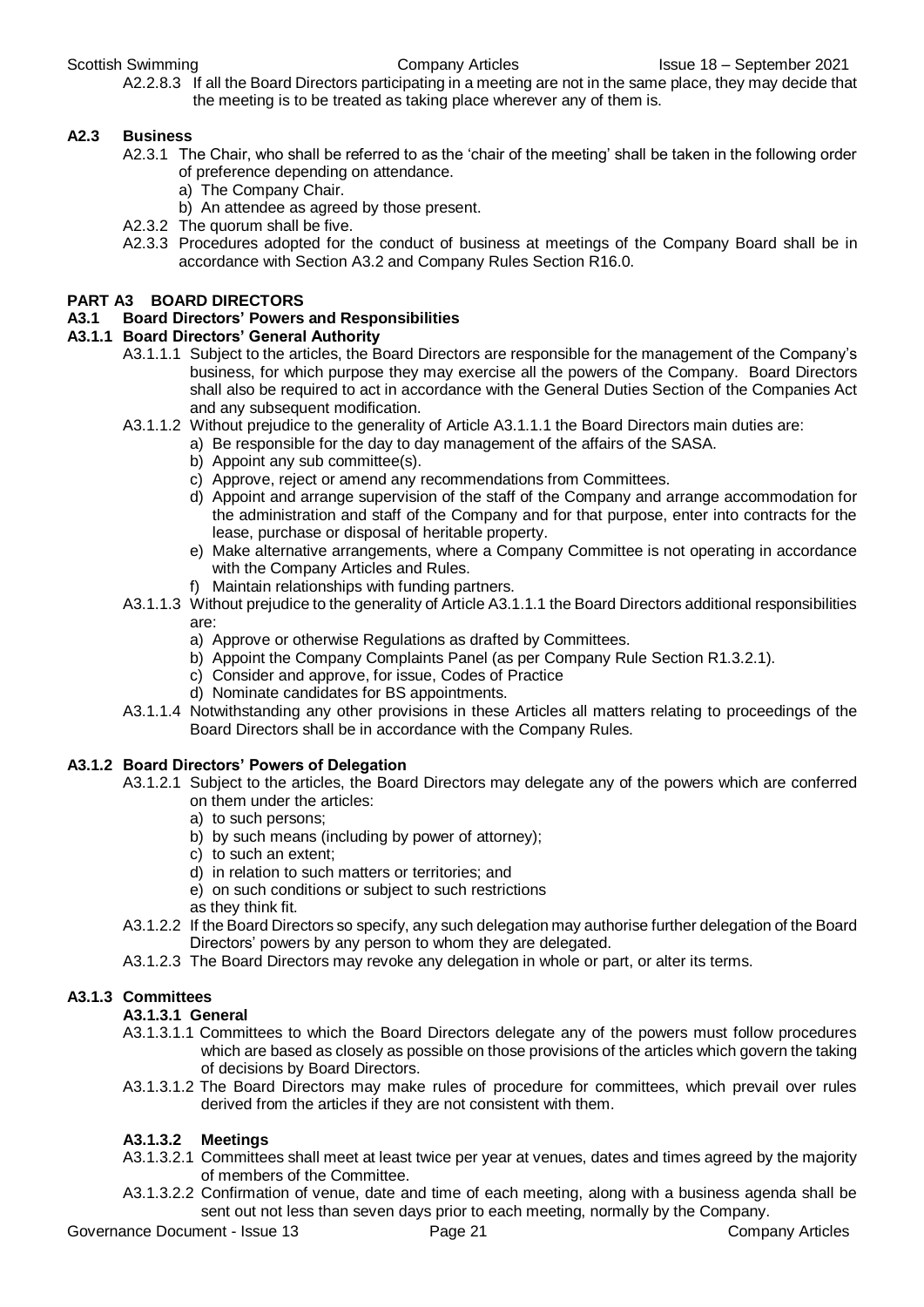A2.2.8.3 If all the Board Directors participating in a meeting are not in the same place, they may decide that the meeting is to be treated as taking place wherever any of them is.

#### **A2.3 Business**

- A2.3.1 The Chair, who shall be referred to as the 'chair of the meeting' shall be taken in the following order of preference depending on attendance.
	- a) The Company Chair.
	- b) An attendee as agreed by those present.
- A2.3.2 The quorum shall be five.
- A2.3.3 Procedures adopted for the conduct of business at meetings of the Company Board shall be in accordance with Section A3.2 and Company Rules Section R16.0.

#### **PART A3 BOARD DIRECTORS**

#### **A3.1 Board Directors' Powers and Responsibilities**

#### **A3.1.1 Board Directors' General Authority**

- A3.1.1.1 Subject to the articles, the Board Directors are responsible for the management of the Company's business, for which purpose they may exercise all the powers of the Company. Board Directors shall also be required to act in accordance with the General Duties Section of the Companies Act and any subsequent modification.
- A3.1.1.2 Without prejudice to the generality of Article A3.1.1.1 the Board Directors main duties are:
	- a) Be responsible for the day to day management of the affairs of the SASA.
	- b) Appoint any sub committee(s).
	- c) Approve, reject or amend any recommendations from Committees.
	- d) Appoint and arrange supervision of the staff of the Company and arrange accommodation for the administration and staff of the Company and for that purpose, enter into contracts for the lease, purchase or disposal of heritable property.
	- e) Make alternative arrangements, where a Company Committee is not operating in accordance with the Company Articles and Rules.
	- f) Maintain relationships with funding partners.
- A3.1.1.3 Without prejudice to the generality of Article A3.1.1.1 the Board Directors additional responsibilities are:
	- a) Approve or otherwise Regulations as drafted by Committees.
	- b) Appoint the Company Complaints Panel (as per Company Rule Section R1.3.2.1).
	- c) Consider and approve, for issue, Codes of Practice
	- d) Nominate candidates for BS appointments.
- A3.1.1.4 Notwithstanding any other provisions in these Articles all matters relating to proceedings of the Board Directors shall be in accordance with the Company Rules.

#### **A3.1.2 Board Directors' Powers of Delegation**

- A3.1.2.1 Subject to the articles, the Board Directors may delegate any of the powers which are conferred on them under the articles:
	- a) to such persons;
	- b) by such means (including by power of attorney);
	- c) to such an extent;
	- d) in relation to such matters or territories; and
	- e) on such conditions or subject to such restrictions
	- as they think fit.
- A3.1.2.2 If the Board Directors so specify, any such delegation may authorise further delegation of the Board Directors' powers by any person to whom they are delegated.
- A3.1.2.3 The Board Directors may revoke any delegation in whole or part, or alter its terms.

#### **A3.1.3 Committees**

#### **A3.1.3.1 General**

- A3.1.3.1.1 Committees to which the Board Directors delegate any of the powers must follow procedures which are based as closely as possible on those provisions of the articles which govern the taking of decisions by Board Directors.
- A3.1.3.1.2 The Board Directors may make rules of procedure for committees, which prevail over rules derived from the articles if they are not consistent with them.

#### **A3.1.3.2 Meetings**

- A3.1.3.2.1 Committees shall meet at least twice per year at venues, dates and times agreed by the majority of members of the Committee.
- A3.1.3.2.2 Confirmation of venue, date and time of each meeting, along with a business agenda shall be sent out not less than seven days prior to each meeting, normally by the Company.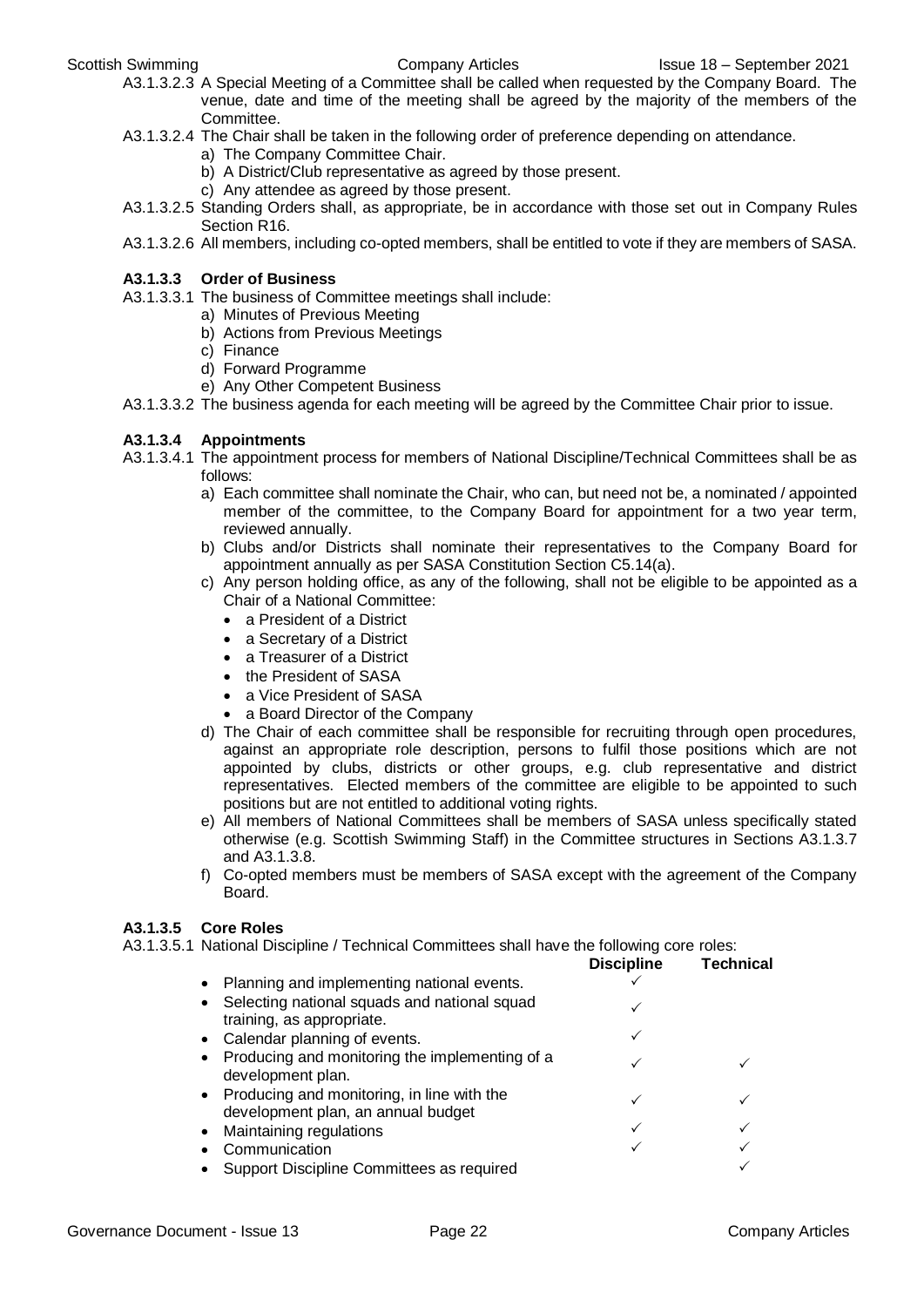- A3.1.3.2.3 A Special Meeting of a Committee shall be called when requested by the Company Board. The venue, date and time of the meeting shall be agreed by the majority of the members of the Committee.
- A3.1.3.2.4 The Chair shall be taken in the following order of preference depending on attendance.
	- a) The Company Committee Chair.
	- b) A District/Club representative as agreed by those present.
	- c) Any attendee as agreed by those present.
- A3.1.3.2.5 Standing Orders shall, as appropriate, be in accordance with those set out in Company Rules Section R16.
- A3.1.3.2.6 All members, including co-opted members, shall be entitled to vote if they are members of SASA.

#### **A3.1.3.3 Order of Business**

- A3.1.3.3.1 The business of Committee meetings shall include:
	- a) Minutes of Previous Meeting
		- b) Actions from Previous Meetings
		- c) Finance
		- d) Forward Programme
		- e) Any Other Competent Business
- A3.1.3.3.2 The business agenda for each meeting will be agreed by the Committee Chair prior to issue.

#### **A3.1.3.4 Appointments**

- A3.1.3.4.1 The appointment process for members of National Discipline/Technical Committees shall be as follows:
	- a) Each committee shall nominate the Chair, who can, but need not be, a nominated / appointed member of the committee, to the Company Board for appointment for a two year term, reviewed annually.
	- b) Clubs and/or Districts shall nominate their representatives to the Company Board for appointment annually as per SASA Constitution Section C5.14(a).
	- c) Any person holding office, as any of the following, shall not be eligible to be appointed as a Chair of a National Committee:
		- a President of a District
		- a Secretary of a District
		- a Treasurer of a District
		- the President of SASA
		- a Vice President of SASA
		- a Board Director of the Company
	- d) The Chair of each committee shall be responsible for recruiting through open procedures, against an appropriate role description, persons to fulfil those positions which are not appointed by clubs, districts or other groups, e.g. club representative and district representatives. Elected members of the committee are eligible to be appointed to such positions but are not entitled to additional voting rights.
	- e) All members of National Committees shall be members of SASA unless specifically stated otherwise (e.g. Scottish Swimming Staff) in the Committee structures in Sections A3.1.3.7 and A3.1.3.8.
	- f) Co-opted members must be members of SASA except with the agreement of the Company Board.

#### **A3.1.3.5 Core Roles**

A3.1.3.5.1 National Discipline / Technical Committees shall have the following core roles:

|           |                                                                                    | <b>Discipline</b> | <b>Technical</b> |
|-----------|------------------------------------------------------------------------------------|-------------------|------------------|
|           | Planning and implementing national events.                                         |                   |                  |
|           | Selecting national squads and national squad<br>training, as appropriate.          |                   |                  |
|           | Calendar planning of events.                                                       |                   |                  |
| $\bullet$ | Producing and monitoring the implementing of a<br>development plan.                |                   |                  |
|           | • Producing and monitoring, in line with the<br>development plan, an annual budget |                   |                  |
|           | Maintaining regulations                                                            |                   |                  |
|           | Communication                                                                      |                   |                  |
|           | Support Discipline Committees as required                                          |                   |                  |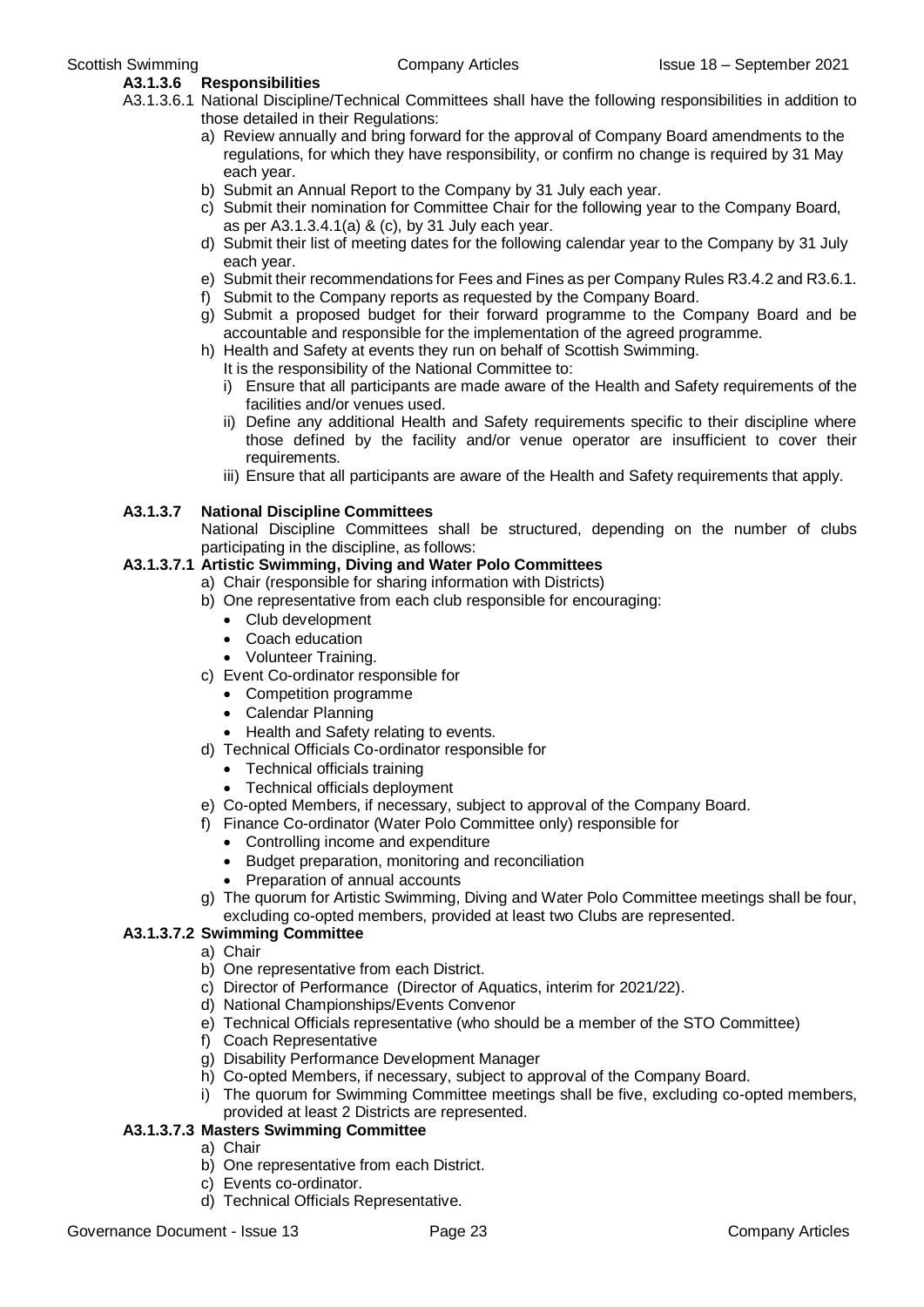#### **A3.1.3.6 Responsibilities**

- A3.1.3.6.1 National Discipline/Technical Committees shall have the following responsibilities in addition to those detailed in their Regulations:
	- a) Review annually and bring forward for the approval of Company Board amendments to the regulations, for which they have responsibility, or confirm no change is required by 31 May each year.
	- b) Submit an Annual Report to the Company by 31 July each year.
	- c) Submit their nomination for Committee Chair for the following year to the Company Board, as per A3.1.3.4.1(a) & (c), by 31 July each year.
	- d) Submit their list of meeting dates for the following calendar year to the Company by 31 July each year.
	- e) Submit their recommendations for Fees and Fines as per Company Rules R3.4.2 and R3.6.1.
	- f) Submit to the Company reports as requested by the Company Board.
	- g) Submit a proposed budget for their forward programme to the Company Board and be accountable and responsible for the implementation of the agreed programme.
	- h) Health and Safety at events they run on behalf of Scottish Swimming.
	- It is the responsibility of the National Committee to:
		- i) Ensure that all participants are made aware of the Health and Safety requirements of the facilities and/or venues used.
		- ii) Define any additional Health and Safety requirements specific to their discipline where those defined by the facility and/or venue operator are insufficient to cover their requirements.
		- iii) Ensure that all participants are aware of the Health and Safety requirements that apply.

#### **A3.1.3.7 National Discipline Committees**

National Discipline Committees shall be structured, depending on the number of clubs participating in the discipline, as follows:

#### **A3.1.3.7.1 Artistic Swimming, Diving and Water Polo Committees**

- a) Chair (responsible for sharing information with Districts)
- b) One representative from each club responsible for encouraging:
	- Club development
	- Coach education
	- Volunteer Training.
- c) Event Co-ordinator responsible for
	- Competition programme
	- Calendar Planning
	- Health and Safety relating to events.
- d) Technical Officials Co-ordinator responsible for
	- Technical officials training
	- Technical officials deployment
- e) Co-opted Members, if necessary, subject to approval of the Company Board.
- f) Finance Co-ordinator (Water Polo Committee only) responsible for
	- Controlling income and expenditure
	- Budget preparation, monitoring and reconciliation
	- Preparation of annual accounts
- g) The quorum for Artistic Swimming, Diving and Water Polo Committee meetings shall be four, excluding co-opted members, provided at least two Clubs are represented.

#### **A3.1.3.7.2 Swimming Committee**

- a) Chair
- b) One representative from each District.
- c) Director of Performance (Director of Aquatics, interim for 2021/22).
- d) National Championships/Events Convenor
- e) Technical Officials representative (who should be a member of the STO Committee)
- f) Coach Representative
- g) Disability Performance Development Manager
- h) Co-opted Members, if necessary, subject to approval of the Company Board.
- i) The quorum for Swimming Committee meetings shall be five, excluding co-opted members, provided at least 2 Districts are represented.

### **A3.1.3.7.3 Masters Swimming Committee**

- a) Chair
- b) One representative from each District.
- c) Events co-ordinator.
- d) Technical Officials Representative.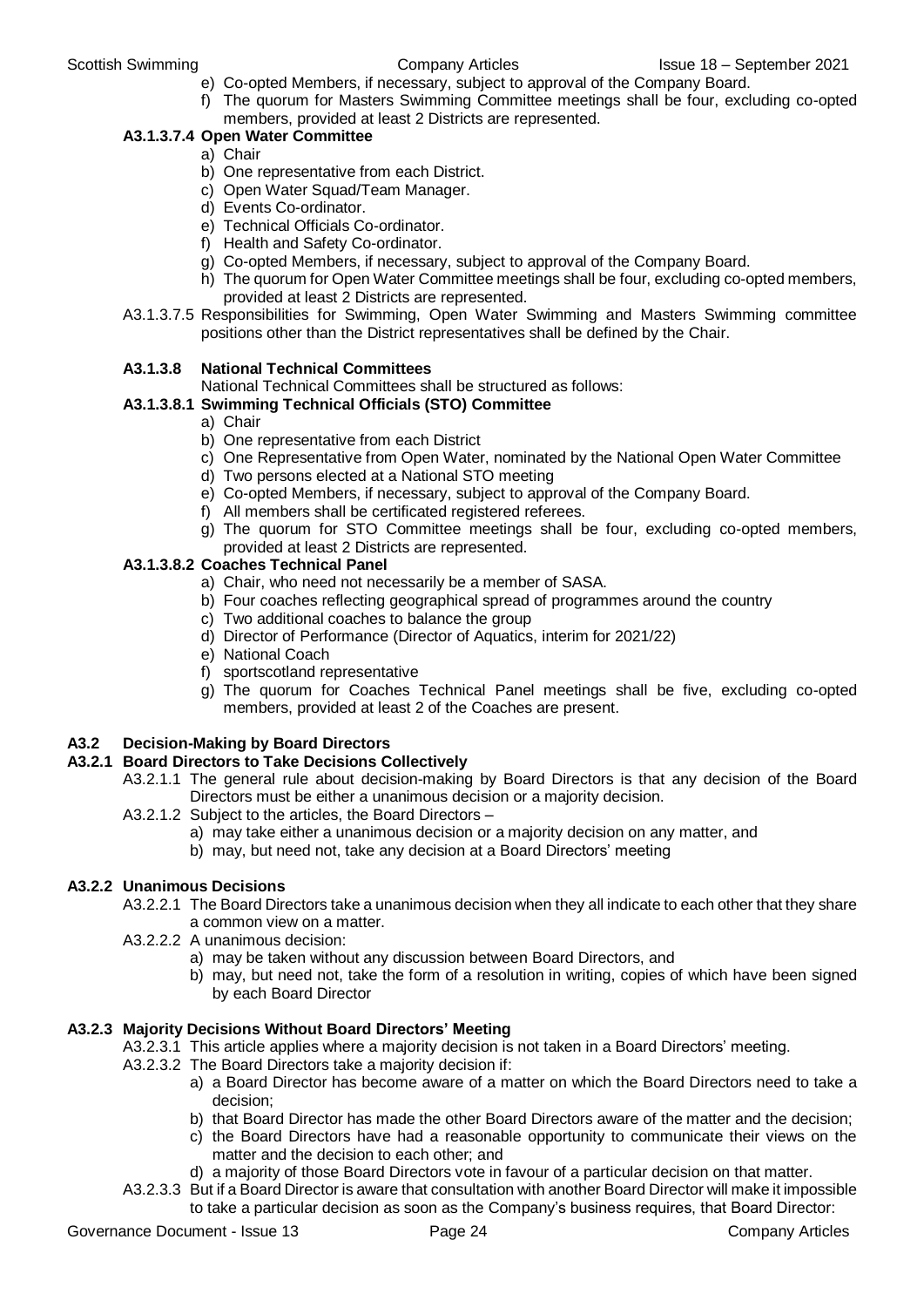- e) Co-opted Members, if necessary, subject to approval of the Company Board.
- f) The quorum for Masters Swimming Committee meetings shall be four, excluding co-opted members, provided at least 2 Districts are represented.

### **A3.1.3.7.4 Open Water Committee**

- a) Chair
- b) One representative from each District.
- c) Open Water Squad/Team Manager.
- d) Events Co-ordinator.
- e) Technical Officials Co-ordinator.
- f) Health and Safety Co-ordinator.
- g) Co-opted Members, if necessary, subject to approval of the Company Board.
- h) The quorum for Open Water Committee meetings shall be four, excluding co-opted members, provided at least 2 Districts are represented.
- A3.1.3.7.5 Responsibilities for Swimming, Open Water Swimming and Masters Swimming committee positions other than the District representatives shall be defined by the Chair.

#### **A3.1.3.8 National Technical Committees**

National Technical Committees shall be structured as follows:

### **A3.1.3.8.1 Swimming Technical Officials (STO) Committee**

- a) Chair
- b) One representative from each District
- c) One Representative from Open Water, nominated by the National Open Water Committee
- d) Two persons elected at a National STO meeting
- e) Co-opted Members, if necessary, subject to approval of the Company Board.
- f) All members shall be certificated registered referees.
- g) The quorum for STO Committee meetings shall be four, excluding co-opted members, provided at least 2 Districts are represented.

#### **A3.1.3.8.2 Coaches Technical Panel**

- a) Chair, who need not necessarily be a member of SASA.
- b) Four coaches reflecting geographical spread of programmes around the country
- c) Two additional coaches to balance the group
- d) Director of Performance (Director of Aquatics, interim for 2021/22)
- e) National Coach
- f) sportscotland representative
- g) The quorum for Coaches Technical Panel meetings shall be five, excluding co-opted members, provided at least 2 of the Coaches are present.

#### **A3.2 Decision-Making by Board Directors**

#### **A3.2.1 Board Directors to Take Decisions Collectively**

- A3.2.1.1 The general rule about decision-making by Board Directors is that any decision of the Board Directors must be either a unanimous decision or a majority decision.
- A3.2.1.2 Subject to the articles, the Board Directors
	- a) may take either a unanimous decision or a majority decision on any matter, and
	- b) may, but need not, take any decision at a Board Directors' meeting

#### **A3.2.2 Unanimous Decisions**

- A3.2.2.1 The Board Directors take a unanimous decision when they all indicate to each other that they share a common view on a matter.
- A3.2.2.2 A unanimous decision:
	- a) may be taken without any discussion between Board Directors, and
	- b) may, but need not, take the form of a resolution in writing, copies of which have been signed by each Board Director

#### **A3.2.3 Majority Decisions Without Board Directors' Meeting**

- A3.2.3.1 This article applies where a majority decision is not taken in a Board Directors' meeting.
- A3.2.3.2 The Board Directors take a majority decision if:
	- a) a Board Director has become aware of a matter on which the Board Directors need to take a decision;
	- b) that Board Director has made the other Board Directors aware of the matter and the decision;
	- c) the Board Directors have had a reasonable opportunity to communicate their views on the matter and the decision to each other; and
	- d) a majority of those Board Directors vote in favour of a particular decision on that matter.
- A3.2.3.3 But if a Board Director is aware that consultation with another Board Director will make it impossible to take a particular decision as soon as the Company's business requires, that Board Director: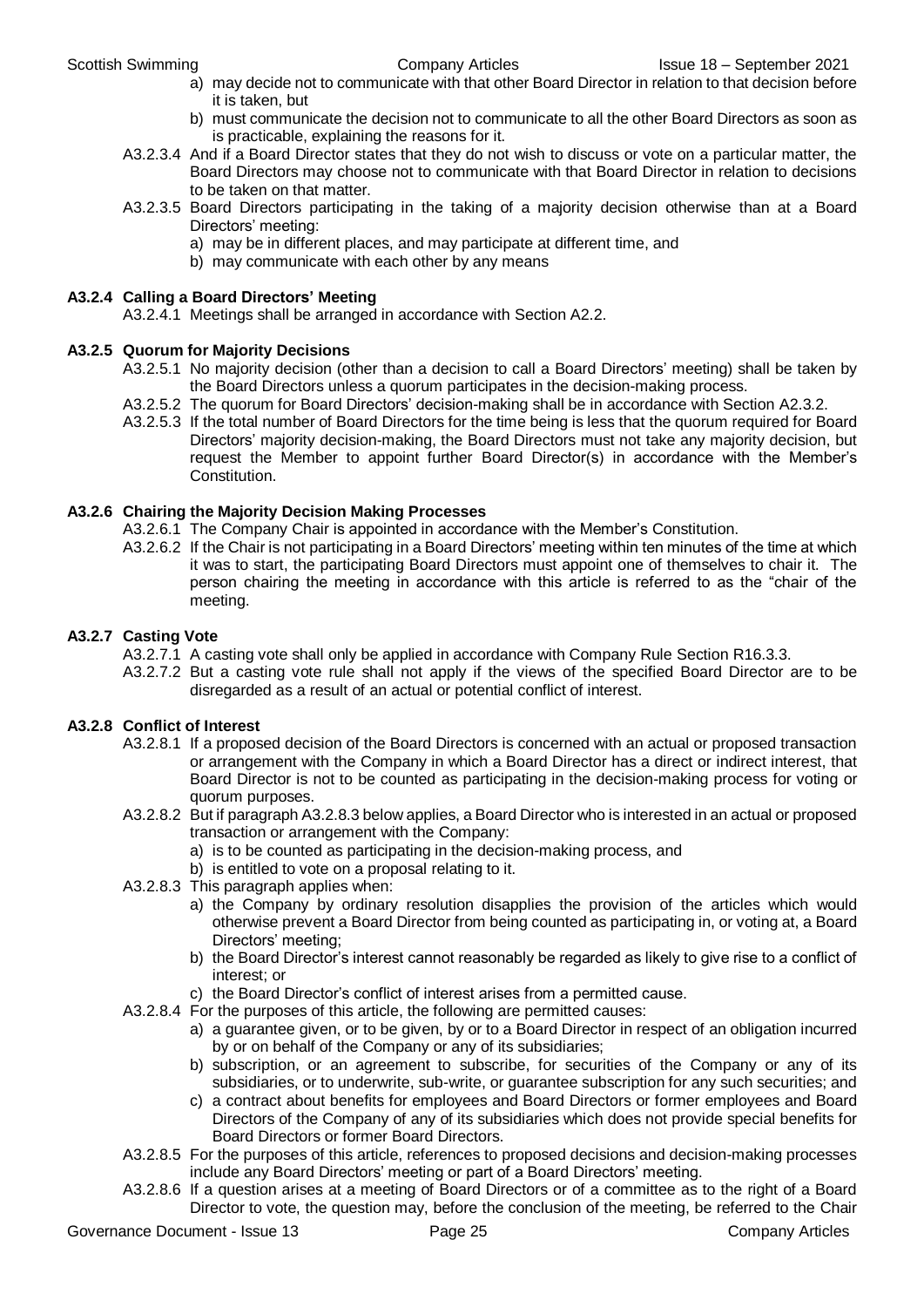- a) may decide not to communicate with that other Board Director in relation to that decision before it is taken, but
- b) must communicate the decision not to communicate to all the other Board Directors as soon as is practicable, explaining the reasons for it.
- A3.2.3.4 And if a Board Director states that they do not wish to discuss or vote on a particular matter, the Board Directors may choose not to communicate with that Board Director in relation to decisions to be taken on that matter.
- A3.2.3.5 Board Directors participating in the taking of a majority decision otherwise than at a Board Directors' meeting:
	- a) may be in different places, and may participate at different time, and
	- b) may communicate with each other by any means

#### **A3.2.4 Calling a Board Directors' Meeting**

A3.2.4.1 Meetings shall be arranged in accordance with Section A2.2.

#### **A3.2.5 Quorum for Majority Decisions**

- A3.2.5.1 No majority decision (other than a decision to call a Board Directors' meeting) shall be taken by the Board Directors unless a quorum participates in the decision-making process.
- A3.2.5.2 The quorum for Board Directors' decision-making shall be in accordance with Section A2.3.2.
- A3.2.5.3 If the total number of Board Directors for the time being is less that the quorum required for Board Directors' majority decision-making, the Board Directors must not take any majority decision, but request the Member to appoint further Board Director(s) in accordance with the Member's Constitution.

#### **A3.2.6 Chairing the Majority Decision Making Processes**

- A3.2.6.1 The Company Chair is appointed in accordance with the Member's Constitution.
- A3.2.6.2 If the Chair is not participating in a Board Directors' meeting within ten minutes of the time at which it was to start, the participating Board Directors must appoint one of themselves to chair it. The person chairing the meeting in accordance with this article is referred to as the "chair of the meeting.

#### **A3.2.7 Casting Vote**

- A3.2.7.1 A casting vote shall only be applied in accordance with Company Rule Section R16.3.3.
- A3.2.7.2 But a casting vote rule shall not apply if the views of the specified Board Director are to be disregarded as a result of an actual or potential conflict of interest.

#### **A3.2.8 Conflict of Interest**

- A3.2.8.1 If a proposed decision of the Board Directors is concerned with an actual or proposed transaction or arrangement with the Company in which a Board Director has a direct or indirect interest, that Board Director is not to be counted as participating in the decision-making process for voting or quorum purposes.
- A3.2.8.2 But if paragraph A3.2.8.3 below applies, a Board Director who is interested in an actual or proposed transaction or arrangement with the Company:
	- a) is to be counted as participating in the decision-making process, and
	- b) is entitled to vote on a proposal relating to it.
- A3.2.8.3 This paragraph applies when:
	- a) the Company by ordinary resolution disapplies the provision of the articles which would otherwise prevent a Board Director from being counted as participating in, or voting at, a Board Directors' meeting;
	- b) the Board Director's interest cannot reasonably be regarded as likely to give rise to a conflict of interest; or
	- c) the Board Director's conflict of interest arises from a permitted cause.
- A3.2.8.4 For the purposes of this article, the following are permitted causes:
	- a) a guarantee given, or to be given, by or to a Board Director in respect of an obligation incurred by or on behalf of the Company or any of its subsidiaries;
	- b) subscription, or an agreement to subscribe, for securities of the Company or any of its subsidiaries, or to underwrite, sub-write, or guarantee subscription for any such securities; and
	- c) a contract about benefits for employees and Board Directors or former employees and Board Directors of the Company of any of its subsidiaries which does not provide special benefits for Board Directors or former Board Directors.
- A3.2.8.5 For the purposes of this article, references to proposed decisions and decision-making processes include any Board Directors' meeting or part of a Board Directors' meeting.
- A3.2.8.6 If a question arises at a meeting of Board Directors or of a committee as to the right of a Board Director to vote, the question may, before the conclusion of the meeting, be referred to the Chair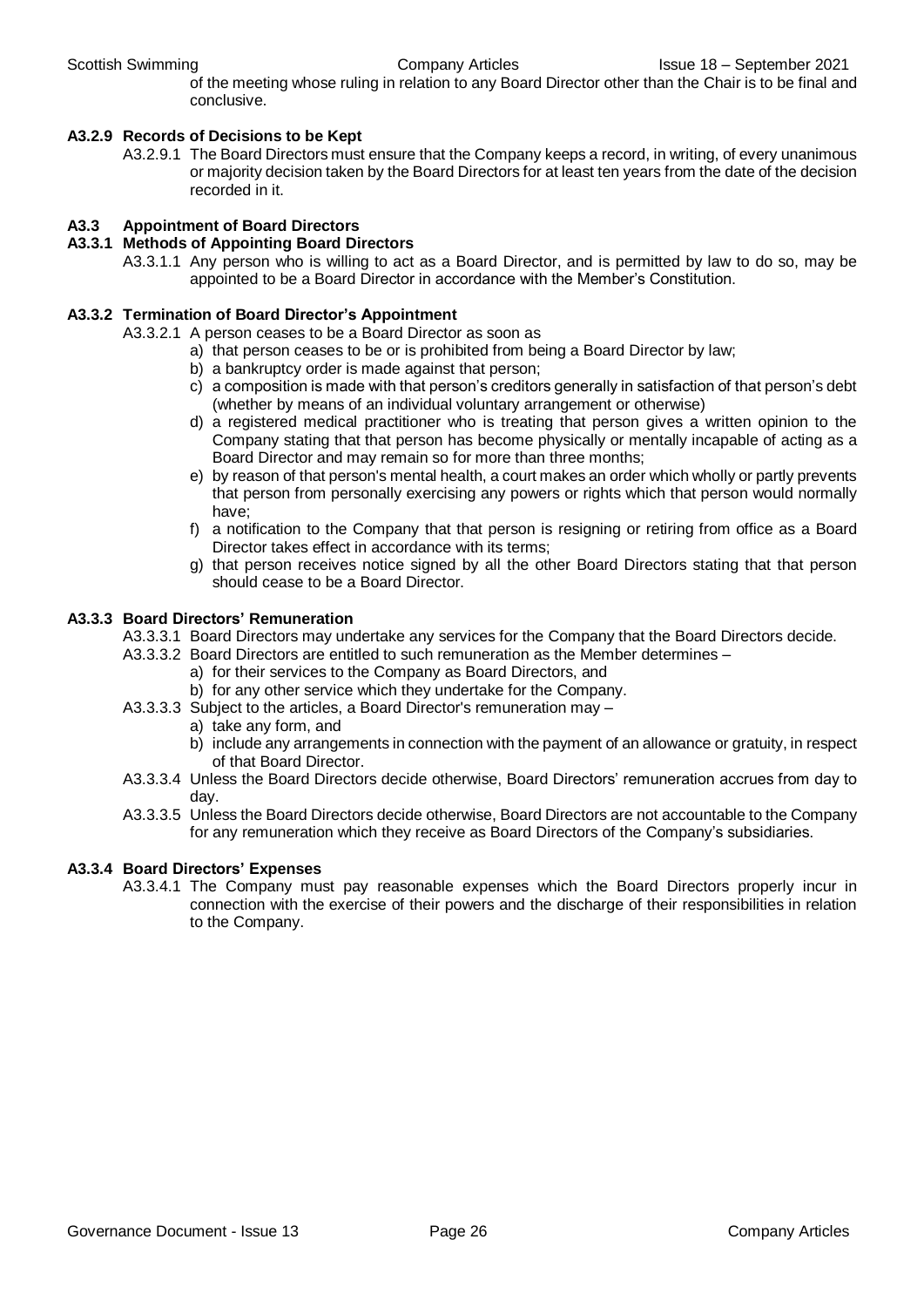of the meeting whose ruling in relation to any Board Director other than the Chair is to be final and conclusive.

#### **A3.2.9 Records of Decisions to be Kept**

A3.2.9.1 The Board Directors must ensure that the Company keeps a record, in writing, of every unanimous or majority decision taken by the Board Directors for at least ten years from the date of the decision recorded in it.

#### **A3.3 Appointment of Board Directors**

- **A3.3.1 Methods of Appointing Board Directors**
	- A3.3.1.1 Any person who is willing to act as a Board Director, and is permitted by law to do so, may be appointed to be a Board Director in accordance with the Member's Constitution.

#### **A3.3.2 Termination of Board Director's Appointment**

A3.3.2.1 A person ceases to be a Board Director as soon as

- a) that person ceases to be or is prohibited from being a Board Director by law;
- b) a bankruptcy order is made against that person;
- c) a composition is made with that person's creditors generally in satisfaction of that person's debt (whether by means of an individual voluntary arrangement or otherwise)
- d) a registered medical practitioner who is treating that person gives a written opinion to the Company stating that that person has become physically or mentally incapable of acting as a Board Director and may remain so for more than three months;
- e) by reason of that person's mental health, a court makes an order which wholly or partly prevents that person from personally exercising any powers or rights which that person would normally have;
- f) a notification to the Company that that person is resigning or retiring from office as a Board Director takes effect in accordance with its terms;
- g) that person receives notice signed by all the other Board Directors stating that that person should cease to be a Board Director.

#### **A3.3.3 Board Directors' Remuneration**

- A3.3.3.1 Board Directors may undertake any services for the Company that the Board Directors decide.
- A3.3.3.2 Board Directors are entitled to such remuneration as the Member determines
	- a) for their services to the Company as Board Directors, and
	- b) for any other service which they undertake for the Company.
- A3.3.3.3 Subject to the articles, a Board Director's remuneration may
	- a) take any form, and
	- b) include any arrangements in connection with the payment of an allowance or gratuity, in respect of that Board Director.
- A3.3.3.4 Unless the Board Directors decide otherwise, Board Directors' remuneration accrues from day to day.
- A3.3.3.5 Unless the Board Directors decide otherwise, Board Directors are not accountable to the Company for any remuneration which they receive as Board Directors of the Company's subsidiaries.

#### **A3.3.4 Board Directors' Expenses**

A3.3.4.1 The Company must pay reasonable expenses which the Board Directors properly incur in connection with the exercise of their powers and the discharge of their responsibilities in relation to the Company.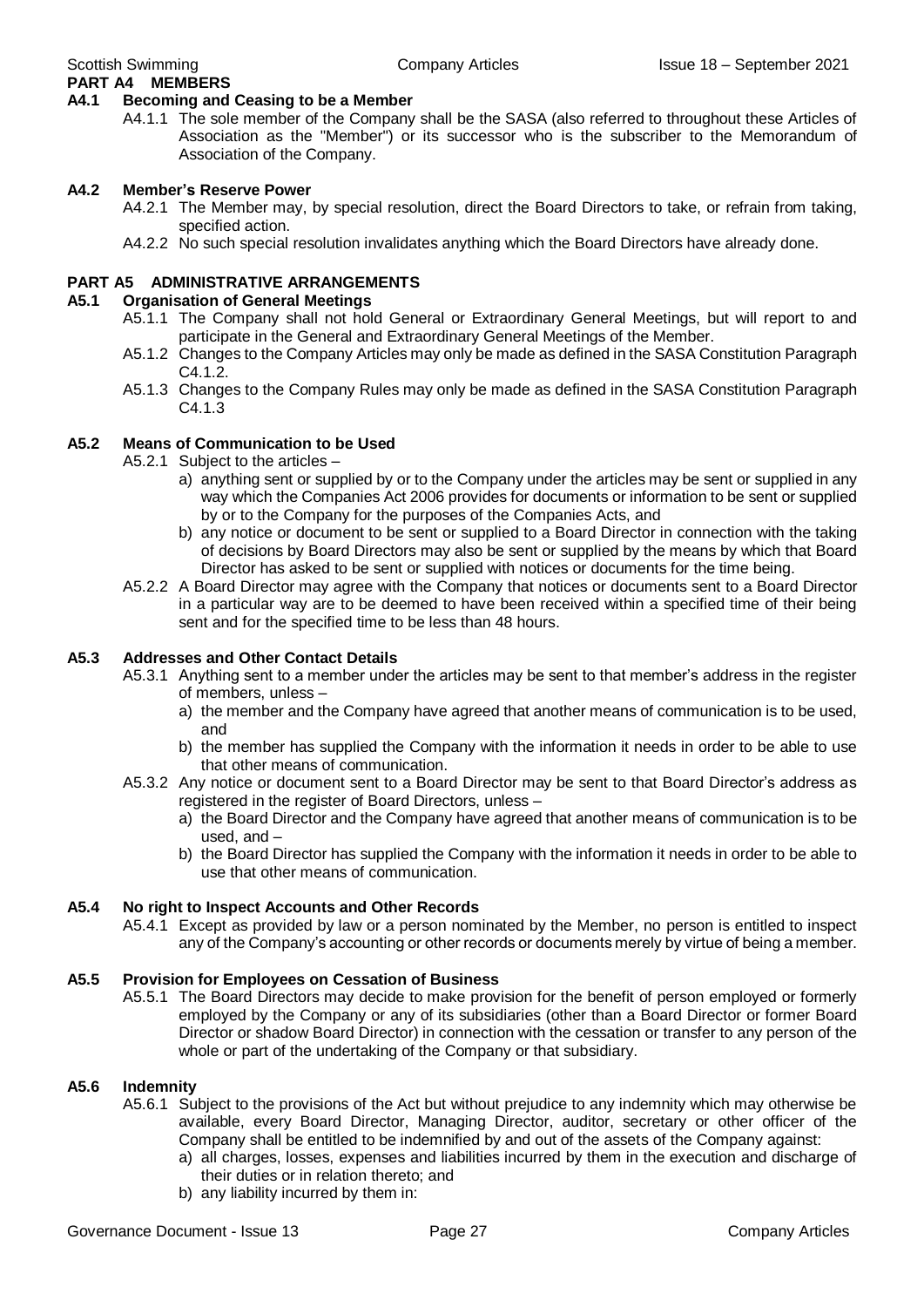#### **A4.1 Becoming and Ceasing to be a Member**

A4.1.1 The sole member of the Company shall be the SASA (also referred to throughout these Articles of Association as the "Member") or its successor who is the subscriber to the Memorandum of Association of the Company.

#### **A4.2 Member's Reserve Power**

- A4.2.1 The Member may, by special resolution, direct the Board Directors to take, or refrain from taking, specified action.
- A4.2.2 No such special resolution invalidates anything which the Board Directors have already done.

#### **PART A5 ADMINISTRATIVE ARRANGEMENTS**

#### **A5.1 Organisation of General Meetings**

- A5.1.1 The Company shall not hold General or Extraordinary General Meetings, but will report to and participate in the General and Extraordinary General Meetings of the Member.
- A5.1.2 Changes to the Company Articles may only be made as defined in the SASA Constitution Paragraph C4.1.2.
- A5.1.3 Changes to the Company Rules may only be made as defined in the SASA Constitution Paragraph C<sub>4</sub> 1 3

#### **A5.2 Means of Communication to be Used**

A5.2.1 Subject to the articles –

- a) anything sent or supplied by or to the Company under the articles may be sent or supplied in any way which the Companies Act 2006 provides for documents or information to be sent or supplied by or to the Company for the purposes of the Companies Acts, and
- b) any notice or document to be sent or supplied to a Board Director in connection with the taking of decisions by Board Directors may also be sent or supplied by the means by which that Board Director has asked to be sent or supplied with notices or documents for the time being.
- A5.2.2 A Board Director may agree with the Company that notices or documents sent to a Board Director in a particular way are to be deemed to have been received within a specified time of their being sent and for the specified time to be less than 48 hours.

#### **A5.3 Addresses and Other Contact Details**

- A5.3.1 Anything sent to a member under the articles may be sent to that member's address in the register of members, unless –
	- a) the member and the Company have agreed that another means of communication is to be used, and
	- b) the member has supplied the Company with the information it needs in order to be able to use that other means of communication.
- A5.3.2 Any notice or document sent to a Board Director may be sent to that Board Director's address as registered in the register of Board Directors, unless –
	- a) the Board Director and the Company have agreed that another means of communication is to be used, and –
	- b) the Board Director has supplied the Company with the information it needs in order to be able to use that other means of communication.

#### **A5.4 No right to Inspect Accounts and Other Records**

A5.4.1 Except as provided by law or a person nominated by the Member, no person is entitled to inspect any of the Company's accounting or other records or documents merely by virtue of being a member.

#### **A5.5 Provision for Employees on Cessation of Business**

A5.5.1 The Board Directors may decide to make provision for the benefit of person employed or formerly employed by the Company or any of its subsidiaries (other than a Board Director or former Board Director or shadow Board Director) in connection with the cessation or transfer to any person of the whole or part of the undertaking of the Company or that subsidiary.

#### **A5.6 Indemnity**

- A5.6.1 Subject to the provisions of the Act but without prejudice to any indemnity which may otherwise be available, every Board Director, Managing Director, auditor, secretary or other officer of the Company shall be entitled to be indemnified by and out of the assets of the Company against:
	- a) all charges, losses, expenses and liabilities incurred by them in the execution and discharge of their duties or in relation thereto; and
	- b) any liability incurred by them in: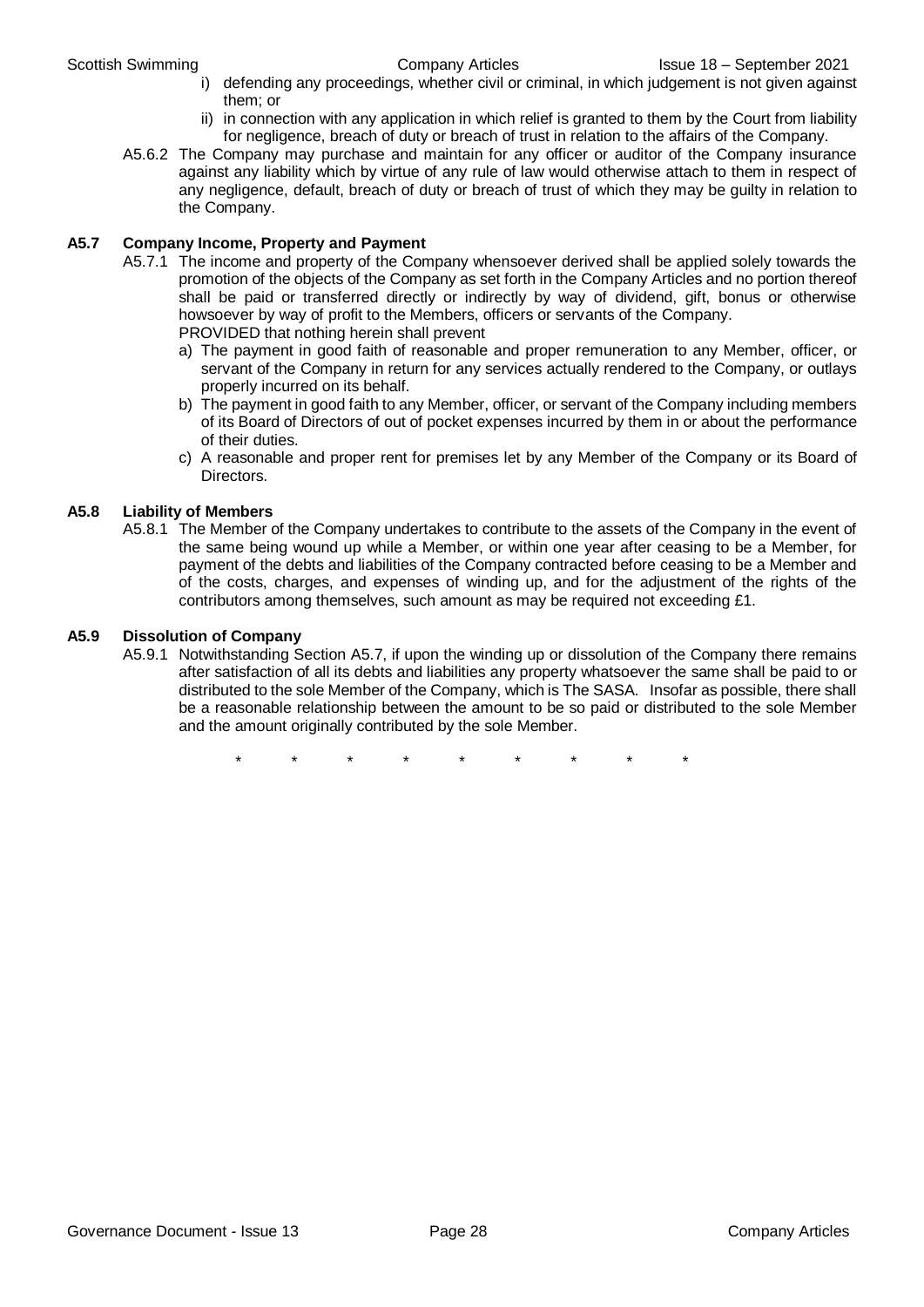- i) defending any proceedings, whether civil or criminal, in which judgement is not given against them; or
- ii) in connection with any application in which relief is granted to them by the Court from liability for negligence, breach of duty or breach of trust in relation to the affairs of the Company.
- A5.6.2 The Company may purchase and maintain for any officer or auditor of the Company insurance against any liability which by virtue of any rule of law would otherwise attach to them in respect of any negligence, default, breach of duty or breach of trust of which they may be guilty in relation to the Company.

#### **A5.7 Company Income, Property and Payment**

- A5.7.1 The income and property of the Company whensoever derived shall be applied solely towards the promotion of the objects of the Company as set forth in the Company Articles and no portion thereof shall be paid or transferred directly or indirectly by way of dividend, gift, bonus or otherwise howsoever by way of profit to the Members, officers or servants of the Company. PROVIDED that nothing herein shall prevent
	- a) The payment in good faith of reasonable and proper remuneration to any Member, officer, or servant of the Company in return for any services actually rendered to the Company, or outlays properly incurred on its behalf.
	- b) The payment in good faith to any Member, officer, or servant of the Company including members of its Board of Directors of out of pocket expenses incurred by them in or about the performance of their duties.
	- c) A reasonable and proper rent for premises let by any Member of the Company or its Board of Directors.

#### **A5.8 Liability of Members**

A5.8.1 The Member of the Company undertakes to contribute to the assets of the Company in the event of the same being wound up while a Member, or within one year after ceasing to be a Member, for payment of the debts and liabilities of the Company contracted before ceasing to be a Member and of the costs, charges, and expenses of winding up, and for the adjustment of the rights of the contributors among themselves, such amount as may be required not exceeding £1.

#### **A5.9 Dissolution of Company**

A5.9.1 Notwithstanding Section A5.7, if upon the winding up or dissolution of the Company there remains after satisfaction of all its debts and liabilities any property whatsoever the same shall be paid to or distributed to the sole Member of the Company, which is The SASA. Insofar as possible, there shall be a reasonable relationship between the amount to be so paid or distributed to the sole Member and the amount originally contributed by the sole Member.

\* \* \* \* \* \* \* \* \*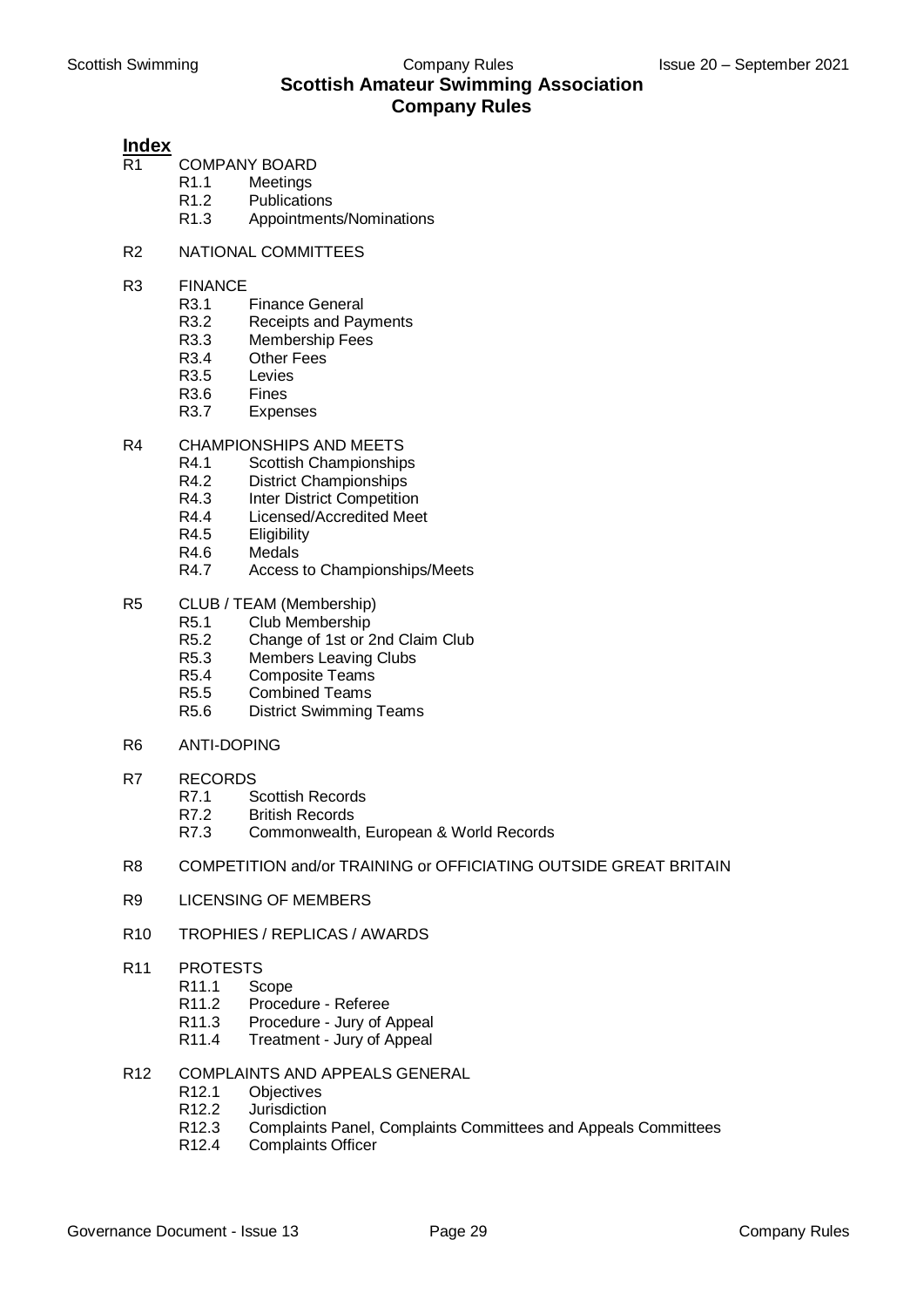## **Index**

- COMPANY BOARD
	- R1.1 Meetings
		- R1.2 Publications
		- R1.3 Appointments/Nominations
- R2 NATIONAL COMMITTEES
- R3 FINANCE
	- R3.1 Finance General
		- R3.2 Receipts and Payments
		- R3.3 Membership Fees
		- R3.4 Other Fees
		- R3.5 Levies
		- R3.6 Fines
		- R3.7 Expenses
- R4 CHAMPIONSHIPS AND MEETS
	- R4.1 Scottish Championships
	- R4.2 District Championships
	- R4.3 Inter District Competition
	- R4.4 Licensed/Accredited Meet
	- R4.5 Eligibility
	- R4.6 Medals
	- R4.7 Access to Championships/Meets
- R5 CLUB / TEAM (Membership)
	- R5.1 Club Membership
	- R5.2 Change of 1st or 2nd Claim Club
	- R5.3 Members Leaving Clubs
	- R5.4 Composite Teams
	- R5.5 Combined Teams
	- R5.6 District Swimming Teams
- R6 ANTI-DOPING
- R7 RECORDS
	- R7.1 Scottish Records
	- R7.2 British Records
	- R7.3 Commonwealth, European & World Records
- R8 COMPETITION and/or TRAINING or OFFICIATING OUTSIDE GREAT BRITAIN
- R9 LICENSING OF MEMBERS
- R10 TROPHIES / REPLICAS / AWARDS
- R11 PROTESTS
	- R11.1 Scope
		- R11.2 Procedure Referee
		- R11.3 Procedure Jury of Appeal
		- R11.4 Treatment Jury of Appeal
- R12 COMPLAINTS AND APPEALS GENERAL
	- R12.1 Objectives
	- R12.2 Jurisdiction
	- R12.3 Complaints Panel, Complaints Committees and Appeals Committees
	- R12.4 Complaints Officer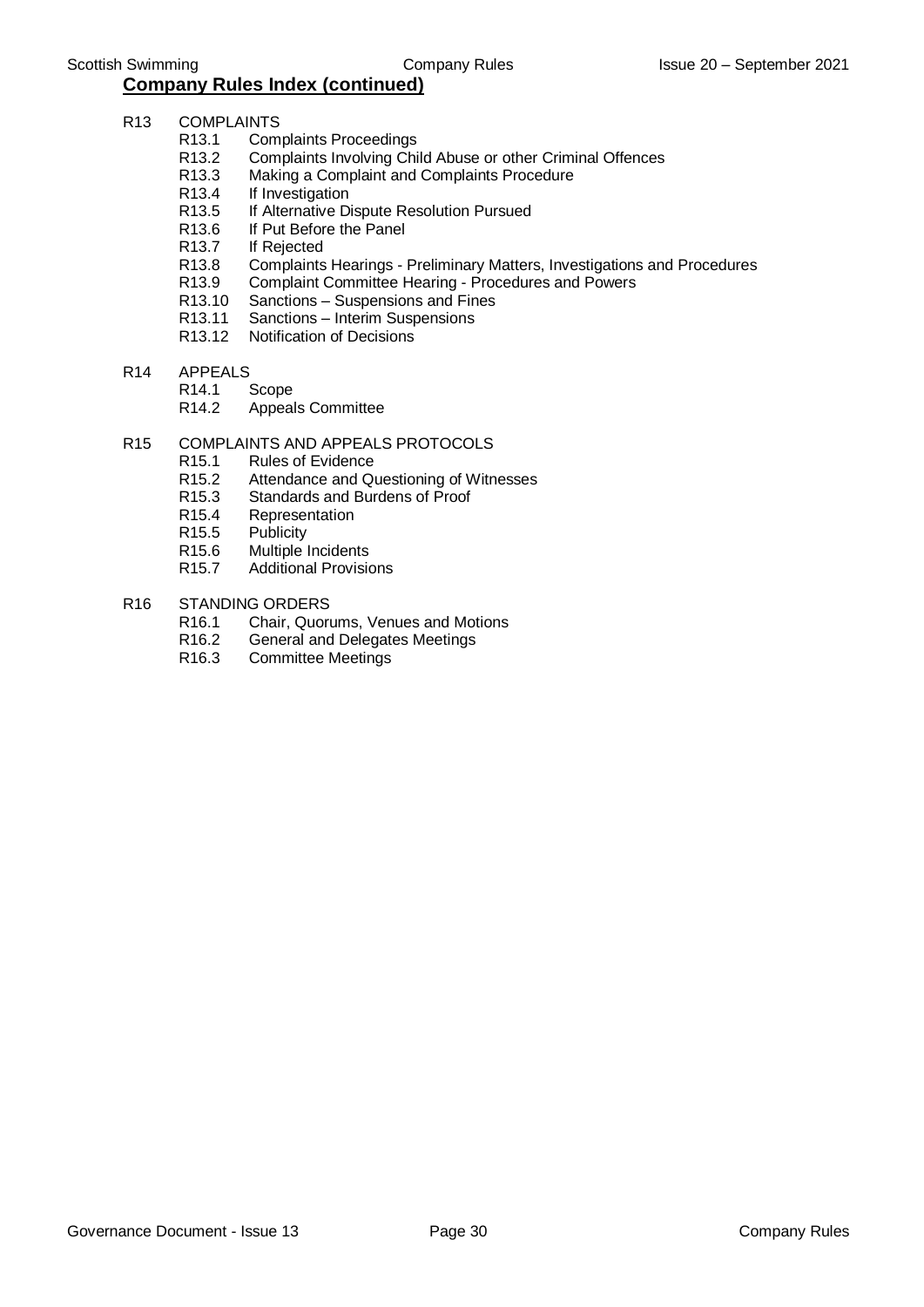- R13 COMPLAINTS
	- R13.1 Complaints Proceedings
	- R13.2 Complaints Involving Child Abuse or other Criminal Offences
	- R13.3 Making a Complaint and Complaints Procedure
	- R13.4 If Investigation
	- R13.5 If Alternative Dispute Resolution Pursued<br>R13.6 If Put Before the Panel
	- If Put Before the Panel
	- R13.7 If Rejected
	- R13.8 Complaints Hearings Preliminary Matters, Investigations and Procedures
	- R13.9 Complaint Committee Hearing Procedures and Powers
	- R13.10 Sanctions Suspensions and Fines
	- R13.11 Sanctions Interim Suspensions
	- R13.12 Notification of Decisions
- R14 APPEALS
	- R14.1 Scope<br>R14.2 Appea
		- Appeals Committee

#### R15 COMPLAINTS AND APPEALS PROTOCOLS

- R15.1 Rules of Evidence
- R15.2 Attendance and Questioning of Witnesses
- R15.3 Standards and Burdens of Proof
- R15.4 Representation
- R15.5 Publicity
- R15.6 Multiple Incidents<br>R15.7 Additional Provision
- **Additional Provisions**
- R16 STANDING ORDERS
	- R16.1 Chair, Quorums, Venues and Motions
	- R16.2 General and Delegates Meetings
	- R16.3 Committee Meetings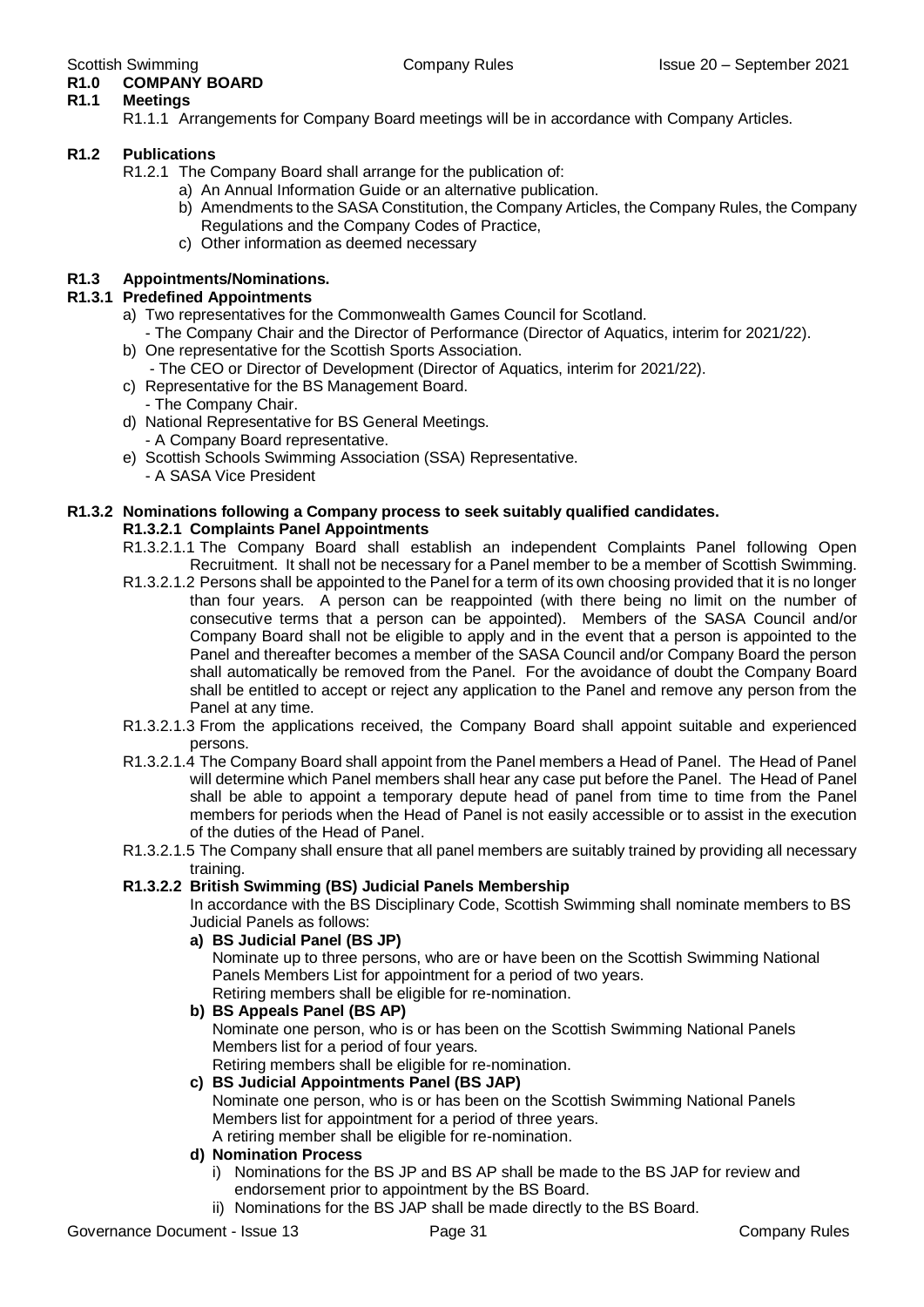### **R1.0 COMPANY BOARD**

### **R1.1 Meetings**

R1.1.1 Arrangements for Company Board meetings will be in accordance with Company Articles.

#### **R1.2 Publications**

R1.2.1 The Company Board shall arrange for the publication of:

- a) An Annual Information Guide or an alternative publication.
- b) Amendments to the SASA Constitution, the Company Articles, the Company Rules, the Company Regulations and the Company Codes of Practice,
- c) Other information as deemed necessary

#### **R1.3 Appointments/Nominations.**

#### **R1.3.1 Predefined Appointments**

- a) Two representatives for the Commonwealth Games Council for Scotland.
- The Company Chair and the Director of Performance (Director of Aquatics, interim for 2021/22).
- b) One representative for the Scottish Sports Association.
- The CEO or Director of Development (Director of Aquatics, interim for 2021/22).
- c) Representative for the BS Management Board.
- The Company Chair.
- d) National Representative for BS General Meetings.
	- A Company Board representative.
- e) Scottish Schools Swimming Association (SSA) Representative.
	- A SASA Vice President

#### **R1.3.2 Nominations following a Company process to seek suitably qualified candidates.**

#### **R1.3.2.1 Complaints Panel Appointments**

- R1.3.2.1.1 The Company Board shall establish an independent Complaints Panel following Open Recruitment. It shall not be necessary for a Panel member to be a member of Scottish Swimming.
- R1.3.2.1.2 Persons shall be appointed to the Panel for a term of its own choosing provided that it is no longer than four years. A person can be reappointed (with there being no limit on the number of consecutive terms that a person can be appointed). Members of the SASA Council and/or Company Board shall not be eligible to apply and in the event that a person is appointed to the Panel and thereafter becomes a member of the SASA Council and/or Company Board the person shall automatically be removed from the Panel. For the avoidance of doubt the Company Board shall be entitled to accept or reject any application to the Panel and remove any person from the Panel at any time.
- R1.3.2.1.3 From the applications received, the Company Board shall appoint suitable and experienced persons.
- R1.3.2.1.4 The Company Board shall appoint from the Panel members a Head of Panel. The Head of Panel will determine which Panel members shall hear any case put before the Panel. The Head of Panel shall be able to appoint a temporary depute head of panel from time to time from the Panel members for periods when the Head of Panel is not easily accessible or to assist in the execution of the duties of the Head of Panel.
- R1.3.2.1.5 The Company shall ensure that all panel members are suitably trained by providing all necessary training.

#### **R1.3.2.2 British Swimming (BS) Judicial Panels Membership**

In accordance with the BS Disciplinary Code, Scottish Swimming shall nominate members to BS Judicial Panels as follows:

**a) BS Judicial Panel (BS JP)**

Nominate up to three persons, who are or have been on the Scottish Swimming National Panels Members List for appointment for a period of two years. Retiring members shall be eligible for re-nomination.

**b) BS Appeals Panel (BS AP)** Nominate one person, who is or has been on the Scottish Swimming National Panels Members list for a period of four years. Retiring members shall be eligible for re-nomination.

### **c) BS Judicial Appointments Panel (BS JAP)**

Nominate one person, who is or has been on the Scottish Swimming National Panels Members list for appointment for a period of three years.

- A retiring member shall be eligible for re-nomination.
- **d) Nomination Process**
	- i) Nominations for the BS JP and BS AP shall be made to the BS JAP for review and endorsement prior to appointment by the BS Board.
	- ii) Nominations for the BS JAP shall be made directly to the BS Board.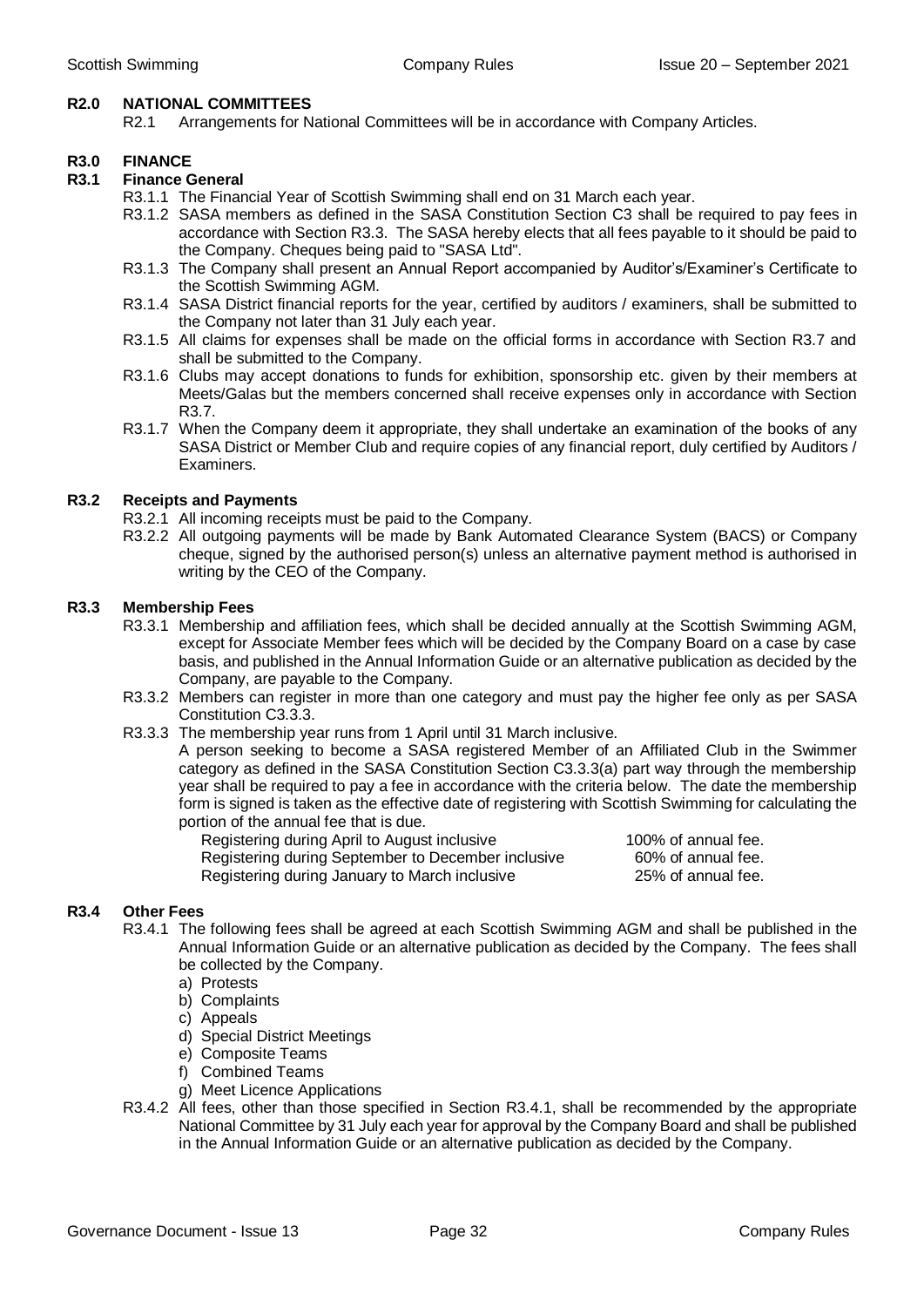#### **R2.0 NATIONAL COMMITTEES**

R2.1 Arrangements for National Committees will be in accordance with Company Articles.

#### **R3.0 FINANCE**

#### **R3.1 Finance General**

- R3.1.1 The Financial Year of Scottish Swimming shall end on 31 March each year.
- R3.1.2 SASA members as defined in the SASA Constitution Section C3 shall be required to pay fees in accordance with Section R3.3. The SASA hereby elects that all fees payable to it should be paid to the Company. Cheques being paid to "SASA Ltd".
- R3.1.3 The Company shall present an Annual Report accompanied by Auditor's/Examiner's Certificate to the Scottish Swimming AGM.
- R3.1.4 SASA District financial reports for the year, certified by auditors / examiners, shall be submitted to the Company not later than 31 July each year.
- R3.1.5 All claims for expenses shall be made on the official forms in accordance with Section R3.7 and shall be submitted to the Company.
- R3.1.6 Clubs may accept donations to funds for exhibition, sponsorship etc. given by their members at Meets/Galas but the members concerned shall receive expenses only in accordance with Section R3.7.
- R3.1.7 When the Company deem it appropriate, they shall undertake an examination of the books of any SASA District or Member Club and require copies of any financial report, duly certified by Auditors / Examiners.

#### **R3.2 Receipts and Payments**

- R3.2.1 All incoming receipts must be paid to the Company.
- R3.2.2 All outgoing payments will be made by Bank Automated Clearance System (BACS) or Company cheque, signed by the authorised person(s) unless an alternative payment method is authorised in writing by the CEO of the Company.

#### **R3.3 Membership Fees**

- R3.3.1 Membership and affiliation fees, which shall be decided annually at the Scottish Swimming AGM, except for Associate Member fees which will be decided by the Company Board on a case by case basis, and published in the Annual Information Guide or an alternative publication as decided by the Company, are payable to the Company.
- R3.3.2 Members can register in more than one category and must pay the higher fee only as per SASA Constitution C3.3.3.
- R3.3.3 The membership year runs from 1 April until 31 March inclusive.

A person seeking to become a SASA registered Member of an Affiliated Club in the Swimmer category as defined in the SASA Constitution Section C3.3.3(a) part way through the membership year shall be required to pay a fee in accordance with the criteria below. The date the membership form is signed is taken as the effective date of registering with Scottish Swimming for calculating the portion of the annual fee that is due.

Registering during April to August inclusive 100% of annual fee. Registering during September to December inclusive 60% of annual fee. Registering during January to March inclusive 25% of annual fee.

#### **R3.4 Other Fees**

- R3.4.1 The following fees shall be agreed at each Scottish Swimming AGM and shall be published in the Annual Information Guide or an alternative publication as decided by the Company. The fees shall be collected by the Company.
	- a) Protests
	- b) Complaints
	- c) Appeals
	- d) Special District Meetings
	- e) Composite Teams
	- f) Combined Teams
	- g) Meet Licence Applications
- R3.4.2 All fees, other than those specified in Section R3.4.1, shall be recommended by the appropriate National Committee by 31 July each year for approval by the Company Board and shall be published in the Annual Information Guide or an alternative publication as decided by the Company.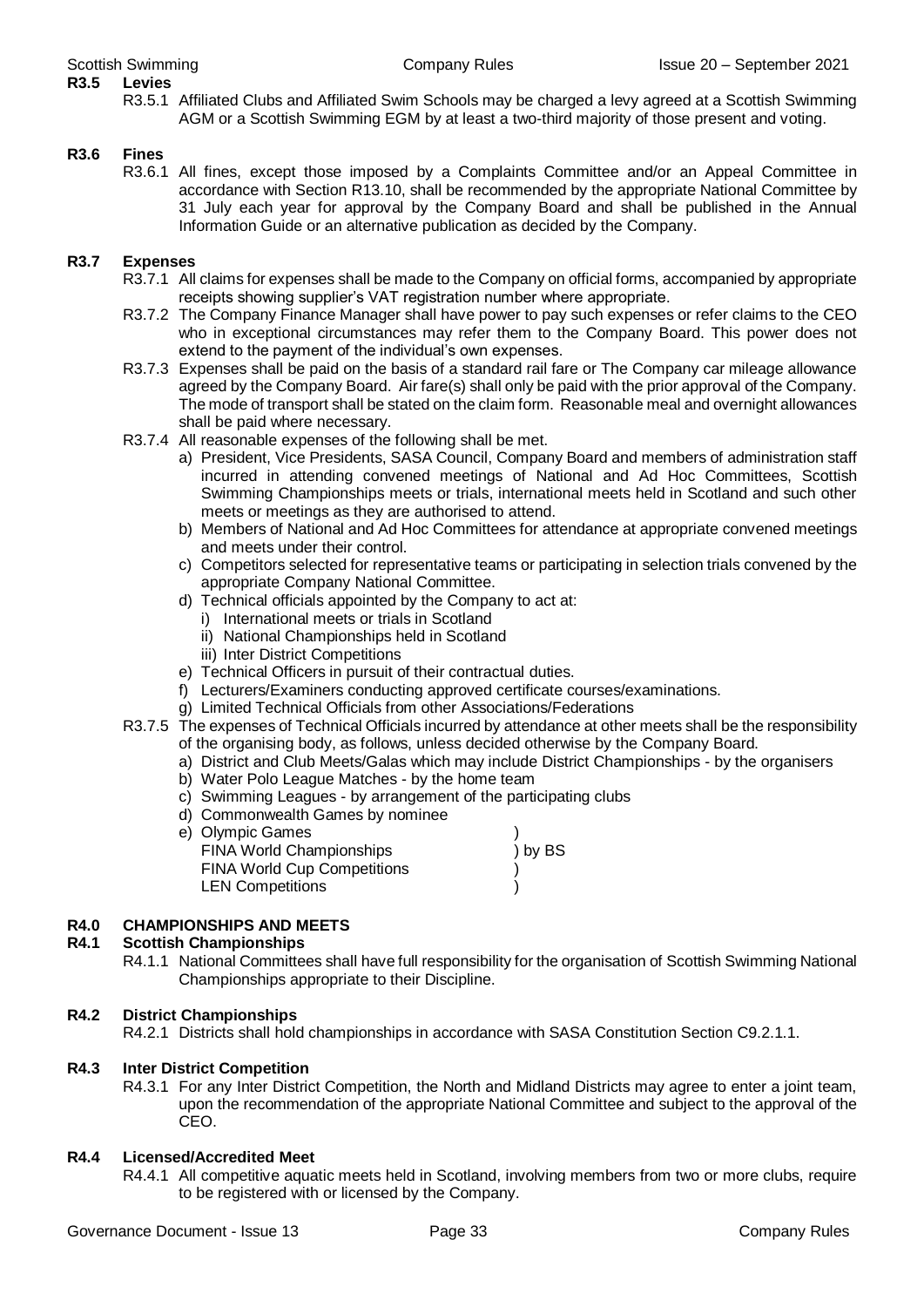## **R3.5 Levies**

R3.5.1 Affiliated Clubs and Affiliated Swim Schools may be charged a levy agreed at a Scottish Swimming AGM or a Scottish Swimming EGM by at least a two-third majority of those present and voting.

#### **R3.6 Fines**

R3.6.1 All fines, except those imposed by a Complaints Committee and/or an Appeal Committee in accordance with Section R13.10, shall be recommended by the appropriate National Committee by 31 July each year for approval by the Company Board and shall be published in the Annual Information Guide or an alternative publication as decided by the Company.

#### **R3.7 Expenses**

- R3.7.1 All claims for expenses shall be made to the Company on official forms, accompanied by appropriate receipts showing supplier's VAT registration number where appropriate.
- R3.7.2 The Company Finance Manager shall have power to pay such expenses or refer claims to the CEO who in exceptional circumstances may refer them to the Company Board. This power does not extend to the payment of the individual's own expenses.
- R3.7.3 Expenses shall be paid on the basis of a standard rail fare or The Company car mileage allowance agreed by the Company Board. Air fare(s) shall only be paid with the prior approval of the Company. The mode of transport shall be stated on the claim form. Reasonable meal and overnight allowances shall be paid where necessary.
- R3.7.4 All reasonable expenses of the following shall be met.
	- a) President, Vice Presidents, SASA Council, Company Board and members of administration staff incurred in attending convened meetings of National and Ad Hoc Committees, Scottish Swimming Championships meets or trials, international meets held in Scotland and such other meets or meetings as they are authorised to attend.
	- b) Members of National and Ad Hoc Committees for attendance at appropriate convened meetings and meets under their control.
	- c) Competitors selected for representative teams or participating in selection trials convened by the appropriate Company National Committee.
	- d) Technical officials appointed by the Company to act at:
		- i) International meets or trials in Scotland
		- ii) National Championships held in Scotland
		- iii) Inter District Competitions
	- e) Technical Officers in pursuit of their contractual duties.
	- f) Lecturers/Examiners conducting approved certificate courses/examinations.
	- g) Limited Technical Officials from other Associations/Federations
- R3.7.5 The expenses of Technical Officials incurred by attendance at other meets shall be the responsibility of the organising body, as follows, unless decided otherwise by the Company Board.
	- a) District and Club Meets/Galas which may include District Championships by the organisers
	- b) Water Polo League Matches by the home team
	- c) Swimming Leagues by arrangement of the participating clubs
	- d) Commonwealth Games by nominee

| e) Olympic Games                   |         |
|------------------------------------|---------|
| FINA World Championships           | ) by BS |
| <b>FINA World Cup Competitions</b> |         |
| <b>LEN Competitions</b>            |         |
|                                    |         |

#### **R4.0 CHAMPIONSHIPS AND MEETS**

#### **R4.1 Scottish Championships**

R4.1.1 National Committees shall have full responsibility for the organisation of Scottish Swimming National Championships appropriate to their Discipline.

#### **R4.2 District Championships**

R4.2.1 Districts shall hold championships in accordance with SASA Constitution Section C9.2.1.1.

#### **R4.3 Inter District Competition**

R4.3.1 For any Inter District Competition, the North and Midland Districts may agree to enter a joint team, upon the recommendation of the appropriate National Committee and subject to the approval of the CEO.

#### **R4.4 Licensed/Accredited Meet**

R4.4.1 All competitive aquatic meets held in Scotland, involving members from two or more clubs, require to be registered with or licensed by the Company.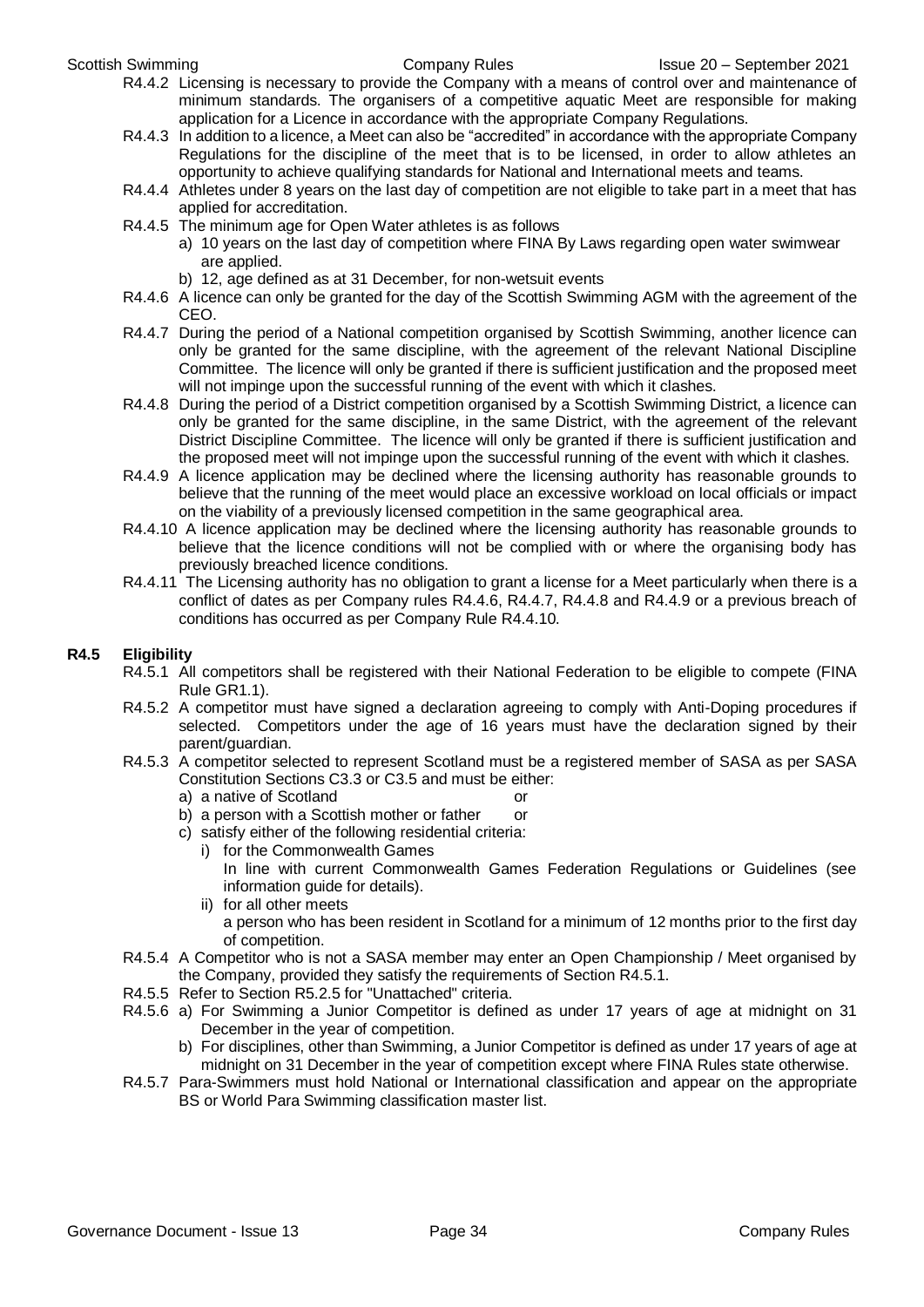- R4.4.2 Licensing is necessary to provide the Company with a means of control over and maintenance of minimum standards. The organisers of a competitive aquatic Meet are responsible for making application for a Licence in accordance with the appropriate Company Regulations.
- R4.4.3 In addition to a licence, a Meet can also be "accredited" in accordance with the appropriate Company Regulations for the discipline of the meet that is to be licensed, in order to allow athletes an opportunity to achieve qualifying standards for National and International meets and teams.
- R4.4.4 Athletes under 8 years on the last day of competition are not eligible to take part in a meet that has applied for accreditation.
- R4.4.5 The minimum age for Open Water athletes is as follows
	- a) 10 years on the last day of competition where FINA By Laws regarding open water swimwear are applied.
	- b) 12, age defined as at 31 December, for non-wetsuit events
- R4.4.6 A licence can only be granted for the day of the Scottish Swimming AGM with the agreement of the CEO.
- R4.4.7 During the period of a National competition organised by Scottish Swimming, another licence can only be granted for the same discipline, with the agreement of the relevant National Discipline Committee. The licence will only be granted if there is sufficient justification and the proposed meet will not impinge upon the successful running of the event with which it clashes.
- R4.4.8 During the period of a District competition organised by a Scottish Swimming District, a licence can only be granted for the same discipline, in the same District, with the agreement of the relevant District Discipline Committee. The licence will only be granted if there is sufficient justification and the proposed meet will not impinge upon the successful running of the event with which it clashes.
- R4.4.9 A licence application may be declined where the licensing authority has reasonable grounds to believe that the running of the meet would place an excessive workload on local officials or impact on the viability of a previously licensed competition in the same geographical area.
- R4.4.10 A licence application may be declined where the licensing authority has reasonable grounds to believe that the licence conditions will not be complied with or where the organising body has previously breached licence conditions.
- R4.4.11 The Licensing authority has no obligation to grant a license for a Meet particularly when there is a conflict of dates as per Company rules R4.4.6, R4.4.7, R4.4.8 and R4.4.9 or a previous breach of conditions has occurred as per Company Rule R4.4.10.

#### **R4.5 Eligibility**

- R4.5.1 All competitors shall be registered with their National Federation to be eligible to compete (FINA Rule GR1.1).
- R4.5.2 A competitor must have signed a declaration agreeing to comply with Anti-Doping procedures if selected. Competitors under the age of 16 years must have the declaration signed by their parent/guardian.
- R4.5.3 A competitor selected to represent Scotland must be a registered member of SASA as per SASA Constitution Sections C3.3 or C3.5 and must be either:
	- a) a native of Scotland or
	- b) a person with a Scottish mother or father or
	- c) satisfy either of the following residential criteria:
		- i) for the Commonwealth Games In line with current Commonwealth Games Federation Regulations or Guidelines (see information guide for details).
		- ii) for all other meets a person who has been resident in Scotland for a minimum of 12 months prior to the first day of competition.
- R4.5.4 A Competitor who is not a SASA member may enter an Open Championship / Meet organised by the Company, provided they satisfy the requirements of Section R4.5.1.
- R4.5.5 Refer to Section R5.2.5 for "Unattached" criteria.
- R4.5.6 a) For Swimming a Junior Competitor is defined as under 17 years of age at midnight on 31 December in the year of competition.
	- b) For disciplines, other than Swimming, a Junior Competitor is defined as under 17 years of age at midnight on 31 December in the year of competition except where FINA Rules state otherwise.
- R4.5.7 Para-Swimmers must hold National or International classification and appear on the appropriate BS or World Para Swimming classification master list.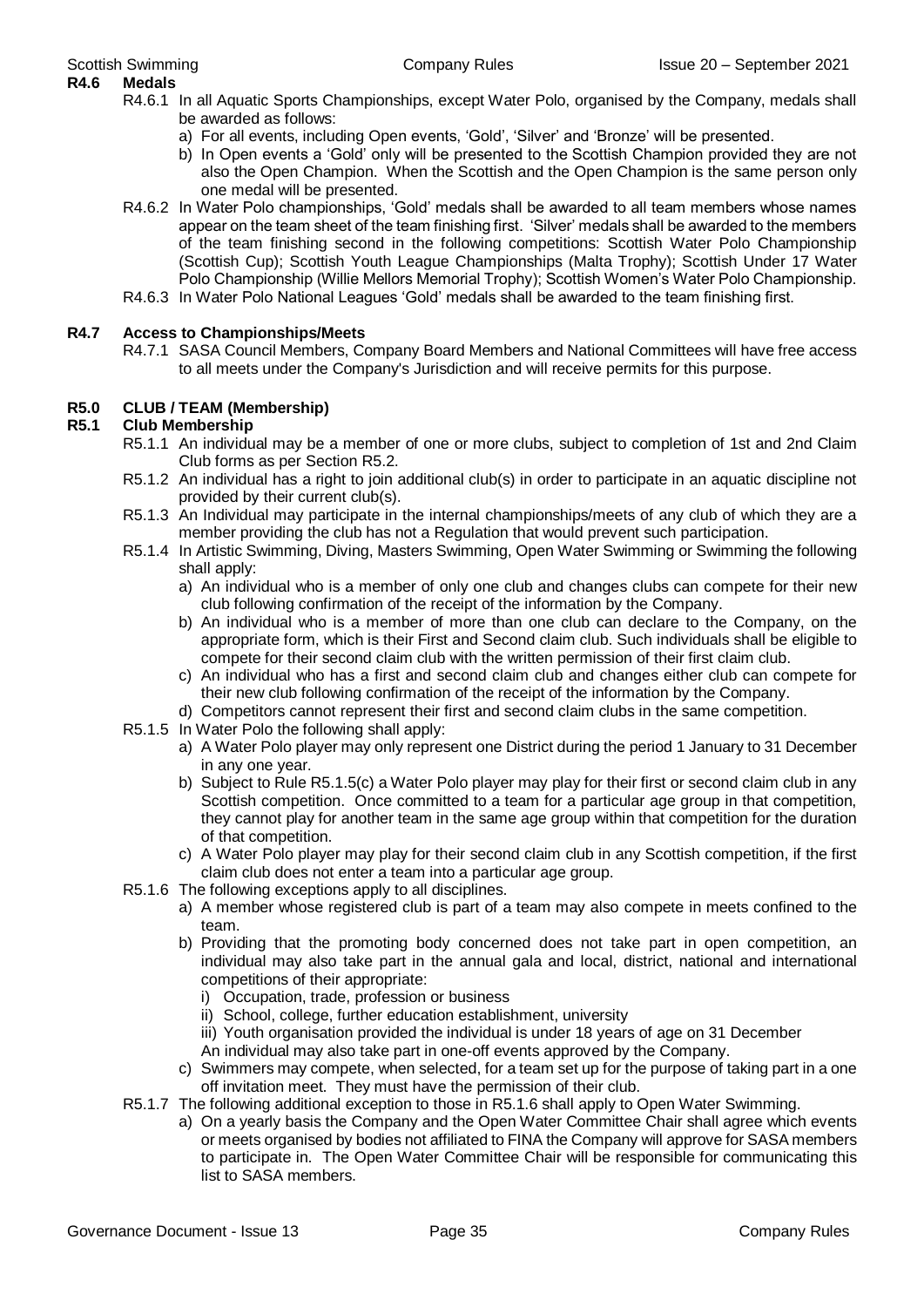- R4.6.1 In all Aquatic Sports Championships, except Water Polo, organised by the Company, medals shall be awarded as follows:
	- a) For all events, including Open events, 'Gold', 'Silver' and 'Bronze' will be presented.
	- b) In Open events a 'Gold' only will be presented to the Scottish Champion provided they are not also the Open Champion. When the Scottish and the Open Champion is the same person only one medal will be presented.
- R4.6.2 In Water Polo championships, 'Gold' medals shall be awarded to all team members whose names appear on the team sheet of the team finishing first. 'Silver' medals shall be awarded to the members of the team finishing second in the following competitions: Scottish Water Polo Championship (Scottish Cup); Scottish Youth League Championships (Malta Trophy); Scottish Under 17 Water Polo Championship (Willie Mellors Memorial Trophy); Scottish Women's Water Polo Championship.
- R4.6.3 In Water Polo National Leagues 'Gold' medals shall be awarded to the team finishing first.

#### **R4.7 Access to Championships/Meets**

R4.7.1 SASA Council Members, Company Board Members and National Committees will have free access to all meets under the Company's Jurisdiction and will receive permits for this purpose.

#### **R5.0 CLUB / TEAM (Membership)**

#### **R5.1 Club Membership**

- R5.1.1 An individual may be a member of one or more clubs, subject to completion of 1st and 2nd Claim Club forms as per Section R5.2.
- R5.1.2 An individual has a right to join additional club(s) in order to participate in an aquatic discipline not provided by their current club(s).
- R5.1.3 An Individual may participate in the internal championships/meets of any club of which they are a member providing the club has not a Regulation that would prevent such participation.
- R5.1.4 In Artistic Swimming, Diving, Masters Swimming, Open Water Swimming or Swimming the following shall apply:
	- a) An individual who is a member of only one club and changes clubs can compete for their new club following confirmation of the receipt of the information by the Company.
	- b) An individual who is a member of more than one club can declare to the Company, on the appropriate form, which is their First and Second claim club. Such individuals shall be eligible to compete for their second claim club with the written permission of their first claim club.
	- c) An individual who has a first and second claim club and changes either club can compete for their new club following confirmation of the receipt of the information by the Company.
	- d) Competitors cannot represent their first and second claim clubs in the same competition.
- R5.1.5 In Water Polo the following shall apply:
	- a) A Water Polo player may only represent one District during the period 1 January to 31 December in any one year.
	- b) Subject to Rule R5.1.5(c) a Water Polo player may play for their first or second claim club in any Scottish competition. Once committed to a team for a particular age group in that competition, they cannot play for another team in the same age group within that competition for the duration of that competition.
	- c) A Water Polo player may play for their second claim club in any Scottish competition, if the first claim club does not enter a team into a particular age group.
- R5.1.6 The following exceptions apply to all disciplines.
	- a) A member whose registered club is part of a team may also compete in meets confined to the team.
	- b) Providing that the promoting body concerned does not take part in open competition, an individual may also take part in the annual gala and local, district, national and international competitions of their appropriate:
		- i) Occupation, trade, profession or business
		- ii) School, college, further education establishment, university
		- iii) Youth organisation provided the individual is under 18 years of age on 31 December
		- An individual may also take part in one-off events approved by the Company.
	- c) Swimmers may compete, when selected, for a team set up for the purpose of taking part in a one off invitation meet. They must have the permission of their club.
- R5.1.7 The following additional exception to those in R5.1.6 shall apply to Open Water Swimming.
	- a) On a yearly basis the Company and the Open Water Committee Chair shall agree which events or meets organised by bodies not affiliated to FINA the Company will approve for SASA members to participate in. The Open Water Committee Chair will be responsible for communicating this list to SASA members.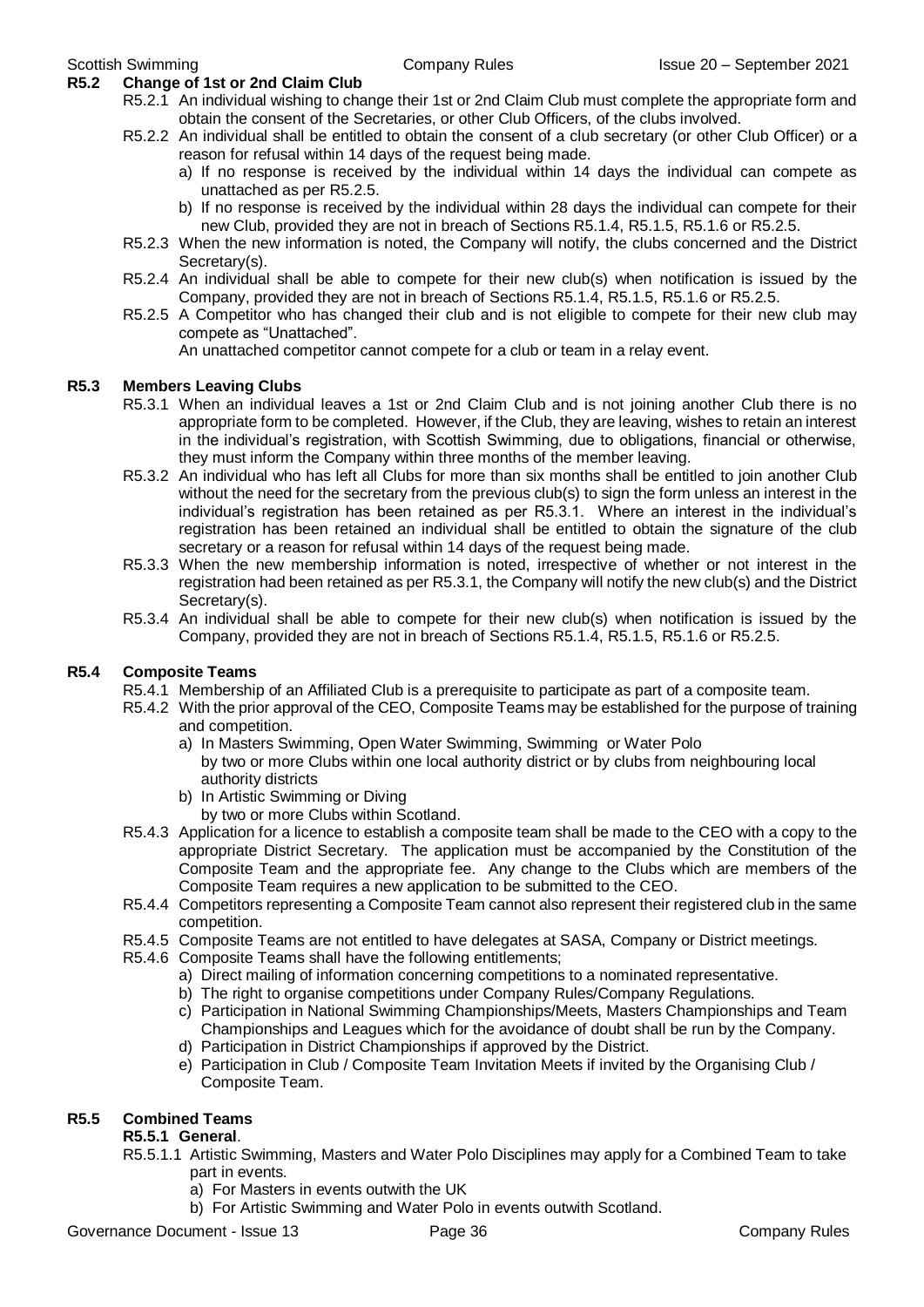#### **R5.2 Change of 1st or 2nd Claim Club**

- R5.2.1 An individual wishing to change their 1st or 2nd Claim Club must complete the appropriate form and obtain the consent of the Secretaries, or other Club Officers, of the clubs involved.
- R5.2.2 An individual shall be entitled to obtain the consent of a club secretary (or other Club Officer) or a reason for refusal within 14 days of the request being made.
	- a) If no response is received by the individual within 14 days the individual can compete as unattached as per R5.2.5.
	- b) If no response is received by the individual within 28 days the individual can compete for their new Club, provided they are not in breach of Sections R5.1.4, R5.1.5, R5.1.6 or R5.2.5.
- R5.2.3 When the new information is noted, the Company will notify, the clubs concerned and the District Secretary(s).
- R5.2.4 An individual shall be able to compete for their new club(s) when notification is issued by the Company, provided they are not in breach of Sections R5.1.4, R5.1.5, R5.1.6 or R5.2.5.
- R5.2.5 A Competitor who has changed their club and is not eligible to compete for their new club may compete as "Unattached".

An unattached competitor cannot compete for a club or team in a relay event.

#### **R5.3 Members Leaving Clubs**

- R5.3.1 When an individual leaves a 1st or 2nd Claim Club and is not joining another Club there is no appropriate form to be completed. However, if the Club, they are leaving, wishes to retain an interest in the individual's registration, with Scottish Swimming, due to obligations, financial or otherwise, they must inform the Company within three months of the member leaving.
- R5.3.2 An individual who has left all Clubs for more than six months shall be entitled to join another Club without the need for the secretary from the previous club(s) to sign the form unless an interest in the individual's registration has been retained as per R5.3.1. Where an interest in the individual's registration has been retained an individual shall be entitled to obtain the signature of the club secretary or a reason for refusal within 14 days of the request being made.
- R5.3.3 When the new membership information is noted, irrespective of whether or not interest in the registration had been retained as per R5.3.1, the Company will notify the new club(s) and the District Secretary(s).
- R5.3.4 An individual shall be able to compete for their new club(s) when notification is issued by the Company, provided they are not in breach of Sections R5.1.4, R5.1.5, R5.1.6 or R5.2.5.

#### **R5.4 Composite Teams**

- R5.4.1 Membership of an Affiliated Club is a prerequisite to participate as part of a composite team.
- R5.4.2 With the prior approval of the CEO, Composite Teams may be established for the purpose of training and competition.
	- a) In Masters Swimming, Open Water Swimming, Swimming or Water Polo by two or more Clubs within one local authority district or by clubs from neighbouring local authority districts
	- b) In Artistic Swimming or Diving by two or more Clubs within Scotland.
- R5.4.3 Application for a licence to establish a composite team shall be made to the CEO with a copy to the appropriate District Secretary. The application must be accompanied by the Constitution of the Composite Team and the appropriate fee. Any change to the Clubs which are members of the Composite Team requires a new application to be submitted to the CEO.
- R5.4.4 Competitors representing a Composite Team cannot also represent their registered club in the same competition.
- R5.4.5 Composite Teams are not entitled to have delegates at SASA, Company or District meetings.
- R5.4.6 Composite Teams shall have the following entitlements;
	- a) Direct mailing of information concerning competitions to a nominated representative.
	- b) The right to organise competitions under Company Rules/Company Regulations.
	- c) Participation in National Swimming Championships/Meets, Masters Championships and Team Championships and Leagues which for the avoidance of doubt shall be run by the Company.
	- d) Participation in District Championships if approved by the District.
	- e) Participation in Club / Composite Team Invitation Meets if invited by the Organising Club / Composite Team.

#### **R5.5 Combined Teams**

#### **R5.5.1 General**.

- R5.5.1.1 Artistic Swimming, Masters and Water Polo Disciplines may apply for a Combined Team to take part in events.
	- a) For Masters in events outwith the UK
	- b) For Artistic Swimming and Water Polo in events outwith Scotland.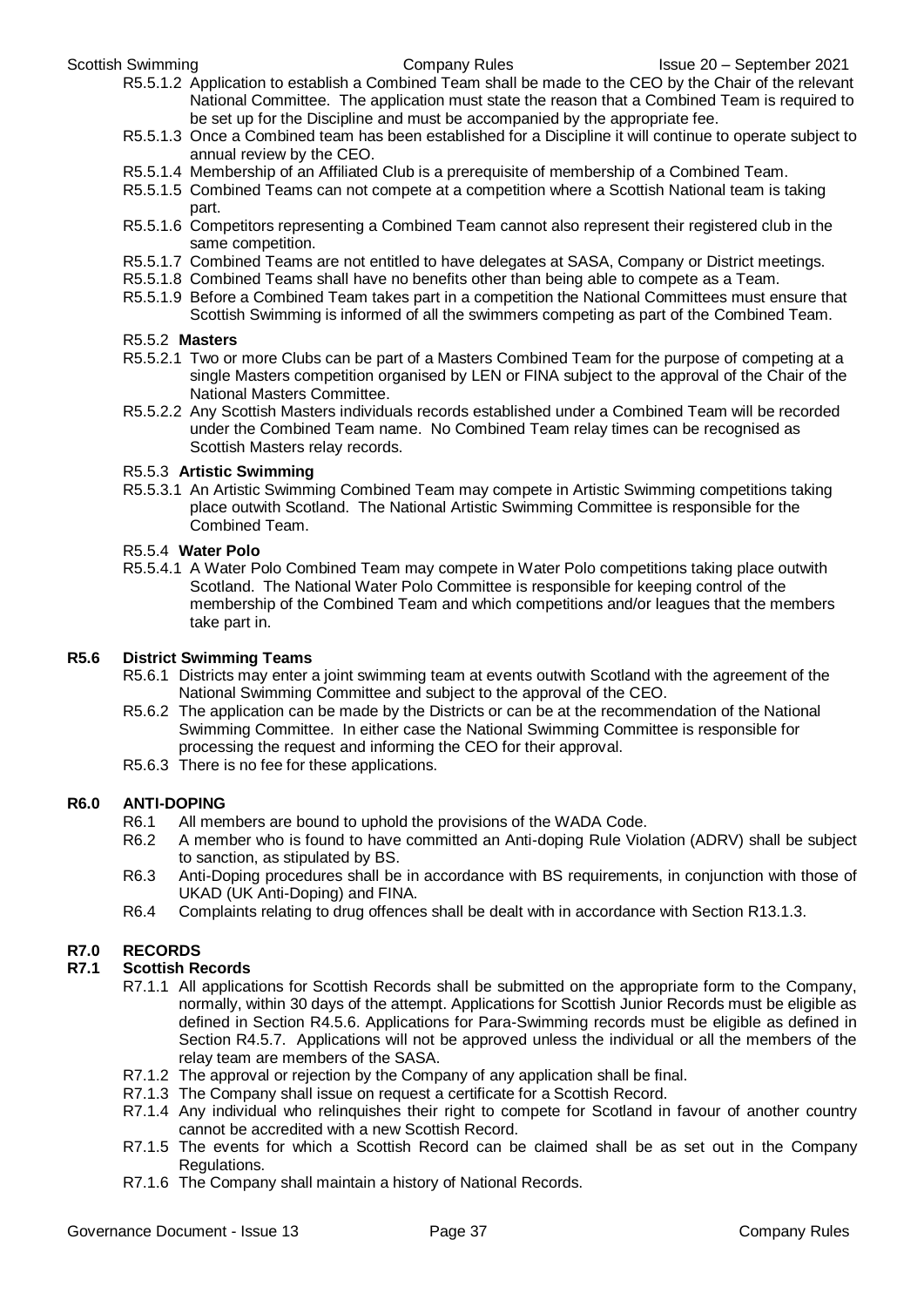- R5.5.1.2 Application to establish a Combined Team shall be made to the CEO by the Chair of the relevant National Committee. The application must state the reason that a Combined Team is required to be set up for the Discipline and must be accompanied by the appropriate fee.
- R5.5.1.3 Once a Combined team has been established for a Discipline it will continue to operate subject to annual review by the CEO.
- R5.5.1.4 Membership of an Affiliated Club is a prerequisite of membership of a Combined Team.
- R5.5.1.5 Combined Teams can not compete at a competition where a Scottish National team is taking part.
- R5.5.1.6 Competitors representing a Combined Team cannot also represent their registered club in the same competition.
- R5.5.1.7 Combined Teams are not entitled to have delegates at SASA, Company or District meetings.
- R5.5.1.8 Combined Teams shall have no benefits other than being able to compete as a Team.
- R5.5.1.9 Before a Combined Team takes part in a competition the National Committees must ensure that Scottish Swimming is informed of all the swimmers competing as part of the Combined Team.

#### R5.5.2 **Masters**

- R5.5.2.1 Two or more Clubs can be part of a Masters Combined Team for the purpose of competing at a single Masters competition organised by LEN or FINA subject to the approval of the Chair of the National Masters Committee.
- R5.5.2.2 Any Scottish Masters individuals records established under a Combined Team will be recorded under the Combined Team name. No Combined Team relay times can be recognised as Scottish Masters relay records.

#### R5.5.3 **Artistic Swimming**

R5.5.3.1 An Artistic Swimming Combined Team may compete in Artistic Swimming competitions taking place outwith Scotland. The National Artistic Swimming Committee is responsible for the Combined Team.

#### R5.5.4 **Water Polo**

R5.5.4.1 A Water Polo Combined Team may compete in Water Polo competitions taking place outwith Scotland. The National Water Polo Committee is responsible for keeping control of the membership of the Combined Team and which competitions and/or leagues that the members take part in.

#### **R5.6 District Swimming Teams**

- R5.6.1 Districts may enter a joint swimming team at events outwith Scotland with the agreement of the National Swimming Committee and subject to the approval of the CEO.
- R5.6.2 The application can be made by the Districts or can be at the recommendation of the National Swimming Committee. In either case the National Swimming Committee is responsible for processing the request and informing the CEO for their approval.
- R5.6.3 There is no fee for these applications.

#### **R6.0 ANTI-DOPING**

- R6.1 All members are bound to uphold the provisions of the WADA Code.<br>R6.2 A member who is found to have committed an Anti-doping Rule Vio
- A member who is found to have committed an Anti-doping Rule Violation (ADRV) shall be subject to sanction, as stipulated by BS.
- R6.3 Anti-Doping procedures shall be in accordance with BS requirements, in conjunction with those of UKAD (UK Anti-Doping) and FINA.
- R6.4 Complaints relating to drug offences shall be dealt with in accordance with Section R13.1.3.

#### **R7.0 RECORDS**

#### **R7.1 Scottish Records**

- R7.1.1 All applications for Scottish Records shall be submitted on the appropriate form to the Company, normally, within 30 days of the attempt. Applications for Scottish Junior Records must be eligible as defined in Section R4.5.6. Applications for Para-Swimming records must be eligible as defined in Section R4.5.7. Applications will not be approved unless the individual or all the members of the relay team are members of the SASA.
- R7.1.2 The approval or rejection by the Company of any application shall be final.
- R7.1.3 The Company shall issue on request a certificate for a Scottish Record.
- R7.1.4 Any individual who relinquishes their right to compete for Scotland in favour of another country cannot be accredited with a new Scottish Record.
- R7.1.5 The events for which a Scottish Record can be claimed shall be as set out in the Company Regulations.
- R7.1.6 The Company shall maintain a history of National Records.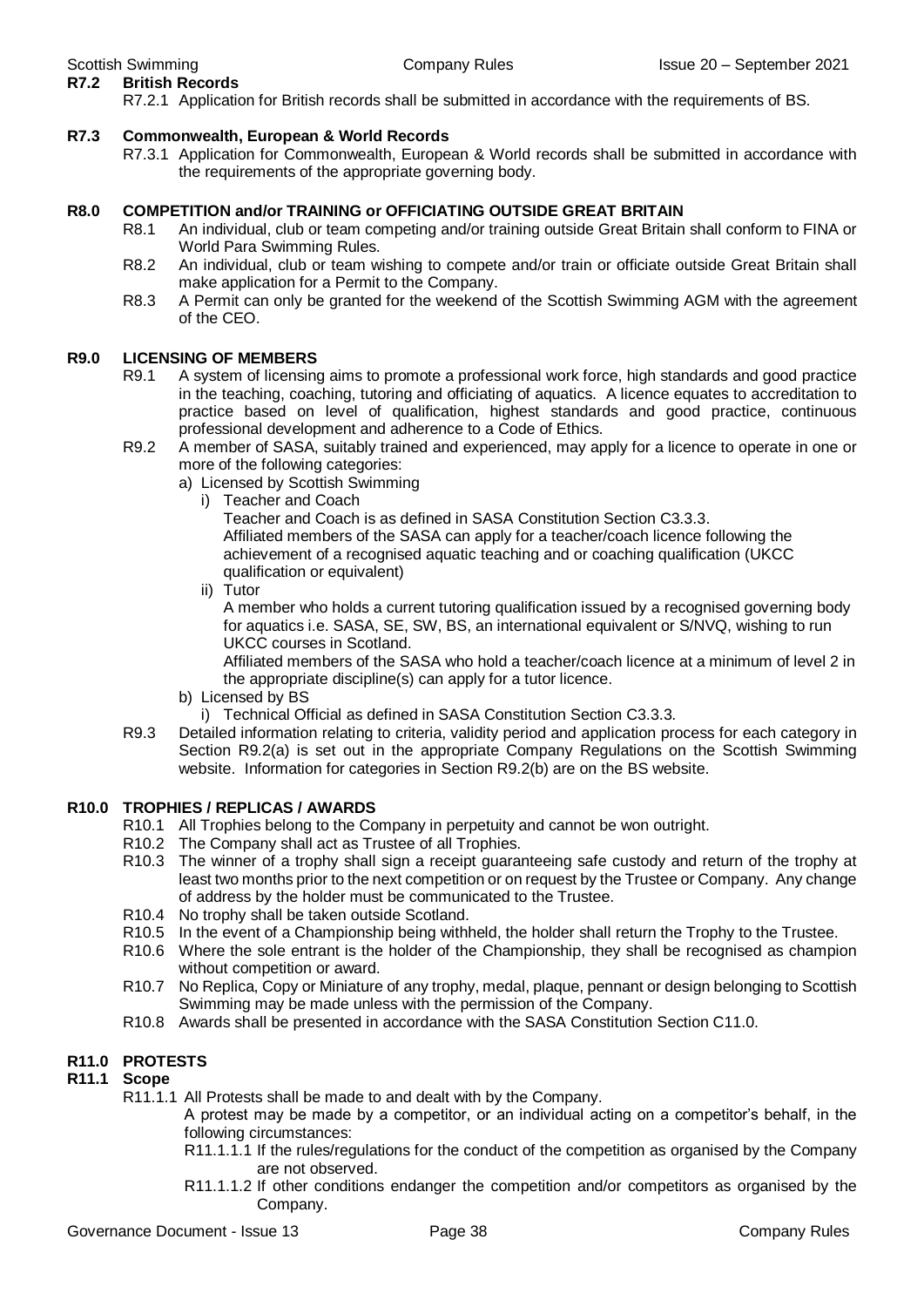**R7.2 British Records** R7.2.1 Application for British records shall be submitted in accordance with the requirements of BS.

### **R7.3 Commonwealth, European & World Records**

R7.3.1 Application for Commonwealth, European & World records shall be submitted in accordance with the requirements of the appropriate governing body.

### **R8.0 COMPETITION and/or TRAINING or OFFICIATING OUTSIDE GREAT BRITAIN**

- R8.1 An individual, club or team competing and/or training outside Great Britain shall conform to FINA or World Para Swimming Rules.
- R8.2 An individual, club or team wishing to compete and/or train or officiate outside Great Britain shall make application for a Permit to the Company.
- R8.3 A Permit can only be granted for the weekend of the Scottish Swimming AGM with the agreement of the CEO.

### **R9.0 LICENSING OF MEMBERS**

- R9.1 A system of licensing aims to promote a professional work force, high standards and good practice in the teaching, coaching, tutoring and officiating of aquatics. A licence equates to accreditation to practice based on level of qualification, highest standards and good practice, continuous professional development and adherence to a Code of Ethics.
- R9.2 A member of SASA, suitably trained and experienced, may apply for a licence to operate in one or more of the following categories:
	- a) Licensed by Scottish Swimming
		- i) Teacher and Coach

Teacher and Coach is as defined in SASA Constitution Section C3.3.3. Affiliated members of the SASA can apply for a teacher/coach licence following the achievement of a recognised aquatic teaching and or coaching qualification (UKCC qualification or equivalent)

ii) Tutor

A member who holds a current tutoring qualification issued by a recognised governing body for aquatics i.e. SASA, SE, SW, BS, an international equivalent or S/NVQ, wishing to run UKCC courses in Scotland.

Affiliated members of the SASA who hold a teacher/coach licence at a minimum of level 2 in the appropriate discipline(s) can apply for a tutor licence.

- b) Licensed by BS
	- i) Technical Official as defined in SASA Constitution Section C3.3.3.
- R9.3 Detailed information relating to criteria, validity period and application process for each category in Section R9.2(a) is set out in the appropriate Company Regulations on the Scottish Swimming website. Information for categories in Section R9.2(b) are on the BS website.

#### **R10.0 TROPHIES / REPLICAS / AWARDS**

- R10.1 All Trophies belong to the Company in perpetuity and cannot be won outright.
- R10.2 The Company shall act as Trustee of all Trophies.
- R10.3 The winner of a trophy shall sign a receipt guaranteeing safe custody and return of the trophy at least two months prior to the next competition or on request by the Trustee or Company. Any change of address by the holder must be communicated to the Trustee.
- R10.4 No trophy shall be taken outside Scotland.
- R10.5 In the event of a Championship being withheld, the holder shall return the Trophy to the Trustee.
- R10.6 Where the sole entrant is the holder of the Championship, they shall be recognised as champion without competition or award.
- R10.7 No Replica, Copy or Miniature of any trophy, medal, plaque, pennant or design belonging to Scottish Swimming may be made unless with the permission of the Company.
- R10.8 Awards shall be presented in accordance with the SASA Constitution Section C11.0.

#### **R11.0 PROTESTS**

#### **R11.1 Scope**

R11.1.1 All Protests shall be made to and dealt with by the Company.

A protest may be made by a competitor, or an individual acting on a competitor's behalf, in the following circumstances:

- R11.1.1.1 If the rules/regulations for the conduct of the competition as organised by the Company are not observed.
- R11.1.1.2 If other conditions endanger the competition and/or competitors as organised by the Company.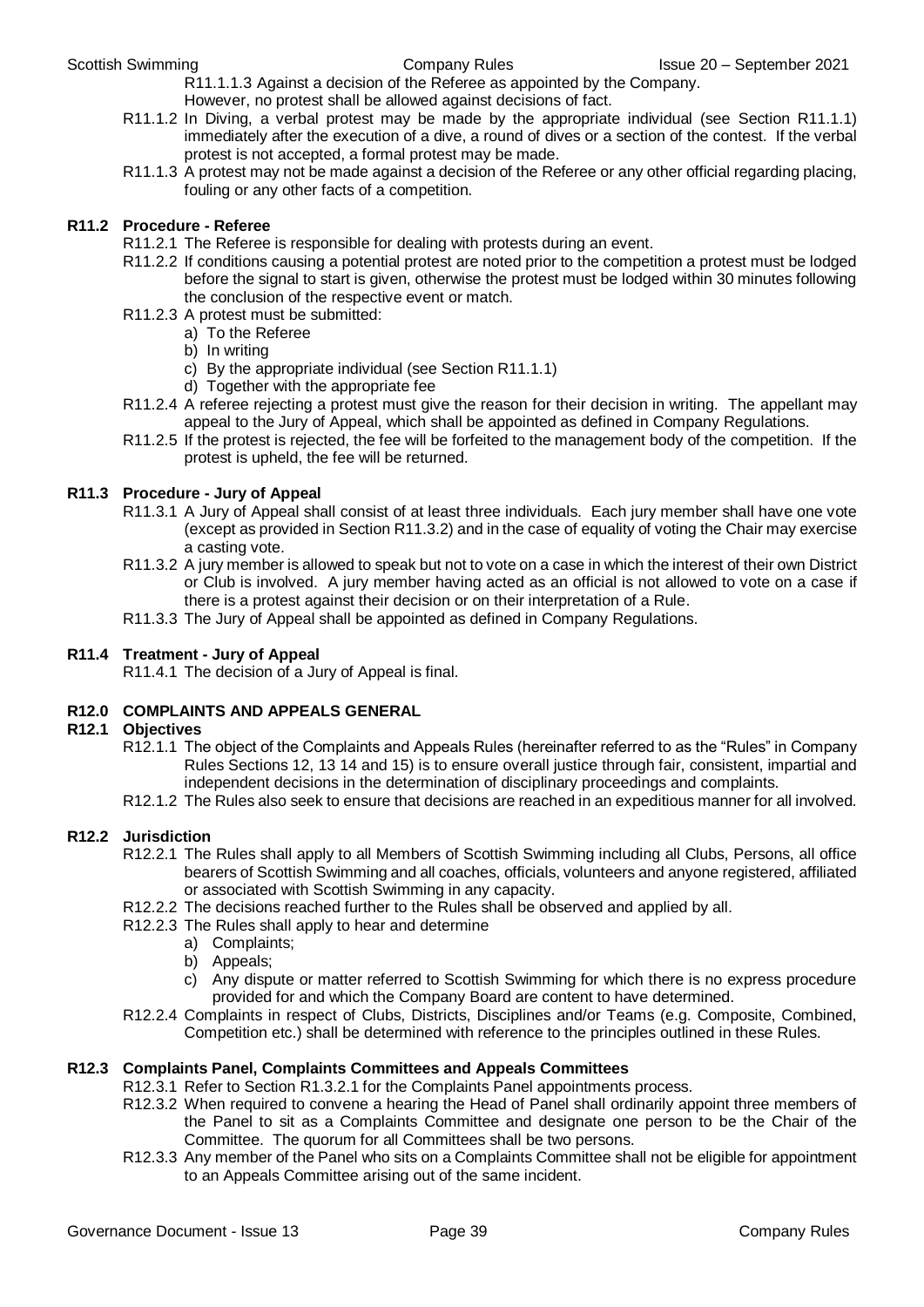R11.1.1.3 Against a decision of the Referee as appointed by the Company. However, no protest shall be allowed against decisions of fact.

- R11.1.2 In Diving, a verbal protest may be made by the appropriate individual (see Section R11.1.1) immediately after the execution of a dive, a round of dives or a section of the contest. If the verbal protest is not accepted, a formal protest may be made.
- R11.1.3 A protest may not be made against a decision of the Referee or any other official regarding placing, fouling or any other facts of a competition.

#### **R11.2 Procedure - Referee**

- R11.2.1 The Referee is responsible for dealing with protests during an event.
- R11.2.2 If conditions causing a potential protest are noted prior to the competition a protest must be lodged before the signal to start is given, otherwise the protest must be lodged within 30 minutes following the conclusion of the respective event or match.
- R11.2.3 A protest must be submitted:
	- a) To the Referee
	- b) In writing
	- c) By the appropriate individual (see Section R11.1.1)
	- d) Together with the appropriate fee
- R11.2.4 A referee rejecting a protest must give the reason for their decision in writing. The appellant may appeal to the Jury of Appeal, which shall be appointed as defined in Company Regulations.
- R11.2.5 If the protest is rejected, the fee will be forfeited to the management body of the competition. If the protest is upheld, the fee will be returned.

#### **R11.3 Procedure - Jury of Appeal**

- R11.3.1 A Jury of Appeal shall consist of at least three individuals. Each jury member shall have one vote (except as provided in Section R11.3.2) and in the case of equality of voting the Chair may exercise a casting vote.
- R11.3.2 A jury member is allowed to speak but not to vote on a case in which the interest of their own District or Club is involved. A jury member having acted as an official is not allowed to vote on a case if there is a protest against their decision or on their interpretation of a Rule.
- R11.3.3 The Jury of Appeal shall be appointed as defined in Company Regulations.

#### **R11.4 Treatment - Jury of Appeal**

R11.4.1 The decision of a Jury of Appeal is final.

#### **R12.0 COMPLAINTS AND APPEALS GENERAL**

#### **R12.1 Objectives**

- R12.1.1 The object of the Complaints and Appeals Rules (hereinafter referred to as the "Rules" in Company Rules Sections 12, 13 14 and 15) is to ensure overall justice through fair, consistent, impartial and independent decisions in the determination of disciplinary proceedings and complaints.
- R12.1.2 The Rules also seek to ensure that decisions are reached in an expeditious manner for all involved.

#### **R12.2 Jurisdiction**

- R12.2.1 The Rules shall apply to all Members of Scottish Swimming including all Clubs, Persons, all office bearers of Scottish Swimming and all coaches, officials, volunteers and anyone registered, affiliated or associated with Scottish Swimming in any capacity.
- R12.2.2 The decisions reached further to the Rules shall be observed and applied by all.
- R12.2.3 The Rules shall apply to hear and determine
	- a) Complaints;
		- b) Appeals;
		- c) Any dispute or matter referred to Scottish Swimming for which there is no express procedure provided for and which the Company Board are content to have determined.
- R12.2.4 Complaints in respect of Clubs, Districts, Disciplines and/or Teams (e.g. Composite, Combined, Competition etc.) shall be determined with reference to the principles outlined in these Rules.

#### **R12.3 Complaints Panel, Complaints Committees and Appeals Committees**

- R12.3.1 Refer to Section R1.3.2.1 for the Complaints Panel appointments process.
- R12.3.2 When required to convene a hearing the Head of Panel shall ordinarily appoint three members of the Panel to sit as a Complaints Committee and designate one person to be the Chair of the Committee. The quorum for all Committees shall be two persons.
- R12.3.3 Any member of the Panel who sits on a Complaints Committee shall not be eligible for appointment to an Appeals Committee arising out of the same incident.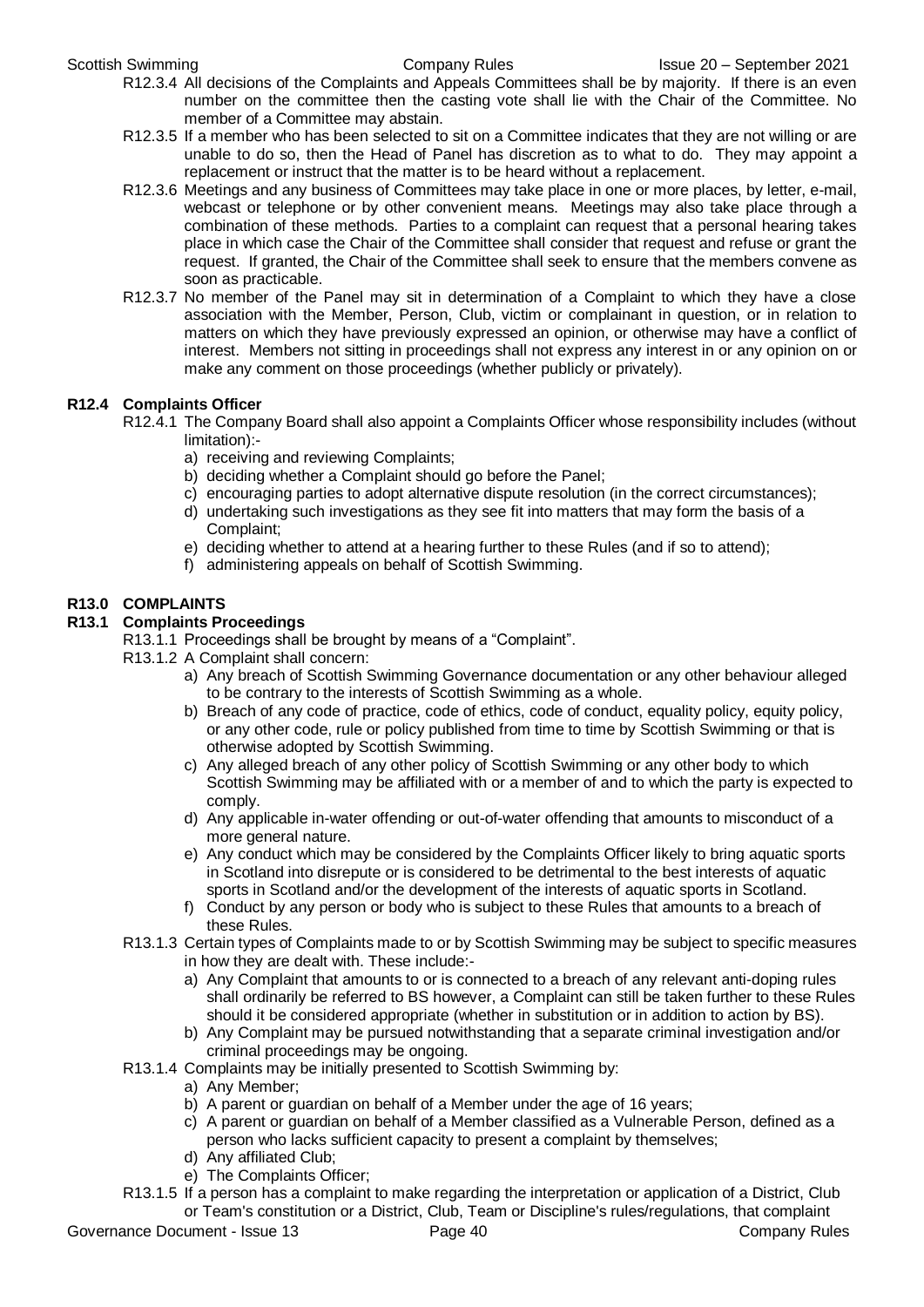- R12.3.4 All decisions of the Complaints and Appeals Committees shall be by majority. If there is an even number on the committee then the casting vote shall lie with the Chair of the Committee. No member of a Committee may abstain.
- R12.3.5 If a member who has been selected to sit on a Committee indicates that they are not willing or are unable to do so, then the Head of Panel has discretion as to what to do. They may appoint a replacement or instruct that the matter is to be heard without a replacement.
- R12.3.6 Meetings and any business of Committees may take place in one or more places, by letter, e-mail, webcast or telephone or by other convenient means. Meetings may also take place through a combination of these methods. Parties to a complaint can request that a personal hearing takes place in which case the Chair of the Committee shall consider that request and refuse or grant the request. If granted, the Chair of the Committee shall seek to ensure that the members convene as soon as practicable.
- R12.3.7 No member of the Panel may sit in determination of a Complaint to which they have a close association with the Member, Person, Club, victim or complainant in question, or in relation to matters on which they have previously expressed an opinion, or otherwise may have a conflict of interest. Members not sitting in proceedings shall not express any interest in or any opinion on or make any comment on those proceedings (whether publicly or privately).

#### **R12.4 Complaints Officer**

- R12.4.1 The Company Board shall also appoint a Complaints Officer whose responsibility includes (without limitation):
	- a) receiving and reviewing Complaints;
	- b) deciding whether a Complaint should go before the Panel;
	- c) encouraging parties to adopt alternative dispute resolution (in the correct circumstances);
	- d) undertaking such investigations as they see fit into matters that may form the basis of a Complaint;
	- e) deciding whether to attend at a hearing further to these Rules (and if so to attend);
	- f) administering appeals on behalf of Scottish Swimming.

#### **R13.0 COMPLAINTS**

### **R13.1 Complaints Proceedings**

- R13.1.1 Proceedings shall be brought by means of a "Complaint".
	- R13.1.2 A Complaint shall concern:
		- a) Any breach of Scottish Swimming Governance documentation or any other behaviour alleged to be contrary to the interests of Scottish Swimming as a whole.
		- b) Breach of any code of practice, code of ethics, code of conduct, equality policy, equity policy, or any other code, rule or policy published from time to time by Scottish Swimming or that is otherwise adopted by Scottish Swimming.
		- c) Any alleged breach of any other policy of Scottish Swimming or any other body to which Scottish Swimming may be affiliated with or a member of and to which the party is expected to comply.
		- d) Any applicable in-water offending or out-of-water offending that amounts to misconduct of a more general nature.
		- e) Any conduct which may be considered by the Complaints Officer likely to bring aquatic sports in Scotland into disrepute or is considered to be detrimental to the best interests of aquatic sports in Scotland and/or the development of the interests of aquatic sports in Scotland.
		- f) Conduct by any person or body who is subject to these Rules that amounts to a breach of these Rules.
	- R13.1.3 Certain types of Complaints made to or by Scottish Swimming may be subject to specific measures in how they are dealt with. These include:
		- a) Any Complaint that amounts to or is connected to a breach of any relevant anti-doping rules shall ordinarily be referred to BS however, a Complaint can still be taken further to these Rules should it be considered appropriate (whether in substitution or in addition to action by BS).
		- b) Any Complaint may be pursued notwithstanding that a separate criminal investigation and/or criminal proceedings may be ongoing.
	- R13.1.4 Complaints may be initially presented to Scottish Swimming by:
		- a) Any Member;
		- b) A parent or guardian on behalf of a Member under the age of 16 years;
		- c) A parent or guardian on behalf of a Member classified as a Vulnerable Person, defined as a person who lacks sufficient capacity to present a complaint by themselves;
		- d) Any affiliated Club;
		- e) The Complaints Officer;
	- R13.1.5 If a person has a complaint to make regarding the interpretation or application of a District, Club or Team's constitution or a District, Club, Team or Discipline's rules/regulations, that complaint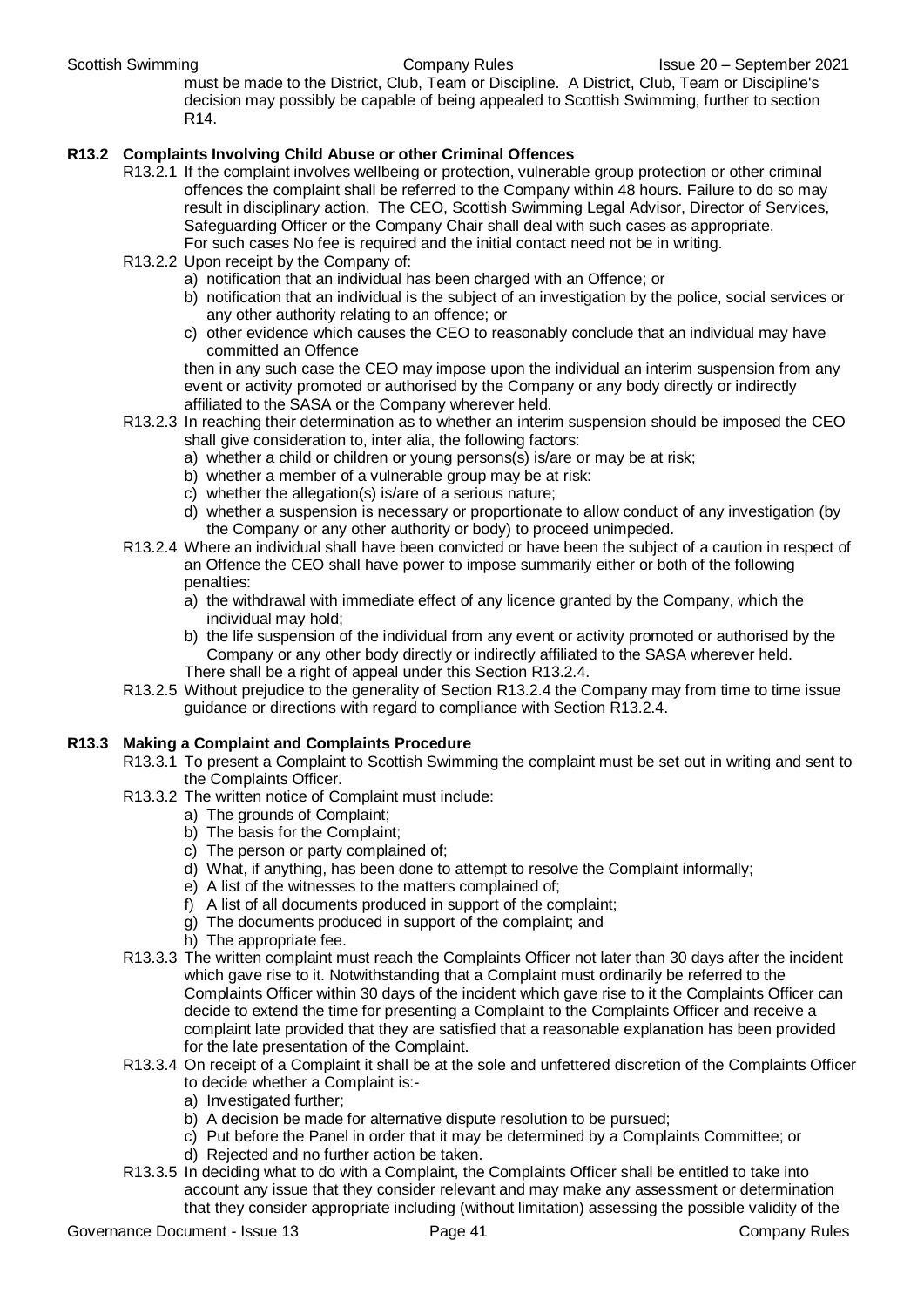must be made to the District, Club, Team or Discipline. A District, Club, Team or Discipline's decision may possibly be capable of being appealed to Scottish Swimming, further to section R14.

#### **R13.2 Complaints Involving Child Abuse or other Criminal Offences**

- R13.2.1 If the complaint involves wellbeing or protection, vulnerable group protection or other criminal offences the complaint shall be referred to the Company within 48 hours. Failure to do so may result in disciplinary action. The CEO, Scottish Swimming Legal Advisor, Director of Services, Safeguarding Officer or the Company Chair shall deal with such cases as appropriate. For such cases No fee is required and the initial contact need not be in writing.
- R13.2.2 Upon receipt by the Company of:
	- a) notification that an individual has been charged with an Offence; or
	- b) notification that an individual is the subject of an investigation by the police, social services or any other authority relating to an offence; or
	- c) other evidence which causes the CEO to reasonably conclude that an individual may have committed an Offence

then in any such case the CEO may impose upon the individual an interim suspension from any event or activity promoted or authorised by the Company or any body directly or indirectly affiliated to the SASA or the Company wherever held.

- R13.2.3 In reaching their determination as to whether an interim suspension should be imposed the CEO shall give consideration to, inter alia, the following factors:
	- a) whether a child or children or young persons(s) is/are or may be at risk;
	- b) whether a member of a vulnerable group may be at risk:
	- c) whether the allegation(s) is/are of a serious nature;
	- d) whether a suspension is necessary or proportionate to allow conduct of any investigation (by the Company or any other authority or body) to proceed unimpeded.
- R13.2.4 Where an individual shall have been convicted or have been the subject of a caution in respect of an Offence the CEO shall have power to impose summarily either or both of the following penalties:
	- a) the withdrawal with immediate effect of any licence granted by the Company, which the individual may hold;
	- b) the life suspension of the individual from any event or activity promoted or authorised by the Company or any other body directly or indirectly affiliated to the SASA wherever held. There shall be a right of appeal under this Section R13.2.4.
- R13.2.5 Without prejudice to the generality of Section R13.2.4 the Company may from time to time issue guidance or directions with regard to compliance with Section R13.2.4.

#### **R13.3 Making a Complaint and Complaints Procedure**

- R13.3.1 To present a Complaint to Scottish Swimming the complaint must be set out in writing and sent to the Complaints Officer.
- R13.3.2 The written notice of Complaint must include:
	- a) The grounds of Complaint;
	- b) The basis for the Complaint;
	- c) The person or party complained of;
	- d) What, if anything, has been done to attempt to resolve the Complaint informally;
	- e) A list of the witnesses to the matters complained of;
	- f) A list of all documents produced in support of the complaint;
	- g) The documents produced in support of the complaint; and
	- h) The appropriate fee.
- R13.3.3 The written complaint must reach the Complaints Officer not later than 30 days after the incident which gave rise to it. Notwithstanding that a Complaint must ordinarily be referred to the Complaints Officer within 30 days of the incident which gave rise to it the Complaints Officer can decide to extend the time for presenting a Complaint to the Complaints Officer and receive a complaint late provided that they are satisfied that a reasonable explanation has been provided for the late presentation of the Complaint.
- R13.3.4 On receipt of a Complaint it shall be at the sole and unfettered discretion of the Complaints Officer to decide whether a Complaint is:
	- a) Investigated further;
	- b) A decision be made for alternative dispute resolution to be pursued;
	- c) Put before the Panel in order that it may be determined by a Complaints Committee; or
	- d) Rejected and no further action be taken.
- R13.3.5 In deciding what to do with a Complaint, the Complaints Officer shall be entitled to take into account any issue that they consider relevant and may make any assessment or determination that they consider appropriate including (without limitation) assessing the possible validity of the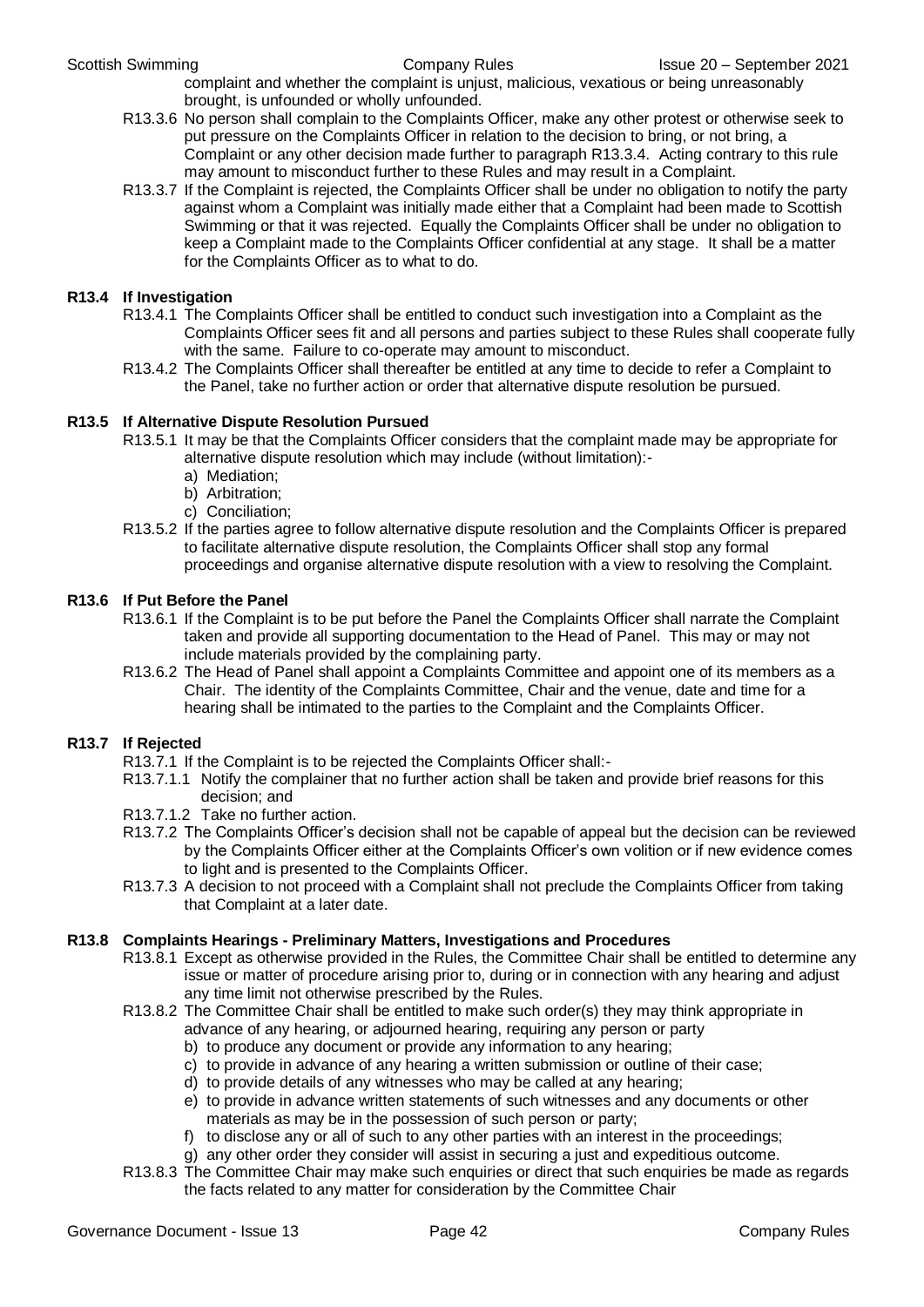complaint and whether the complaint is unjust, malicious, vexatious or being unreasonably brought, is unfounded or wholly unfounded.

- R13.3.6 No person shall complain to the Complaints Officer, make any other protest or otherwise seek to put pressure on the Complaints Officer in relation to the decision to bring, or not bring, a Complaint or any other decision made further to paragraph R13.3.4. Acting contrary to this rule may amount to misconduct further to these Rules and may result in a Complaint.
- R13.3.7 If the Complaint is rejected, the Complaints Officer shall be under no obligation to notify the party against whom a Complaint was initially made either that a Complaint had been made to Scottish Swimming or that it was rejected. Equally the Complaints Officer shall be under no obligation to keep a Complaint made to the Complaints Officer confidential at any stage. It shall be a matter for the Complaints Officer as to what to do.

#### **R13.4 If Investigation**

- R13.4.1 The Complaints Officer shall be entitled to conduct such investigation into a Complaint as the Complaints Officer sees fit and all persons and parties subject to these Rules shall cooperate fully with the same. Failure to co-operate may amount to misconduct.
- R13.4.2 The Complaints Officer shall thereafter be entitled at any time to decide to refer a Complaint to the Panel, take no further action or order that alternative dispute resolution be pursued.

#### **R13.5 If Alternative Dispute Resolution Pursued**

- R13.5.1 It may be that the Complaints Officer considers that the complaint made may be appropriate for alternative dispute resolution which may include (without limitation):
	- a) Mediation;
	- b) Arbitration;
	- c) Conciliation;
- R13.5.2 If the parties agree to follow alternative dispute resolution and the Complaints Officer is prepared to facilitate alternative dispute resolution, the Complaints Officer shall stop any formal proceedings and organise alternative dispute resolution with a view to resolving the Complaint.

#### **R13.6 If Put Before the Panel**

- R13.6.1 If the Complaint is to be put before the Panel the Complaints Officer shall narrate the Complaint taken and provide all supporting documentation to the Head of Panel. This may or may not include materials provided by the complaining party.
- R13.6.2 The Head of Panel shall appoint a Complaints Committee and appoint one of its members as a Chair. The identity of the Complaints Committee, Chair and the venue, date and time for a hearing shall be intimated to the parties to the Complaint and the Complaints Officer.

#### **R13.7 If Rejected**

- R13.7.1 If the Complaint is to be rejected the Complaints Officer shall:-
- R13.7.1.1 Notify the complainer that no further action shall be taken and provide brief reasons for this decision; and
- R13.7.1.2 Take no further action.
- R13.7.2 The Complaints Officer's decision shall not be capable of appeal but the decision can be reviewed by the Complaints Officer either at the Complaints Officer's own volition or if new evidence comes to light and is presented to the Complaints Officer.
- R13.7.3 A decision to not proceed with a Complaint shall not preclude the Complaints Officer from taking that Complaint at a later date.

#### **R13.8 Complaints Hearings - Preliminary Matters, Investigations and Procedures**

- R13.8.1 Except as otherwise provided in the Rules, the Committee Chair shall be entitled to determine any issue or matter of procedure arising prior to, during or in connection with any hearing and adjust any time limit not otherwise prescribed by the Rules.
- R13.8.2 The Committee Chair shall be entitled to make such order(s) they may think appropriate in
	- advance of any hearing, or adjourned hearing, requiring any person or party
	- b) to produce any document or provide any information to any hearing;
	- c) to provide in advance of any hearing a written submission or outline of their case;
	- d) to provide details of any witnesses who may be called at any hearing;
	- e) to provide in advance written statements of such witnesses and any documents or other materials as may be in the possession of such person or party;
	- f) to disclose any or all of such to any other parties with an interest in the proceedings;
	- g) any other order they consider will assist in securing a just and expeditious outcome.
- R13.8.3 The Committee Chair may make such enquiries or direct that such enquiries be made as regards the facts related to any matter for consideration by the Committee Chair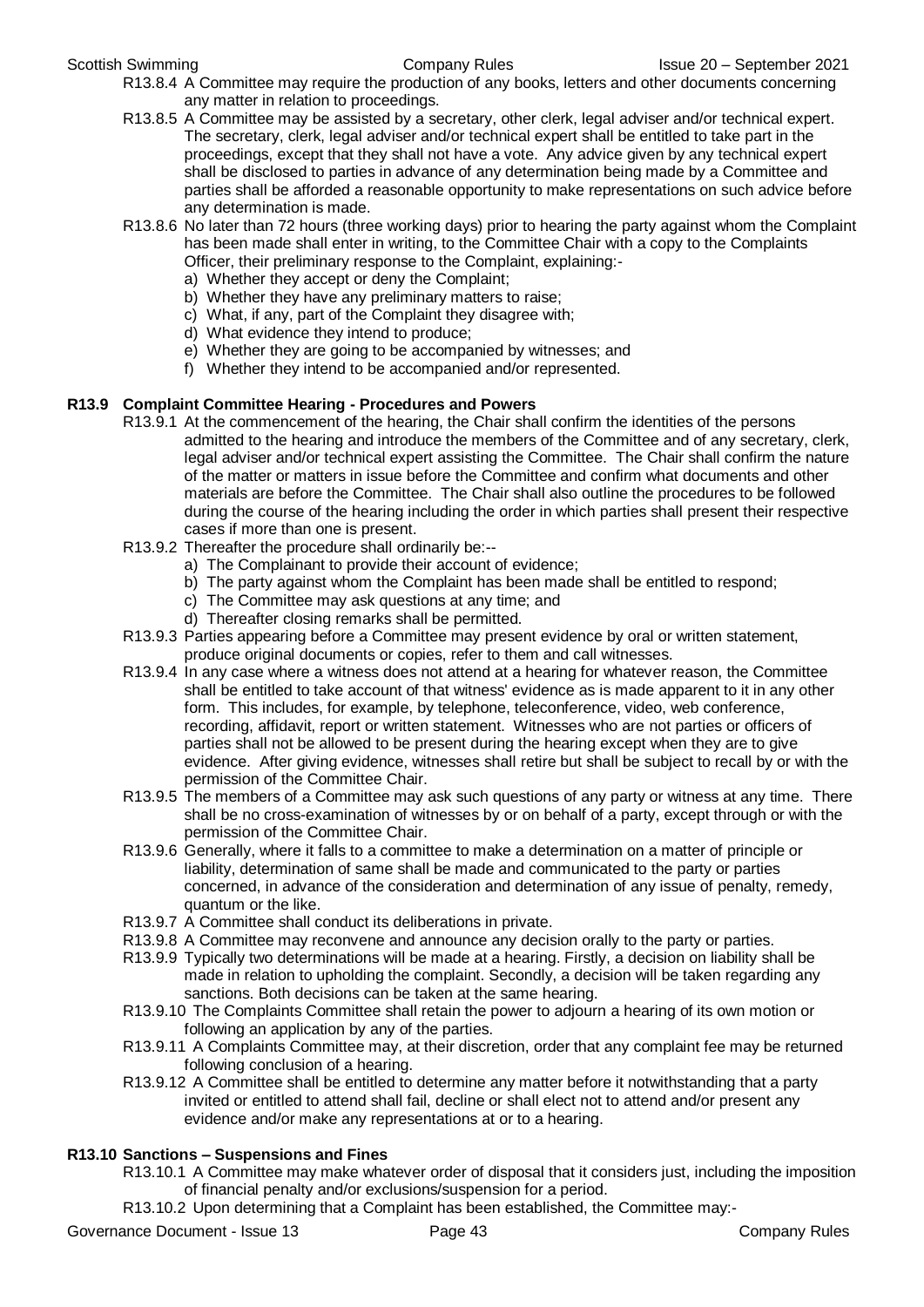- R13.8.4 A Committee may require the production of any books, letters and other documents concerning any matter in relation to proceedings.
- R13.8.5 A Committee may be assisted by a secretary, other clerk, legal adviser and/or technical expert. The secretary, clerk, legal adviser and/or technical expert shall be entitled to take part in the proceedings, except that they shall not have a vote. Any advice given by any technical expert shall be disclosed to parties in advance of any determination being made by a Committee and parties shall be afforded a reasonable opportunity to make representations on such advice before any determination is made.
- R13.8.6 No later than 72 hours (three working days) prior to hearing the party against whom the Complaint has been made shall enter in writing, to the Committee Chair with a copy to the Complaints Officer, their preliminary response to the Complaint, explaining:
	- a) Whether they accept or deny the Complaint;
	- b) Whether they have any preliminary matters to raise;
	- c) What, if any, part of the Complaint they disagree with;
	- d) What evidence they intend to produce;
	- e) Whether they are going to be accompanied by witnesses; and
	- f) Whether they intend to be accompanied and/or represented.

#### **R13.9 Complaint Committee Hearing - Procedures and Powers**

- R13.9.1 At the commencement of the hearing, the Chair shall confirm the identities of the persons admitted to the hearing and introduce the members of the Committee and of any secretary, clerk, legal adviser and/or technical expert assisting the Committee. The Chair shall confirm the nature of the matter or matters in issue before the Committee and confirm what documents and other materials are before the Committee. The Chair shall also outline the procedures to be followed during the course of the hearing including the order in which parties shall present their respective cases if more than one is present.
	- R13.9.2 Thereafter the procedure shall ordinarily be:-
		- a) The Complainant to provide their account of evidence;
		- b) The party against whom the Complaint has been made shall be entitled to respond;
		- c) The Committee may ask questions at any time; and
		- d) Thereafter closing remarks shall be permitted.
	- R13.9.3 Parties appearing before a Committee may present evidence by oral or written statement, produce original documents or copies, refer to them and call witnesses.
	- R13.9.4 In any case where a witness does not attend at a hearing for whatever reason, the Committee shall be entitled to take account of that witness' evidence as is made apparent to it in any other form. This includes, for example, by telephone, teleconference, video, web conference, recording, affidavit, report or written statement. Witnesses who are not parties or officers of parties shall not be allowed to be present during the hearing except when they are to give evidence. After giving evidence, witnesses shall retire but shall be subject to recall by or with the permission of the Committee Chair.
	- R13.9.5 The members of a Committee may ask such questions of any party or witness at any time. There shall be no cross-examination of witnesses by or on behalf of a party, except through or with the permission of the Committee Chair.
	- R13.9.6 Generally, where it falls to a committee to make a determination on a matter of principle or liability, determination of same shall be made and communicated to the party or parties concerned, in advance of the consideration and determination of any issue of penalty, remedy, quantum or the like.
	- R13.9.7 A Committee shall conduct its deliberations in private.
	- R13.9.8 A Committee may reconvene and announce any decision orally to the party or parties.
	- R13.9.9 Typically two determinations will be made at a hearing. Firstly, a decision on liability shall be made in relation to upholding the complaint. Secondly, a decision will be taken regarding any sanctions. Both decisions can be taken at the same hearing.
	- R13.9.10 The Complaints Committee shall retain the power to adjourn a hearing of its own motion or following an application by any of the parties.
	- R13.9.11 A Complaints Committee may, at their discretion, order that any complaint fee may be returned following conclusion of a hearing.
	- R13.9.12 A Committee shall be entitled to determine any matter before it notwithstanding that a party invited or entitled to attend shall fail, decline or shall elect not to attend and/or present any evidence and/or make any representations at or to a hearing.

#### **R13.10 Sanctions – Suspensions and Fines**

- R13.10.1 A Committee may make whatever order of disposal that it considers just, including the imposition of financial penalty and/or exclusions/suspension for a period.
- R13.10.2 Upon determining that a Complaint has been established, the Committee may:-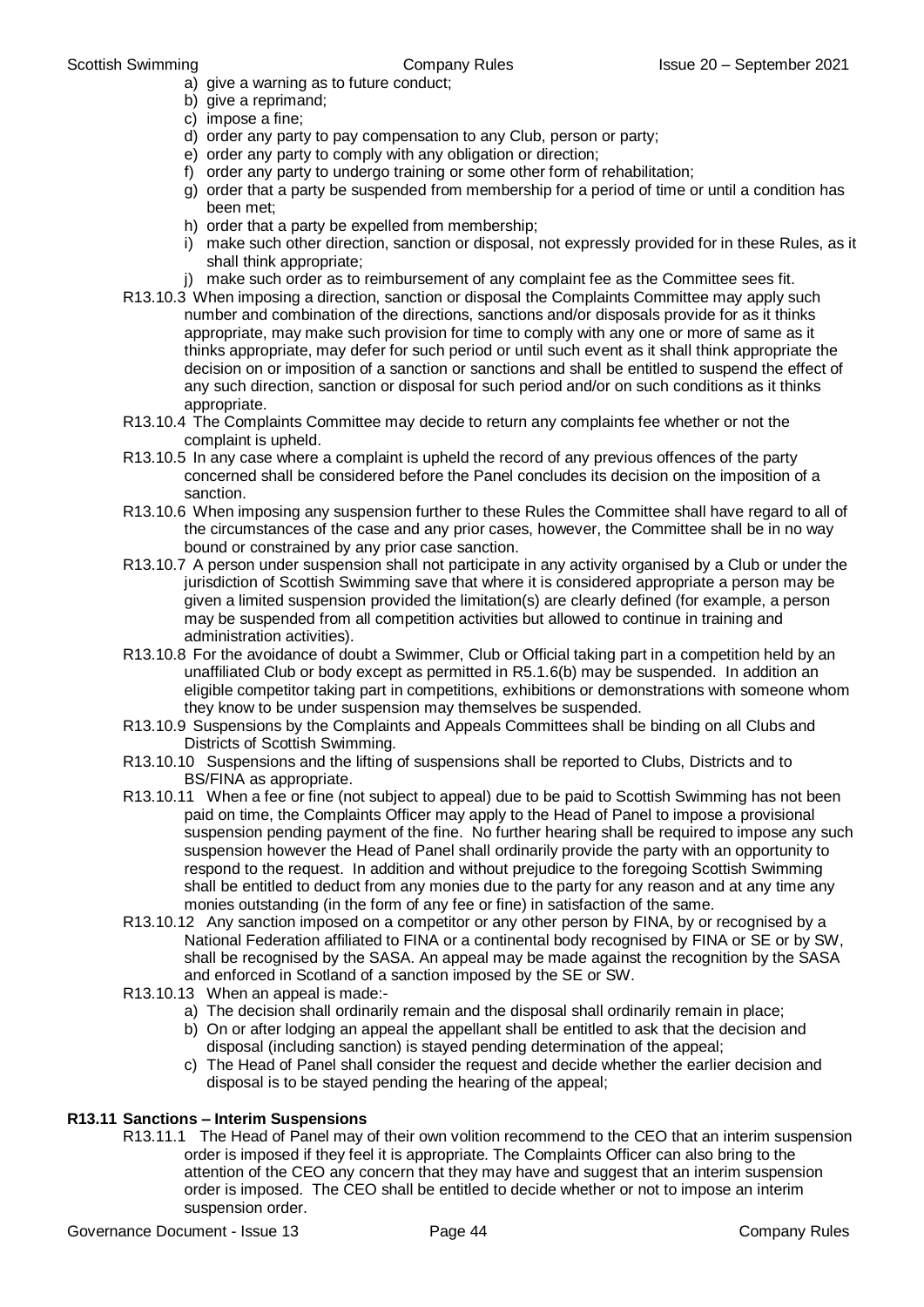- a) give a warning as to future conduct;
- b) give a reprimand:
- c) impose a fine;
- d) order any party to pay compensation to any Club, person or party;
- e) order any party to comply with any obligation or direction;
- f) order any party to undergo training or some other form of rehabilitation;
- g) order that a party be suspended from membership for a period of time or until a condition has been met;
- h) order that a party be expelled from membership;
- i) make such other direction, sanction or disposal, not expressly provided for in these Rules, as it shall think appropriate;
- j) make such order as to reimbursement of any complaint fee as the Committee sees fit.
- R13.10.3 When imposing a direction, sanction or disposal the Complaints Committee may apply such number and combination of the directions, sanctions and/or disposals provide for as it thinks appropriate, may make such provision for time to comply with any one or more of same as it thinks appropriate, may defer for such period or until such event as it shall think appropriate the decision on or imposition of a sanction or sanctions and shall be entitled to suspend the effect of any such direction, sanction or disposal for such period and/or on such conditions as it thinks appropriate.
- R13.10.4 The Complaints Committee may decide to return any complaints fee whether or not the complaint is upheld.
- R13.10.5 In any case where a complaint is upheld the record of any previous offences of the party concerned shall be considered before the Panel concludes its decision on the imposition of a sanction.
- R13.10.6 When imposing any suspension further to these Rules the Committee shall have regard to all of the circumstances of the case and any prior cases, however, the Committee shall be in no way bound or constrained by any prior case sanction.
- R13.10.7 A person under suspension shall not participate in any activity organised by a Club or under the jurisdiction of Scottish Swimming save that where it is considered appropriate a person may be given a limited suspension provided the limitation(s) are clearly defined (for example, a person may be suspended from all competition activities but allowed to continue in training and administration activities).
- R13.10.8 For the avoidance of doubt a Swimmer, Club or Official taking part in a competition held by an unaffiliated Club or body except as permitted in R5.1.6(b) may be suspended. In addition an eligible competitor taking part in competitions, exhibitions or demonstrations with someone whom they know to be under suspension may themselves be suspended.
- R13.10.9 Suspensions by the Complaints and Appeals Committees shall be binding on all Clubs and Districts of Scottish Swimming.
- R13.10.10 Suspensions and the lifting of suspensions shall be reported to Clubs, Districts and to BS/FINA as appropriate.
- R13.10.11 When a fee or fine (not subject to appeal) due to be paid to Scottish Swimming has not been paid on time, the Complaints Officer may apply to the Head of Panel to impose a provisional suspension pending payment of the fine. No further hearing shall be required to impose any such suspension however the Head of Panel shall ordinarily provide the party with an opportunity to respond to the request. In addition and without prejudice to the foregoing Scottish Swimming shall be entitled to deduct from any monies due to the party for any reason and at any time any monies outstanding (in the form of any fee or fine) in satisfaction of the same.
- R13.10.12 Any sanction imposed on a competitor or any other person by FINA, by or recognised by a National Federation affiliated to FINA or a continental body recognised by FINA or SE or by SW, shall be recognised by the SASA. An appeal may be made against the recognition by the SASA and enforced in Scotland of a sanction imposed by the SE or SW.
- R13.10.13 When an appeal is made:
	- a) The decision shall ordinarily remain and the disposal shall ordinarily remain in place;
	- b) On or after lodging an appeal the appellant shall be entitled to ask that the decision and disposal (including sanction) is stayed pending determination of the appeal;
	- c) The Head of Panel shall consider the request and decide whether the earlier decision and disposal is to be stayed pending the hearing of the appeal;

#### **R13.11 Sanctions – Interim Suspensions**

R13.11.1 The Head of Panel may of their own volition recommend to the CEO that an interim suspension order is imposed if they feel it is appropriate. The Complaints Officer can also bring to the attention of the CEO any concern that they may have and suggest that an interim suspension order is imposed. The CEO shall be entitled to decide whether or not to impose an interim suspension order.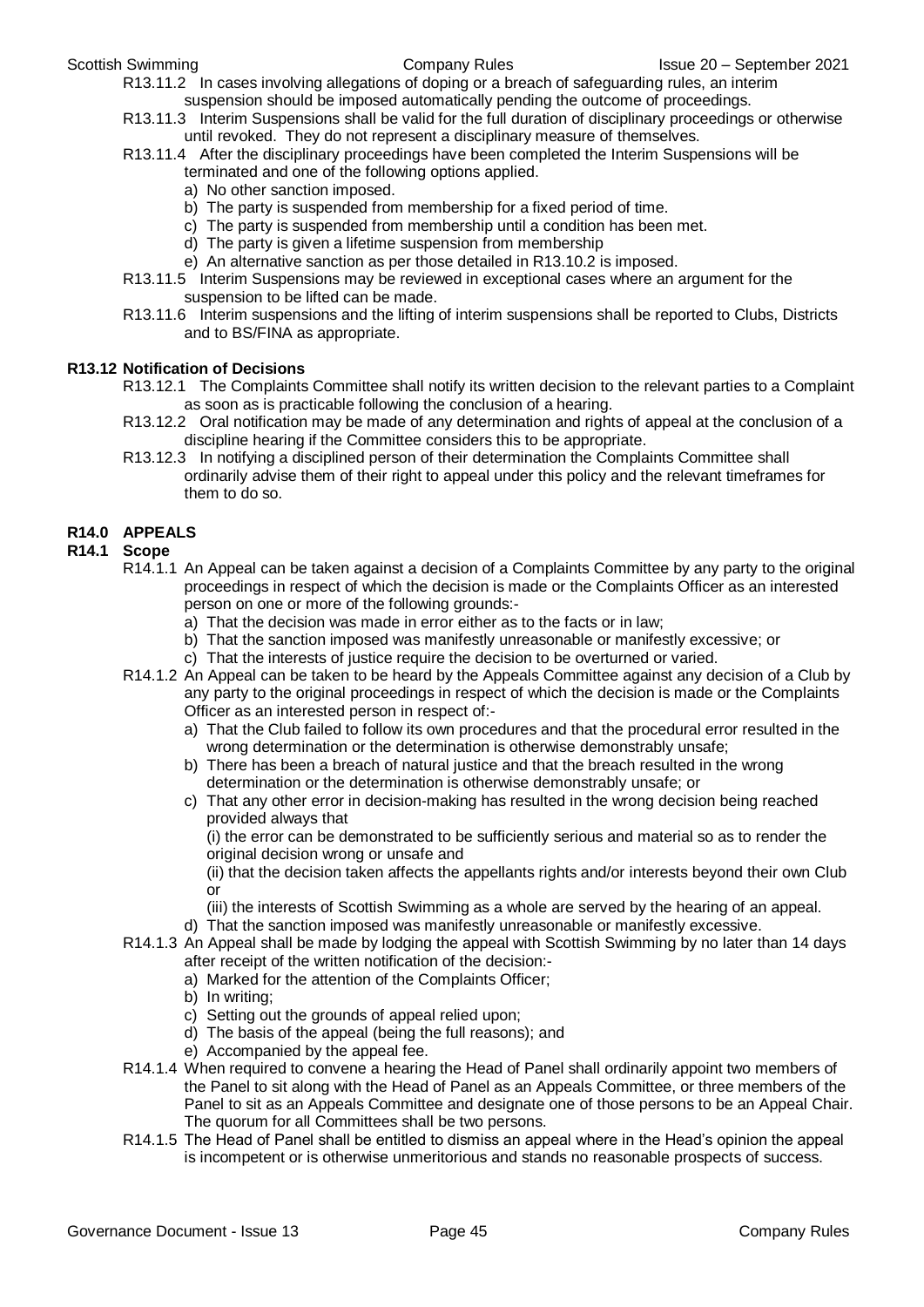R13.11.2 In cases involving allegations of doping or a breach of safeguarding rules, an interim suspension should be imposed automatically pending the outcome of proceedings.

- R13.11.3 Interim Suspensions shall be valid for the full duration of disciplinary proceedings or otherwise until revoked. They do not represent a disciplinary measure of themselves.
- R13.11.4 After the disciplinary proceedings have been completed the Interim Suspensions will be terminated and one of the following options applied.
	- a) No other sanction imposed.
	- b) The party is suspended from membership for a fixed period of time.
	- c) The party is suspended from membership until a condition has been met.
	- d) The party is given a lifetime suspension from membership
	- e) An alternative sanction as per those detailed in R13.10.2 is imposed.
- R13.11.5 Interim Suspensions may be reviewed in exceptional cases where an argument for the suspension to be lifted can be made.
- R13.11.6 Interim suspensions and the lifting of interim suspensions shall be reported to Clubs, Districts and to BS/FINA as appropriate.

#### **R13.12 Notification of Decisions**

- R13.12.1 The Complaints Committee shall notify its written decision to the relevant parties to a Complaint as soon as is practicable following the conclusion of a hearing.
- R13.12.2 Oral notification may be made of any determination and rights of appeal at the conclusion of a discipline hearing if the Committee considers this to be appropriate.
- R13.12.3 In notifying a disciplined person of their determination the Complaints Committee shall ordinarily advise them of their right to appeal under this policy and the relevant timeframes for them to do so.

#### **R14.0 APPEALS**

#### **R14.1 Scope**

- R14.1.1 An Appeal can be taken against a decision of a Complaints Committee by any party to the original proceedings in respect of which the decision is made or the Complaints Officer as an interested person on one or more of the following grounds:
	- a) That the decision was made in error either as to the facts or in law;
	- b) That the sanction imposed was manifestly unreasonable or manifestly excessive; or
	- c) That the interests of justice require the decision to be overturned or varied.
- R14.1.2 An Appeal can be taken to be heard by the Appeals Committee against any decision of a Club by any party to the original proceedings in respect of which the decision is made or the Complaints Officer as an interested person in respect of:
	- a) That the Club failed to follow its own procedures and that the procedural error resulted in the wrong determination or the determination is otherwise demonstrably unsafe;
	- b) There has been a breach of natural justice and that the breach resulted in the wrong determination or the determination is otherwise demonstrably unsafe; or
	- c) That any other error in decision-making has resulted in the wrong decision being reached provided always that

(i) the error can be demonstrated to be sufficiently serious and material so as to render the original decision wrong or unsafe and

(ii) that the decision taken affects the appellants rights and/or interests beyond their own Club or

- (iii) the interests of Scottish Swimming as a whole are served by the hearing of an appeal. d) That the sanction imposed was manifestly unreasonable or manifestly excessive.
- R14.1.3 An Appeal shall be made by lodging the appeal with Scottish Swimming by no later than 14 days after receipt of the written notification of the decision:
	- a) Marked for the attention of the Complaints Officer;
	- b) In writing;
	- c) Setting out the grounds of appeal relied upon;
	- d) The basis of the appeal (being the full reasons); and
	- e) Accompanied by the appeal fee.
- R14.1.4 When required to convene a hearing the Head of Panel shall ordinarily appoint two members of the Panel to sit along with the Head of Panel as an Appeals Committee, or three members of the Panel to sit as an Appeals Committee and designate one of those persons to be an Appeal Chair. The quorum for all Committees shall be two persons.
- R14.1.5 The Head of Panel shall be entitled to dismiss an appeal where in the Head's opinion the appeal is incompetent or is otherwise unmeritorious and stands no reasonable prospects of success.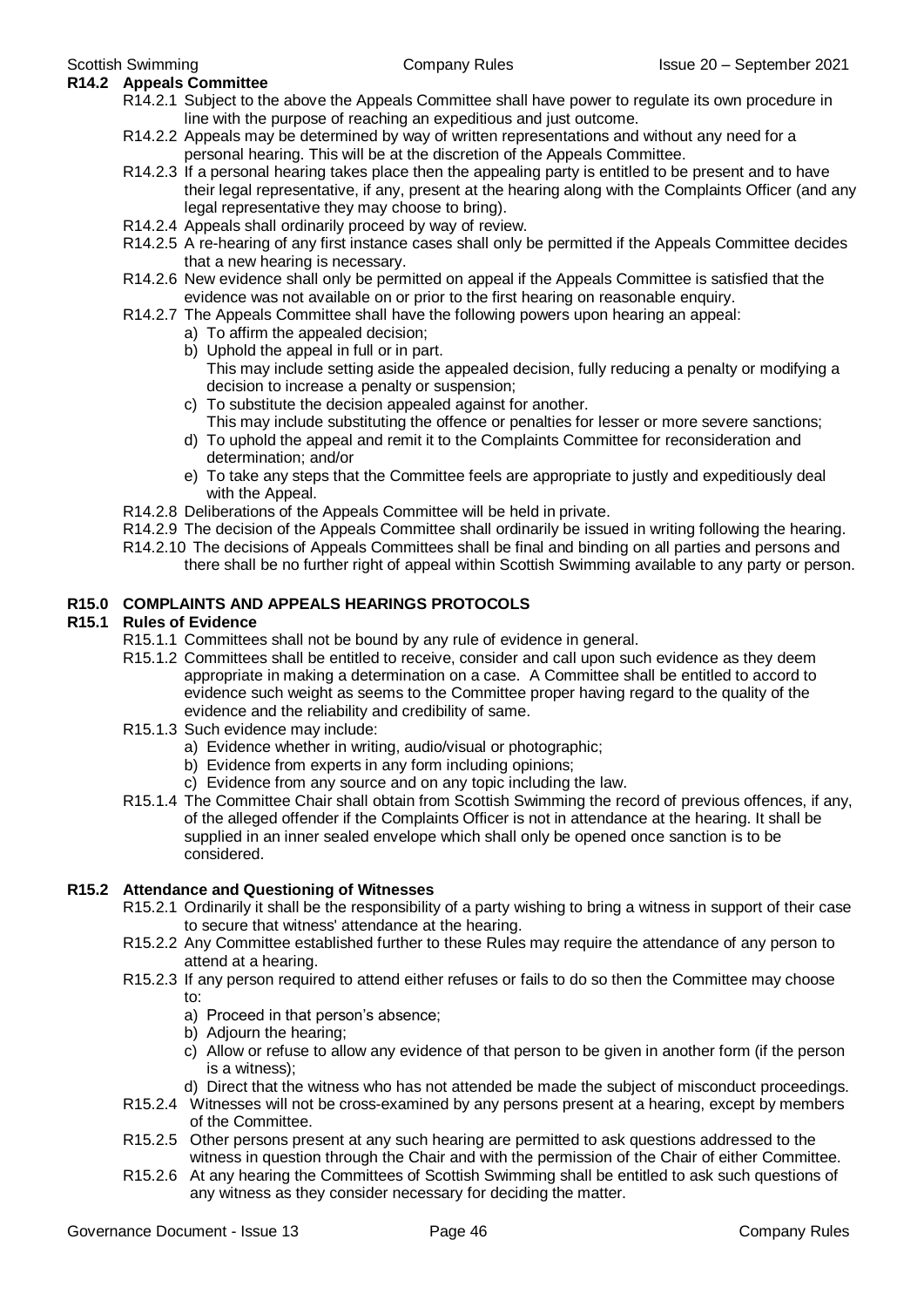- **R14.2 Appeals Committee** R14.2.1 Subject to the above the Appeals Committee shall have power to regulate its own procedure in line with the purpose of reaching an expeditious and just outcome.
	- R14.2.2 Appeals may be determined by way of written representations and without any need for a personal hearing. This will be at the discretion of the Appeals Committee.
	- R14.2.3 If a personal hearing takes place then the appealing party is entitled to be present and to have their legal representative, if any, present at the hearing along with the Complaints Officer (and any legal representative they may choose to bring).
	- R14.2.4 Appeals shall ordinarily proceed by way of review.
	- R14.2.5 A re-hearing of any first instance cases shall only be permitted if the Appeals Committee decides that a new hearing is necessary.
	- R14.2.6 New evidence shall only be permitted on appeal if the Appeals Committee is satisfied that the evidence was not available on or prior to the first hearing on reasonable enquiry.
	- R14.2.7 The Appeals Committee shall have the following powers upon hearing an appeal:
		- a) To affirm the appealed decision;
		- b) Uphold the appeal in full or in part. This may include setting aside the appealed decision, fully reducing a penalty or modifying a decision to increase a penalty or suspension;
		- c) To substitute the decision appealed against for another. This may include substituting the offence or penalties for lesser or more severe sanctions;
		- d) To uphold the appeal and remit it to the Complaints Committee for reconsideration and determination; and/or
		- e) To take any steps that the Committee feels are appropriate to justly and expeditiously deal with the Appeal.
	- R14.2.8 Deliberations of the Appeals Committee will be held in private.
	- R14.2.9 The decision of the Appeals Committee shall ordinarily be issued in writing following the hearing.
	- R14.2.10 The decisions of Appeals Committees shall be final and binding on all parties and persons and there shall be no further right of appeal within Scottish Swimming available to any party or person.

#### **R15.0 COMPLAINTS AND APPEALS HEARINGS PROTOCOLS**

#### **R15.1 Rules of Evidence**

- R15.1.1 Committees shall not be bound by any rule of evidence in general.
	- R15.1.2 Committees shall be entitled to receive, consider and call upon such evidence as they deem appropriate in making a determination on a case. A Committee shall be entitled to accord to evidence such weight as seems to the Committee proper having regard to the quality of the evidence and the reliability and credibility of same.
	- R15.1.3 Such evidence may include:
		- a) Evidence whether in writing, audio/visual or photographic;
		- b) Evidence from experts in any form including opinions;
		- c) Evidence from any source and on any topic including the law.
	- R15.1.4 The Committee Chair shall obtain from Scottish Swimming the record of previous offences, if any, of the alleged offender if the Complaints Officer is not in attendance at the hearing. It shall be supplied in an inner sealed envelope which shall only be opened once sanction is to be considered.

#### **R15.2 Attendance and Questioning of Witnesses**

- R15.2.1 Ordinarily it shall be the responsibility of a party wishing to bring a witness in support of their case to secure that witness' attendance at the hearing.
- R15.2.2 Any Committee established further to these Rules may require the attendance of any person to attend at a hearing.
- R15.2.3 If any person required to attend either refuses or fails to do so then the Committee may choose to:
	- a) Proceed in that person's absence;
	- b) Adjourn the hearing;
	- c) Allow or refuse to allow any evidence of that person to be given in another form (if the person is a witness);
	- d) Direct that the witness who has not attended be made the subject of misconduct proceedings.
- R15.2.4 Witnesses will not be cross-examined by any persons present at a hearing, except by members of the Committee.
- R15.2.5 Other persons present at any such hearing are permitted to ask questions addressed to the witness in question through the Chair and with the permission of the Chair of either Committee.
- R15.2.6 At any hearing the Committees of Scottish Swimming shall be entitled to ask such questions of any witness as they consider necessary for deciding the matter.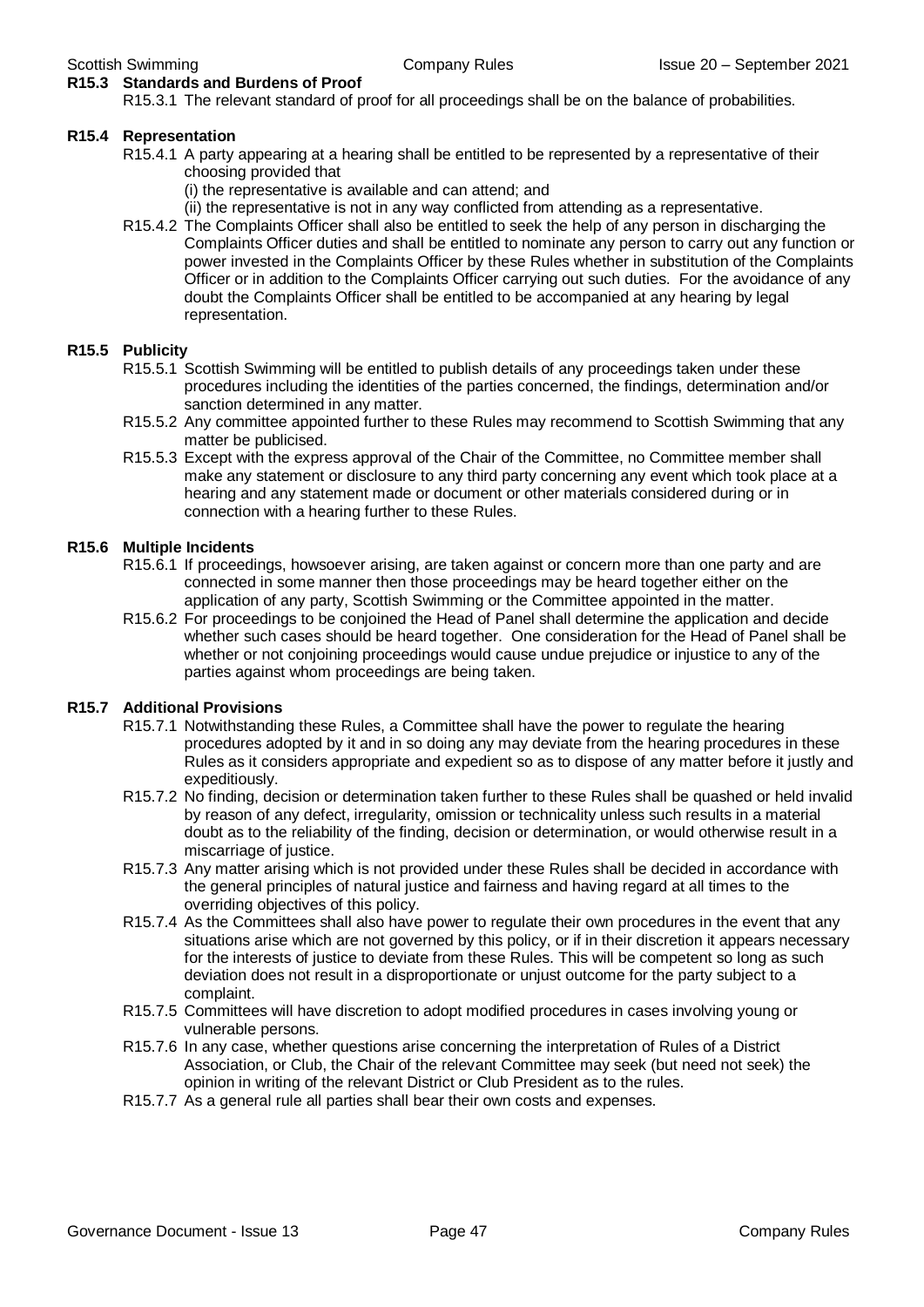#### **R15.3 Standards and Burdens of Proof**

R15.3.1 The relevant standard of proof for all proceedings shall be on the balance of probabilities.

#### **R15.4 Representation**

- R15.4.1 A party appearing at a hearing shall be entitled to be represented by a representative of their choosing provided that
	- (i) the representative is available and can attend; and
	- (ii) the representative is not in any way conflicted from attending as a representative.
- R15.4.2 The Complaints Officer shall also be entitled to seek the help of any person in discharging the Complaints Officer duties and shall be entitled to nominate any person to carry out any function or power invested in the Complaints Officer by these Rules whether in substitution of the Complaints Officer or in addition to the Complaints Officer carrying out such duties. For the avoidance of any doubt the Complaints Officer shall be entitled to be accompanied at any hearing by legal representation.

#### **R15.5 Publicity**

- R15.5.1 Scottish Swimming will be entitled to publish details of any proceedings taken under these procedures including the identities of the parties concerned, the findings, determination and/or sanction determined in any matter.
- R15.5.2 Any committee appointed further to these Rules may recommend to Scottish Swimming that any matter be publicised.
- R15.5.3 Except with the express approval of the Chair of the Committee, no Committee member shall make any statement or disclosure to any third party concerning any event which took place at a hearing and any statement made or document or other materials considered during or in connection with a hearing further to these Rules.

#### **R15.6 Multiple Incidents**

- R15.6.1 If proceedings, howsoever arising, are taken against or concern more than one party and are connected in some manner then those proceedings may be heard together either on the application of any party, Scottish Swimming or the Committee appointed in the matter.
- R15.6.2 For proceedings to be conjoined the Head of Panel shall determine the application and decide whether such cases should be heard together. One consideration for the Head of Panel shall be whether or not conjoining proceedings would cause undue prejudice or injustice to any of the parties against whom proceedings are being taken.

#### **R15.7 Additional Provisions**

- R15.7.1 Notwithstanding these Rules, a Committee shall have the power to regulate the hearing procedures adopted by it and in so doing any may deviate from the hearing procedures in these Rules as it considers appropriate and expedient so as to dispose of any matter before it justly and expeditiously.
- R15.7.2 No finding, decision or determination taken further to these Rules shall be quashed or held invalid by reason of any defect, irregularity, omission or technicality unless such results in a material doubt as to the reliability of the finding, decision or determination, or would otherwise result in a miscarriage of justice.
- R15.7.3 Any matter arising which is not provided under these Rules shall be decided in accordance with the general principles of natural justice and fairness and having regard at all times to the overriding objectives of this policy.
- R15.7.4 As the Committees shall also have power to regulate their own procedures in the event that any situations arise which are not governed by this policy, or if in their discretion it appears necessary for the interests of justice to deviate from these Rules. This will be competent so long as such deviation does not result in a disproportionate or unjust outcome for the party subject to a complaint.
- R15.7.5 Committees will have discretion to adopt modified procedures in cases involving young or vulnerable persons.
- R15.7.6 In any case, whether questions arise concerning the interpretation of Rules of a District Association, or Club, the Chair of the relevant Committee may seek (but need not seek) the opinion in writing of the relevant District or Club President as to the rules.
- R15.7.7 As a general rule all parties shall bear their own costs and expenses.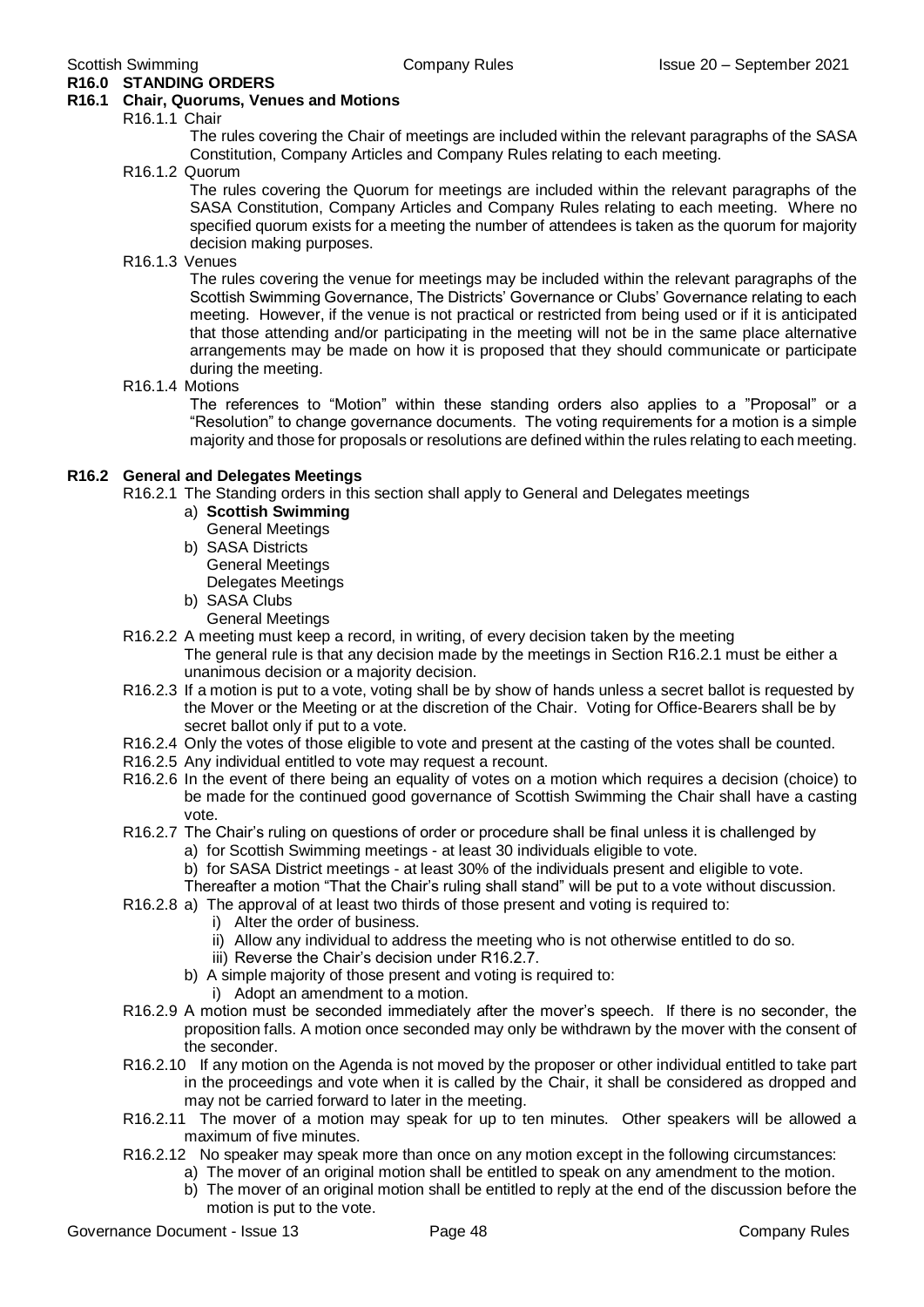#### **R16.0 STANDING ORDERS R16.1 Chair, Quorums, Venues and Motions**

#### R16.1.1 Chair

The rules covering the Chair of meetings are included within the relevant paragraphs of the SASA Constitution, Company Articles and Company Rules relating to each meeting.

#### R16.1.2 Quorum

The rules covering the Quorum for meetings are included within the relevant paragraphs of the SASA Constitution, Company Articles and Company Rules relating to each meeting. Where no specified quorum exists for a meeting the number of attendees is taken as the quorum for majority decision making purposes.

#### R16.1.3 Venues

The rules covering the venue for meetings may be included within the relevant paragraphs of the Scottish Swimming Governance, The Districts' Governance or Clubs' Governance relating to each meeting. However, if the venue is not practical or restricted from being used or if it is anticipated that those attending and/or participating in the meeting will not be in the same place alternative arrangements may be made on how it is proposed that they should communicate or participate during the meeting.

#### R16.1.4 Motions

The references to "Motion" within these standing orders also applies to a "Proposal" or a "Resolution" to change governance documents. The voting requirements for a motion is a simple majority and those for proposals or resolutions are defined within the rules relating to each meeting.

#### **R16.2 General and Delegates Meetings**

R16.2.1 The Standing orders in this section shall apply to General and Delegates meetings

- a) **Scottish Swimming** General Meetings
- b) SASA Districts General Meetings Delegates Meetings
- b) SASA Clubs General Meetings
- R16.2.2 A meeting must keep a record, in writing, of every decision taken by the meeting The general rule is that any decision made by the meetings in Section R16.2.1 must be either a unanimous decision or a majority decision.
- R16.2.3 If a motion is put to a vote, voting shall be by show of hands unless a secret ballot is requested by the Mover or the Meeting or at the discretion of the Chair. Voting for Office-Bearers shall be by secret ballot only if put to a vote.
- R16.2.4 Only the votes of those eligible to vote and present at the casting of the votes shall be counted.
- R16.2.5 Any individual entitled to vote may request a recount.
- R16.2.6 In the event of there being an equality of votes on a motion which requires a decision (choice) to be made for the continued good governance of Scottish Swimming the Chair shall have a casting vote.
- R16.2.7 The Chair's ruling on questions of order or procedure shall be final unless it is challenged by
	- a) for Scottish Swimming meetings at least 30 individuals eligible to vote.
	- b) for SASA District meetings at least 30% of the individuals present and eligible to vote.

Thereafter a motion "That the Chair's ruling shall stand" will be put to a vote without discussion.

- R16.2.8 a) The approval of at least two thirds of those present and voting is required to:
	- i) Alter the order of business.
	- ii) Allow any individual to address the meeting who is not otherwise entitled to do so.
	- iii) Reverse the Chair's decision under R16.2.7.
	- b) A simple majority of those present and voting is required to:
		- i) Adopt an amendment to a motion.
- R16.2.9 A motion must be seconded immediately after the mover's speech. If there is no seconder, the proposition falls. A motion once seconded may only be withdrawn by the mover with the consent of the seconder.
- R16.2.10 If any motion on the Agenda is not moved by the proposer or other individual entitled to take part in the proceedings and vote when it is called by the Chair, it shall be considered as dropped and may not be carried forward to later in the meeting.
- R16.2.11 The mover of a motion may speak for up to ten minutes. Other speakers will be allowed a maximum of five minutes.
- R16.2.12 No speaker may speak more than once on any motion except in the following circumstances:
	- a) The mover of an original motion shall be entitled to speak on any amendment to the motion.
		- b) The mover of an original motion shall be entitled to reply at the end of the discussion before the motion is put to the vote.